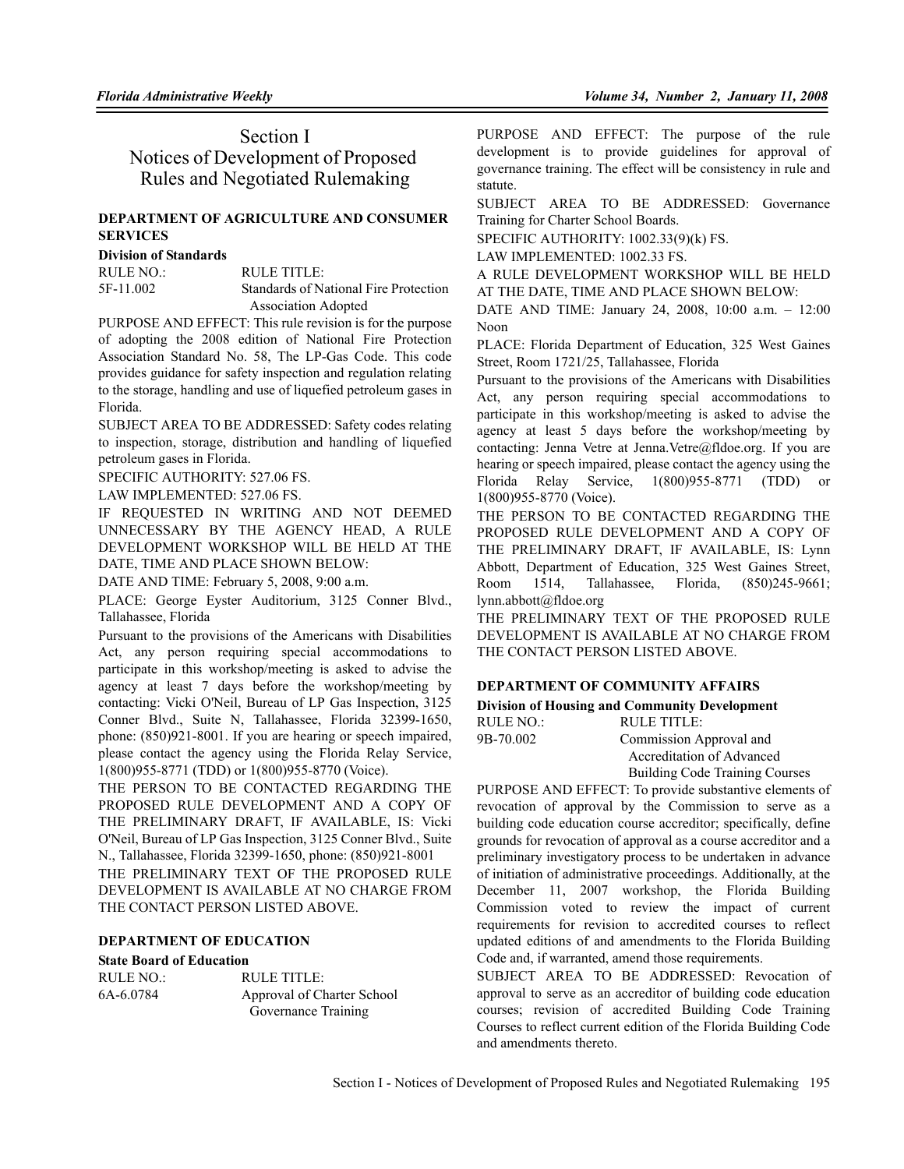## Section I Notices of Development of Proposed Rules and Negotiated Rulemaking

## **DEPARTMENT OF AGRICULTURE AND CONSUMER SERVICES**

#### **Division of Standards**

RULE NO.: RULE TITLE: 5F-11.002 Standards of National Fire Protection Association Adopted

PURPOSE AND EFFECT: This rule revision is for the purpose of adopting the 2008 edition of National Fire Protection Association Standard No. 58, The LP-Gas Code. This code provides guidance for safety inspection and regulation relating to the storage, handling and use of liquefied petroleum gases in Florida.

SUBJECT AREA TO BE ADDRESSED: Safety codes relating to inspection, storage, distribution and handling of liquefied petroleum gases in Florida.

SPECIFIC AUTHORITY: 527.06 FS.

LAW IMPLEMENTED: 527.06 FS.

IF REQUESTED IN WRITING AND NOT DEEMED UNNECESSARY BY THE AGENCY HEAD, A RULE DEVELOPMENT WORKSHOP WILL BE HELD AT THE DATE, TIME AND PLACE SHOWN BELOW:

DATE AND TIME: February 5, 2008, 9:00 a.m.

PLACE: George Eyster Auditorium, 3125 Conner Blvd., Tallahassee, Florida

Pursuant to the provisions of the Americans with Disabilities Act, any person requiring special accommodations to participate in this workshop/meeting is asked to advise the agency at least 7 days before the workshop/meeting by contacting: Vicki O'Neil, Bureau of LP Gas Inspection, 3125 Conner Blvd., Suite N, Tallahassee, Florida 32399-1650, phone: (850)921-8001. If you are hearing or speech impaired, please contact the agency using the Florida Relay Service, 1(800)955-8771 (TDD) or 1(800)955-8770 (Voice).

THE PERSON TO BE CONTACTED REGARDING THE PROPOSED RULE DEVELOPMENT AND A COPY OF THE PRELIMINARY DRAFT, IF AVAILABLE, IS: Vicki O'Neil, Bureau of LP Gas Inspection, 3125 Conner Blvd., Suite N., Tallahassee, Florida 32399-1650, phone: (850)921-8001 THE PRELIMINARY TEXT OF THE PROPOSED RULE

DEVELOPMENT IS AVAILABLE AT NO CHARGE FROM THE CONTACT PERSON LISTED ABOVE.

### **DEPARTMENT OF EDUCATION**

### **State Board of Education**

| RULE NO.: | RULE TITLE:                |
|-----------|----------------------------|
| 6A-6.0784 | Approval of Charter School |
|           | Governance Training        |

PURPOSE AND EFFECT: The purpose of the rule development is to provide guidelines for approval of governance training. The effect will be consistency in rule and statute.

SUBJECT AREA TO BE ADDRESSED: Governance Training for Charter School Boards.

SPECIFIC AUTHORITY: 1002.33(9)(k) FS.

LAW IMPLEMENTED: 1002.33 FS.

A RULE DEVELOPMENT WORKSHOP WILL BE HELD AT THE DATE, TIME AND PLACE SHOWN BELOW:

DATE AND TIME: January 24, 2008, 10:00 a.m. – 12:00 Noon

PLACE: Florida Department of Education, 325 West Gaines Street, Room 1721/25, Tallahassee, Florida

Pursuant to the provisions of the Americans with Disabilities Act, any person requiring special accommodations to participate in this workshop/meeting is asked to advise the agency at least 5 days before the workshop/meeting by contacting: Jenna Vetre at Jenna.Vetre@fldoe.org. If you are hearing or speech impaired, please contact the agency using the Florida Relay Service, 1(800)955-8771 (TDD) or 1(800)955-8770 (Voice).

THE PERSON TO BE CONTACTED REGARDING THE PROPOSED RULE DEVELOPMENT AND A COPY OF THE PRELIMINARY DRAFT, IF AVAILABLE, IS: Lynn Abbott, Department of Education, 325 West Gaines Street, Room 1514, Tallahassee, Florida, (850)245-9661; lynn.abbott@fldoe.org

THE PRELIMINARY TEXT OF THE PROPOSED RULE DEVELOPMENT IS AVAILABLE AT NO CHARGE FROM THE CONTACT PERSON LISTED ABOVE.

## **DEPARTMENT OF COMMUNITY AFFAIRS**

#### **Division of Housing and Community Development** RULE TITLE:

| RULE NO.: |  |
|-----------|--|
| 9B-70.002 |  |
|           |  |

Commission Approval and Accreditation of Advanced Building Code Training Courses

PURPOSE AND EFFECT: To provide substantive elements of revocation of approval by the Commission to serve as a building code education course accreditor; specifically, define grounds for revocation of approval as a course accreditor and a preliminary investigatory process to be undertaken in advance of initiation of administrative proceedings. Additionally, at the December 11, 2007 workshop, the Florida Building Commission voted to review the impact of current requirements for revision to accredited courses to reflect updated editions of and amendments to the Florida Building Code and, if warranted, amend those requirements.

SUBJECT AREA TO BE ADDRESSED: Revocation of approval to serve as an accreditor of building code education courses; revision of accredited Building Code Training Courses to reflect current edition of the Florida Building Code and amendments thereto.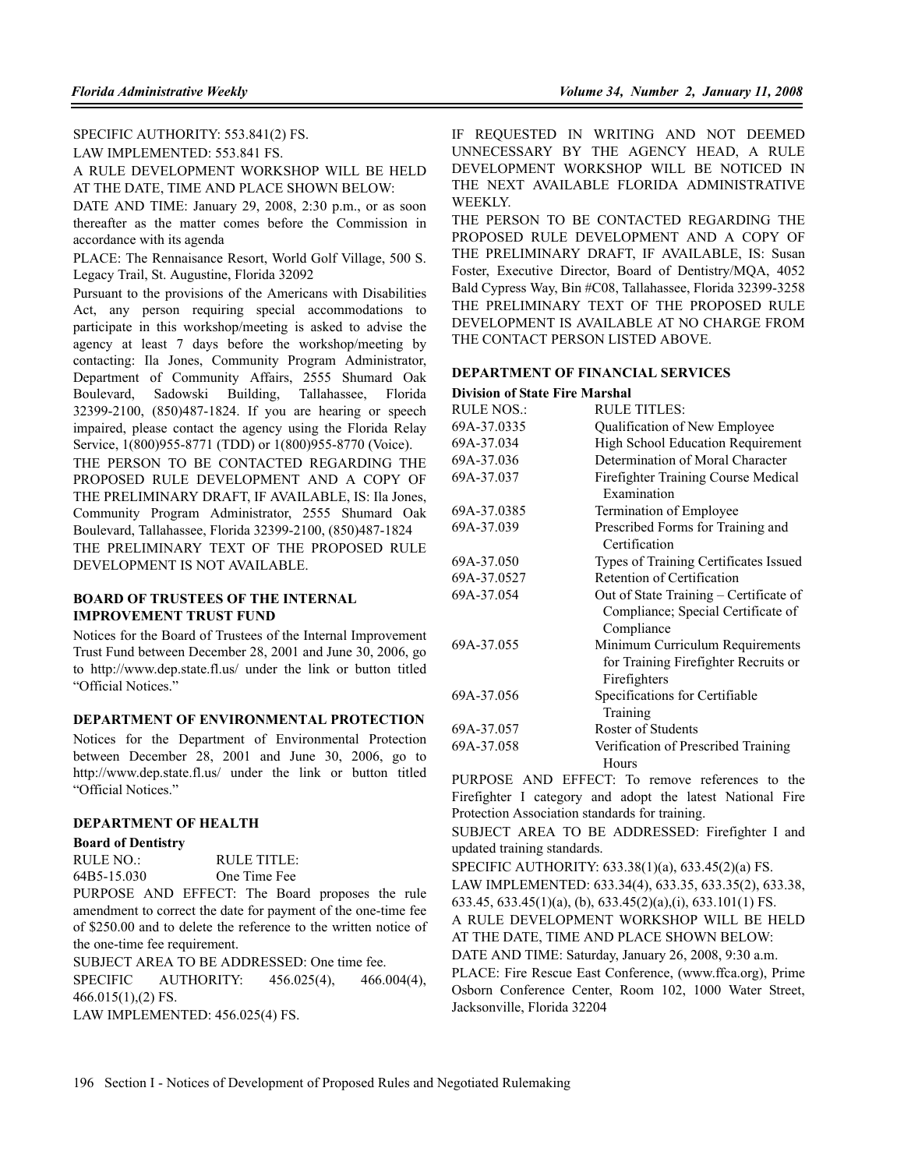#### SPECIFIC AUTHORITY: 553.841(2) FS.

LAW IMPLEMENTED: 553.841 FS.

A RULE DEVELOPMENT WORKSHOP WILL BE HELD AT THE DATE, TIME AND PLACE SHOWN BELOW:

DATE AND TIME: January 29, 2008, 2:30 p.m., or as soon thereafter as the matter comes before the Commission in accordance with its agenda

PLACE: The Rennaisance Resort, World Golf Village, 500 S. Legacy Trail, St. Augustine, Florida 32092

Pursuant to the provisions of the Americans with Disabilities Act, any person requiring special accommodations to participate in this workshop/meeting is asked to advise the agency at least 7 days before the workshop/meeting by contacting: Ila Jones, Community Program Administrator, Department of Community Affairs, 2555 Shumard Oak Boulevard, Sadowski Building, Tallahassee, Florida 32399-2100, (850)487-1824. If you are hearing or speech impaired, please contact the agency using the Florida Relay Service, 1(800)955-8771 (TDD) or 1(800)955-8770 (Voice).

THE PERSON TO BE CONTACTED REGARDING THE PROPOSED RULE DEVELOPMENT AND A COPY OF THE PRELIMINARY DRAFT, IF AVAILABLE, IS: Ila Jones, Community Program Administrator, 2555 Shumard Oak Boulevard, Tallahassee, Florida 32399-2100, (850)487-1824 THE PRELIMINARY TEXT OF THE PROPOSED RULE DEVELOPMENT IS NOT AVAILABLE.

### **BOARD OF TRUSTEES OF THE INTERNAL IMPROVEMENT TRUST FUND**

Notices for the Board of Trustees of the Internal Improvement Trust Fund between December 28, 2001 and June 30, 2006, go to http://www.dep.state.fl.us/ under the link or button titled "Official Notices."

### **DEPARTMENT OF ENVIRONMENTAL PROTECTION**

Notices for the Department of Environmental Protection between December 28, 2001 and June 30, 2006, go to http://www.dep.state.fl.us/ under the link or button titled "Official Notices."

#### **DEPARTMENT OF HEALTH**

#### **Board of Dentistry**

| RULE NO.:   | RULE TITLE:  |
|-------------|--------------|
| 64B5-15.030 | One Time Fee |

PURPOSE AND EFFECT: The Board proposes the rule amendment to correct the date for payment of the one-time fee of \$250.00 and to delete the reference to the written notice of the one-time fee requirement.

SUBJECT AREA TO BE ADDRESSED: One time fee. SPECIFIC AUTHORITY: 456.025(4), 466.004(4), 466.015(1),(2) FS. LAW IMPLEMENTED: 456.025(4) FS.

IF REQUESTED IN WRITING AND NOT DEEMED UNNECESSARY BY THE AGENCY HEAD, A RULE DEVELOPMENT WORKSHOP WILL BE NOTICED IN THE NEXT AVAILABLE FLORIDA ADMINISTRATIVE WEEKLY.

THE PERSON TO BE CONTACTED REGARDING THE PROPOSED RULE DEVELOPMENT AND A COPY OF THE PRELIMINARY DRAFT, IF AVAILABLE, IS: Susan Foster, Executive Director, Board of Dentistry/MQA, 4052 Bald Cypress Way, Bin #C08, Tallahassee, Florida 32399-3258 THE PRELIMINARY TEXT OF THE PROPOSED RULE DEVELOPMENT IS AVAILABLE AT NO CHARGE FROM THE CONTACT PERSON LISTED ABOVE.

#### **DEPARTMENT OF FINANCIAL SERVICES**

#### **Division of State Fire Marshal**

| <b>RULE NOS.:</b> | RULE TITLES:                                                                               |
|-------------------|--------------------------------------------------------------------------------------------|
| 69A-37.0335       | Qualification of New Employee                                                              |
| 69A-37.034        | High School Education Requirement                                                          |
| 69A-37.036        | Determination of Moral Character                                                           |
| 69A-37.037        | Firefighter Training Course Medical<br>Examination                                         |
| 69A-37.0385       | Termination of Employee                                                                    |
| 69A-37.039        | Prescribed Forms for Training and<br>Certification                                         |
| 69A-37.050        | Types of Training Certificates Issued                                                      |
| 69A-37.0527       | Retention of Certification                                                                 |
| 69A-37.054        | Out of State Training – Certificate of<br>Compliance; Special Certificate of<br>Compliance |
| 69A-37.055        | Minimum Curriculum Requirements<br>for Training Firefighter Recruits or<br>Firefighters    |
| 69A-37.056        | Specifications for Certifiable<br>Training                                                 |
| 69A-37.057        | Roster of Students                                                                         |
| 69A-37.058        | Verification of Prescribed Training<br>Hours                                               |

PURPOSE AND EFFECT: To remove references to the Firefighter I category and adopt the latest National Fire Protection Association standards for training.

SUBJECT AREA TO BE ADDRESSED: Firefighter I and updated training standards.

SPECIFIC AUTHORITY: 633.38(1)(a), 633.45(2)(a) FS. LAW IMPLEMENTED: 633.34(4), 633.35, 633.35(2), 633.38, 633.45, 633.45(1)(a), (b), 633.45(2)(a),(i), 633.101(1) FS. A RULE DEVELOPMENT WORKSHOP WILL BE HELD

AT THE DATE, TIME AND PLACE SHOWN BELOW: DATE AND TIME: Saturday, January 26, 2008, 9:30 a.m.

PLACE: Fire Rescue East Conference, (www.ffca.org), Prime Osborn Conference Center, Room 102, 1000 Water Street, Jacksonville, Florida 32204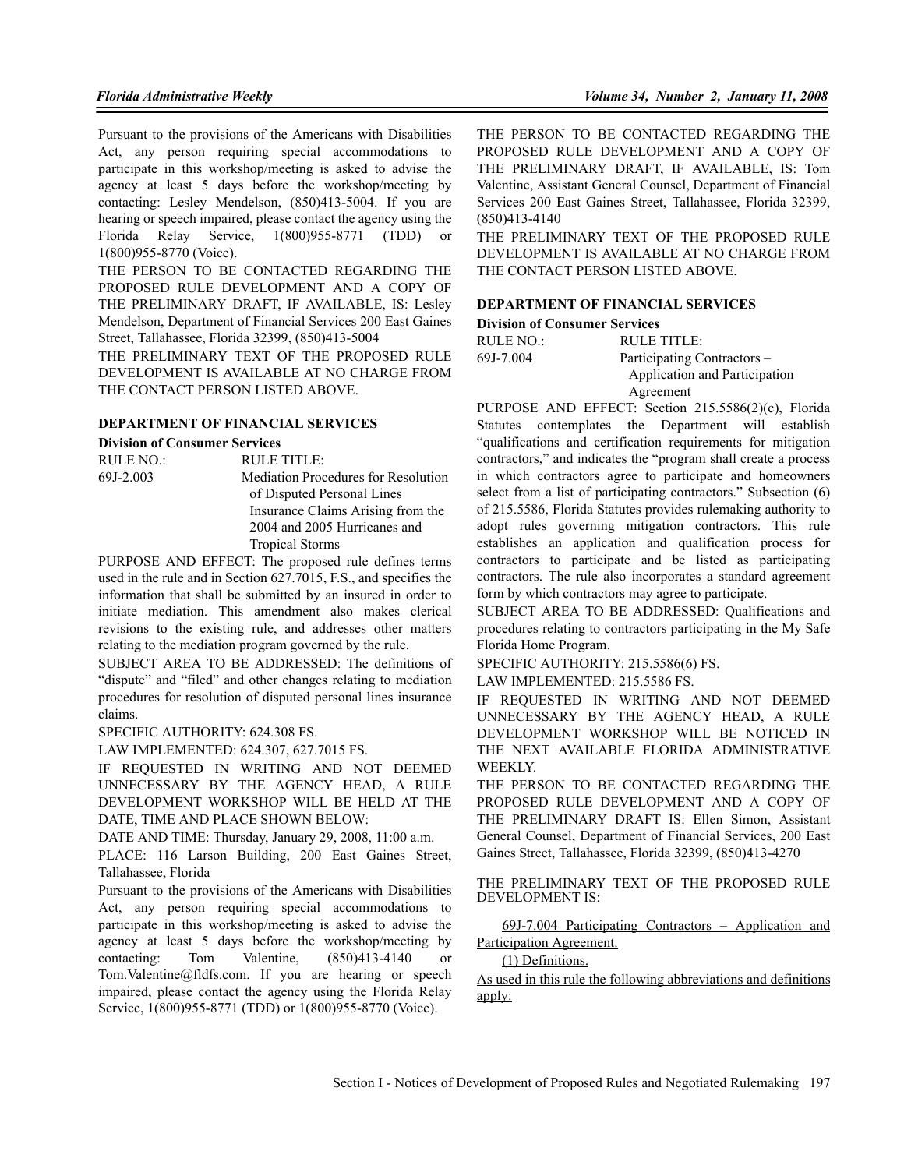Pursuant to the provisions of the Americans with Disabilities Act, any person requiring special accommodations to participate in this workshop/meeting is asked to advise the agency at least 5 days before the workshop/meeting by contacting: Lesley Mendelson, (850)413-5004. If you are hearing or speech impaired, please contact the agency using the Florida Relay Service, 1(800)955-8771 (TDD) or 1(800)955-8770 (Voice).

THE PERSON TO BE CONTACTED REGARDING THE PROPOSED RULE DEVELOPMENT AND A COPY OF THE PRELIMINARY DRAFT, IF AVAILABLE, IS: Lesley Mendelson, Department of Financial Services 200 East Gaines Street, Tallahassee, Florida 32399, (850)413-5004

THE PRELIMINARY TEXT OF THE PROPOSED RULE DEVELOPMENT IS AVAILABLE AT NO CHARGE FROM THE CONTACT PERSON LISTED ABOVE.

#### **DEPARTMENT OF FINANCIAL SERVICES**

#### **Division of Consumer Services**

| RULE NO.: | RULE TITLE:                                |
|-----------|--------------------------------------------|
| 69J-2.003 | <b>Mediation Procedures for Resolution</b> |
|           | of Disputed Personal Lines                 |
|           | Insurance Claims Arising from the          |
|           | 2004 and 2005 Hurricanes and               |
|           | <b>Tropical Storms</b>                     |

PURPOSE AND EFFECT: The proposed rule defines terms used in the rule and in Section 627.7015, F.S., and specifies the information that shall be submitted by an insured in order to initiate mediation. This amendment also makes clerical revisions to the existing rule, and addresses other matters relating to the mediation program governed by the rule.

SUBJECT AREA TO BE ADDRESSED: The definitions of "dispute" and "filed" and other changes relating to mediation procedures for resolution of disputed personal lines insurance claims.

SPECIFIC AUTHORITY: 624.308 FS.

LAW IMPLEMENTED: 624.307, 627.7015 FS.

IF REQUESTED IN WRITING AND NOT DEEMED UNNECESSARY BY THE AGENCY HEAD, A RULE DEVELOPMENT WORKSHOP WILL BE HELD AT THE DATE, TIME AND PLACE SHOWN BELOW:

DATE AND TIME: Thursday, January 29, 2008, 11:00 a.m.

PLACE: 116 Larson Building, 200 East Gaines Street, Tallahassee, Florida

Pursuant to the provisions of the Americans with Disabilities Act, any person requiring special accommodations to participate in this workshop/meeting is asked to advise the agency at least 5 days before the workshop/meeting by contacting: Tom Valentine, (850)413-4140 or Tom.Valentine@fldfs.com. If you are hearing or speech impaired, please contact the agency using the Florida Relay Service, 1(800)955-8771 (TDD) or 1(800)955-8770 (Voice).

THE PERSON TO BE CONTACTED REGARDING THE PROPOSED RULE DEVELOPMENT AND A COPY OF THE PRELIMINARY DRAFT, IF AVAILABLE, IS: Tom Valentine, Assistant General Counsel, Department of Financial Services 200 East Gaines Street, Tallahassee, Florida 32399, (850)413-4140

THE PRELIMINARY TEXT OF THE PROPOSED RULE DEVELOPMENT IS AVAILABLE AT NO CHARGE FROM THE CONTACT PERSON LISTED ABOVE.

#### **DEPARTMENT OF FINANCIAL SERVICES**

#### **Division of Consumer Services**

| RULE NO.: | RULE TITLE:                   |
|-----------|-------------------------------|
| 69J-7.004 | Participating Contractors –   |
|           | Application and Participation |
|           | Agreement                     |

PURPOSE AND EFFECT: Section 215.5586(2)(c), Florida Statutes contemplates the Department will establish "qualifications and certification requirements for mitigation contractors," and indicates the "program shall create a process in which contractors agree to participate and homeowners select from a list of participating contractors." Subsection (6) of 215.5586, Florida Statutes provides rulemaking authority to adopt rules governing mitigation contractors. This rule establishes an application and qualification process for contractors to participate and be listed as participating contractors. The rule also incorporates a standard agreement form by which contractors may agree to participate.

SUBJECT AREA TO BE ADDRESSED: Qualifications and procedures relating to contractors participating in the My Safe Florida Home Program.

SPECIFIC AUTHORITY: 215.5586(6) FS.

LAW IMPLEMENTED: 215.5586 FS.

IF REQUESTED IN WRITING AND NOT DEEMED UNNECESSARY BY THE AGENCY HEAD, A RULE DEVELOPMENT WORKSHOP WILL BE NOTICED IN THE NEXT AVAILABLE FLORIDA ADMINISTRATIVE **WEEKLY** 

THE PERSON TO BE CONTACTED REGARDING THE PROPOSED RULE DEVELOPMENT AND A COPY OF THE PRELIMINARY DRAFT IS: Ellen Simon, Assistant General Counsel, Department of Financial Services, 200 East Gaines Street, Tallahassee, Florida 32399, (850)413-4270

THE PRELIMINARY TEXT OF THE PROPOSED RULE DEVELOPMENT IS:

69J-7.004 Participating Contractors – Application and Participation Agreement.

(1) Definitions.

As used in this rule the following abbreviations and definitions apply: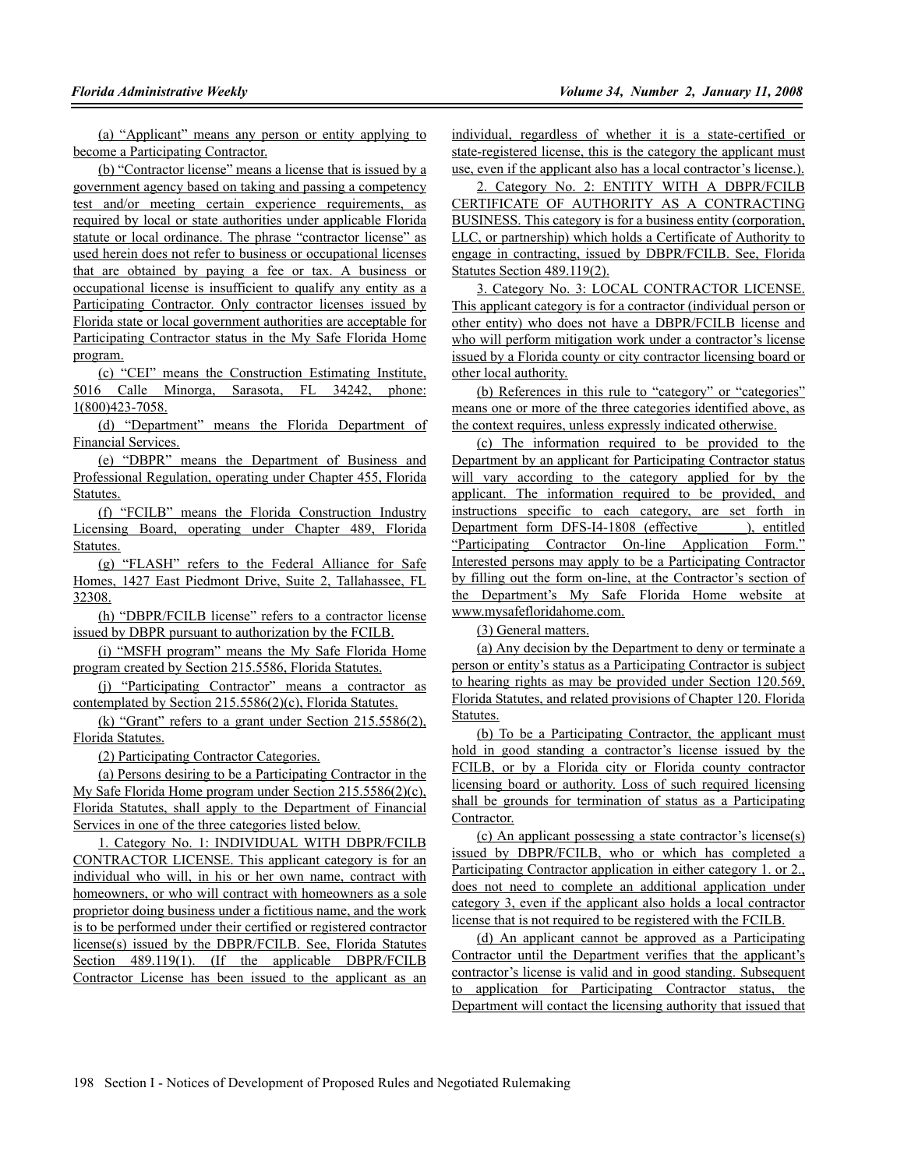(a) "Applicant" means any person or entity applying to become a Participating Contractor.

(b) "Contractor license" means a license that is issued by a government agency based on taking and passing a competency test and/or meeting certain experience requirements, as required by local or state authorities under applicable Florida statute or local ordinance. The phrase "contractor license" as used herein does not refer to business or occupational licenses that are obtained by paying a fee or tax. A business or occupational license is insufficient to qualify any entity as a Participating Contractor. Only contractor licenses issued by Florida state or local government authorities are acceptable for Participating Contractor status in the My Safe Florida Home program.

(c) "CEI" means the Construction Estimating Institute, 5016 Calle Minorga, Sarasota, FL 34242, phone: 1(800)423-7058.

(d) "Department" means the Florida Department of Financial Services.

(e) "DBPR" means the Department of Business and Professional Regulation, operating under Chapter 455, Florida Statutes.

(f) "FCILB" means the Florida Construction Industry Licensing Board, operating under Chapter 489, Florida Statutes.

(g) "FLASH" refers to the Federal Alliance for Safe Homes, 1427 East Piedmont Drive, Suite 2, Tallahassee, FL 32308.

(h) "DBPR/FCILB license" refers to a contractor license issued by DBPR pursuant to authorization by the FCILB.

(i) "MSFH program" means the My Safe Florida Home program created by Section 215.5586, Florida Statutes.

(j) "Participating Contractor" means a contractor as contemplated by Section 215.5586(2)(c), Florida Statutes.

(k) "Grant" refers to a grant under Section 215.5586(2), Florida Statutes.

(2) Participating Contractor Categories.

(a) Persons desiring to be a Participating Contractor in the My Safe Florida Home program under Section 215.5586(2)(c), Florida Statutes, shall apply to the Department of Financial Services in one of the three categories listed below.

1. Category No. 1: INDIVIDUAL WITH DBPR/FCILB CONTRACTOR LICENSE. This applicant category is for an individual who will, in his or her own name, contract with homeowners, or who will contract with homeowners as a sole proprietor doing business under a fictitious name, and the work is to be performed under their certified or registered contractor license(s) issued by the DBPR/FCILB. See, Florida Statutes Section 489.119(1). (If the applicable DBPR/FCILB Contractor License has been issued to the applicant as an

individual, regardless of whether it is a state-certified or state-registered license, this is the category the applicant must use, even if the applicant also has a local contractor's license.).

2. Category No. 2: ENTITY WITH A DBPR/FCILB CERTIFICATE OF AUTHORITY AS A CONTRACTING BUSINESS. This category is for a business entity (corporation, LLC, or partnership) which holds a Certificate of Authority to engage in contracting, issued by DBPR/FCILB. See, Florida Statutes Section 489.119(2).

3. Category No. 3: LOCAL CONTRACTOR LICENSE. This applicant category is for a contractor (individual person or other entity) who does not have a DBPR/FCILB license and who will perform mitigation work under a contractor's license issued by a Florida county or city contractor licensing board or other local authority.

(b) References in this rule to "category" or "categories" means one or more of the three categories identified above, as the context requires, unless expressly indicated otherwise.

(c) The information required to be provided to the Department by an applicant for Participating Contractor status will vary according to the category applied for by the applicant. The information required to be provided, and instructions specific to each category, are set forth in Department form DFS-I4-1808 (effective ), entitled "Participating Contractor On-line Application Form." Interested persons may apply to be a Participating Contractor by filling out the form on-line, at the Contractor's section of the Department's My Safe Florida Home website at www.mysafefloridahome.com.

(3) General matters.

(a) Any decision by the Department to deny or terminate a person or entity's status as a Participating Contractor is subject to hearing rights as may be provided under Section 120.569, Florida Statutes, and related provisions of Chapter 120. Florida Statutes.

(b) To be a Participating Contractor, the applicant must hold in good standing a contractor's license issued by the FCILB, or by a Florida city or Florida county contractor licensing board or authority. Loss of such required licensing shall be grounds for termination of status as a Participating Contractor.

(c) An applicant possessing a state contractor's license(s) issued by DBPR/FCILB, who or which has completed a Participating Contractor application in either category 1. or 2., does not need to complete an additional application under category 3, even if the applicant also holds a local contractor license that is not required to be registered with the FCILB.

(d) An applicant cannot be approved as a Participating Contractor until the Department verifies that the applicant's contractor's license is valid and in good standing. Subsequent to application for Participating Contractor status, the Department will contact the licensing authority that issued that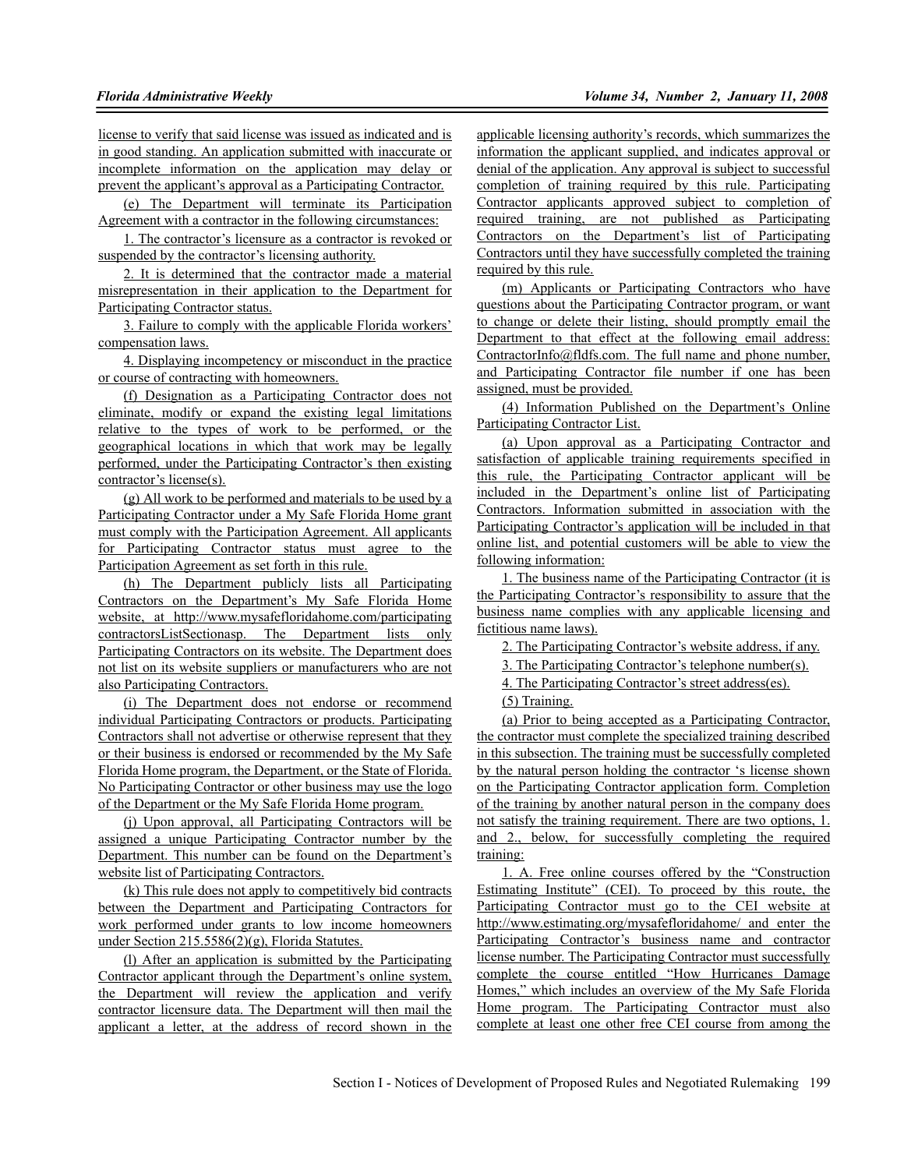license to verify that said license was issued as indicated and is in good standing. An application submitted with inaccurate or incomplete information on the application may delay or prevent the applicant's approval as a Participating Contractor.

(e) The Department will terminate its Participation Agreement with a contractor in the following circumstances:

1. The contractor's licensure as a contractor is revoked or suspended by the contractor's licensing authority.

2. It is determined that the contractor made a material misrepresentation in their application to the Department for Participating Contractor status.

3. Failure to comply with the applicable Florida workers' compensation laws.

4. Displaying incompetency or misconduct in the practice or course of contracting with homeowners.

(f) Designation as a Participating Contractor does not eliminate, modify or expand the existing legal limitations relative to the types of work to be performed, or the geographical locations in which that work may be legally performed, under the Participating Contractor's then existing contractor's license(s).

(g) All work to be performed and materials to be used by a Participating Contractor under a My Safe Florida Home grant must comply with the Participation Agreement. All applicants for Participating Contractor status must agree to the Participation Agreement as set forth in this rule.

(h) The Department publicly lists all Participating Contractors on the Department's My Safe Florida Home website, at http://www.mysafefloridahome.com/participating contractorsListSectionasp. The Department lists only Participating Contractors on its website. The Department does not list on its website suppliers or manufacturers who are not also Participating Contractors.

(i) The Department does not endorse or recommend individual Participating Contractors or products. Participating Contractors shall not advertise or otherwise represent that they or their business is endorsed or recommended by the My Safe Florida Home program, the Department, or the State of Florida. No Participating Contractor or other business may use the logo of the Department or the My Safe Florida Home program.

(j) Upon approval, all Participating Contractors will be assigned a unique Participating Contractor number by the Department. This number can be found on the Department's website list of Participating Contractors.

(k) This rule does not apply to competitively bid contracts between the Department and Participating Contractors for work performed under grants to low income homeowners under Section 215.5586(2)(g), Florida Statutes.

(l) After an application is submitted by the Participating Contractor applicant through the Department's online system, the Department will review the application and verify contractor licensure data. The Department will then mail the applicant a letter, at the address of record shown in the

applicable licensing authority's records, which summarizes the information the applicant supplied, and indicates approval or denial of the application. Any approval is subject to successful completion of training required by this rule. Participating Contractor applicants approved subject to completion of required training, are not published as Participating Contractors on the Department's list of Participating Contractors until they have successfully completed the training required by this rule.

(m) Applicants or Participating Contractors who have questions about the Participating Contractor program, or want to change or delete their listing, should promptly email the Department to that effect at the following email address: ContractorInfo@fldfs.com. The full name and phone number, and Participating Contractor file number if one has been assigned, must be provided.

(4) Information Published on the Department's Online Participating Contractor List.

(a) Upon approval as a Participating Contractor and satisfaction of applicable training requirements specified in this rule, the Participating Contractor applicant will be included in the Department's online list of Participating Contractors. Information submitted in association with the Participating Contractor's application will be included in that online list, and potential customers will be able to view the following information:

1. The business name of the Participating Contractor (it is the Participating Contractor's responsibility to assure that the business name complies with any applicable licensing and fictitious name laws).

2. The Participating Contractor's website address, if any.

3. The Participating Contractor's telephone number(s).

4. The Participating Contractor's street address(es).

### (5) Training.

(a) Prior to being accepted as a Participating Contractor, the contractor must complete the specialized training described in this subsection. The training must be successfully completed by the natural person holding the contractor 's license shown on the Participating Contractor application form. Completion of the training by another natural person in the company does not satisfy the training requirement. There are two options, 1. and 2., below, for successfully completing the required training:

1. A. Free online courses offered by the "Construction Estimating Institute" (CEI). To proceed by this route, the Participating Contractor must go to the CEI website at http://www.estimating.org/mysafefloridahome/ and enter the Participating Contractor's business name and contractor license number. The Participating Contractor must successfully complete the course entitled "How Hurricanes Damage Homes," which includes an overview of the My Safe Florida Home program. The Participating Contractor must also complete at least one other free CEI course from among the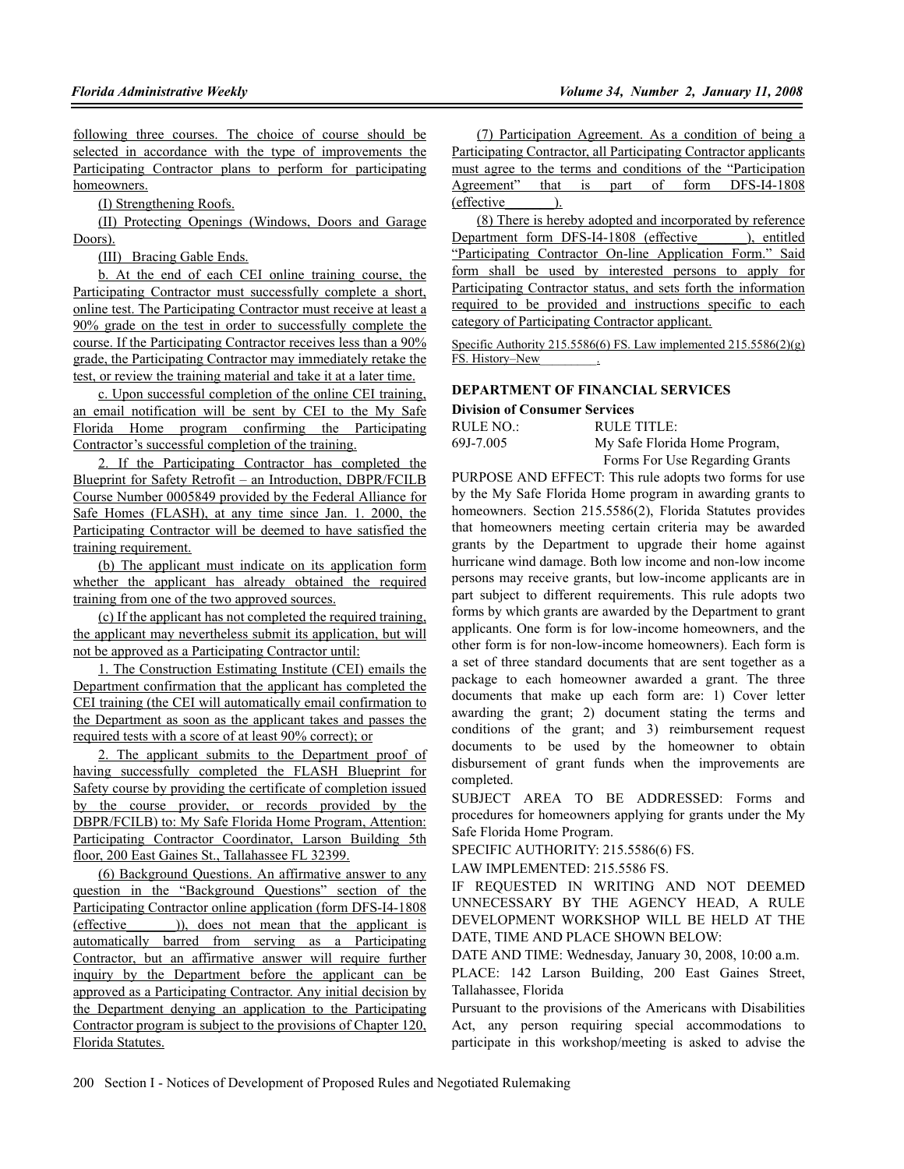following three courses. The choice of course should be selected in accordance with the type of improvements the Participating Contractor plans to perform for participating homeowners.

(I) Strengthening Roofs.

(II) Protecting Openings (Windows, Doors and Garage Doors).

(III) Bracing Gable Ends.

b. At the end of each CEI online training course, the Participating Contractor must successfully complete a short, online test. The Participating Contractor must receive at least a 90% grade on the test in order to successfully complete the course. If the Participating Contractor receives less than a 90% grade, the Participating Contractor may immediately retake the test, or review the training material and take it at a later time.

c. Upon successful completion of the online CEI training, an email notification will be sent by CEI to the My Safe Florida Home program confirming the Participating Contractor's successful completion of the training.

2. If the Participating Contractor has completed the Blueprint for Safety Retrofit – an Introduction, DBPR/FCILB Course Number 0005849 provided by the Federal Alliance for Safe Homes (FLASH), at any time since Jan. 1. 2000, the Participating Contractor will be deemed to have satisfied the training requirement.

(b) The applicant must indicate on its application form whether the applicant has already obtained the required training from one of the two approved sources.

(c) If the applicant has not completed the required training, the applicant may nevertheless submit its application, but will not be approved as a Participating Contractor until:

1. The Construction Estimating Institute (CEI) emails the Department confirmation that the applicant has completed the CEI training (the CEI will automatically email confirmation to the Department as soon as the applicant takes and passes the required tests with a score of at least 90% correct); or

2. The applicant submits to the Department proof of having successfully completed the FLASH Blueprint for Safety course by providing the certificate of completion issued by the course provider, or records provided by the DBPR/FCILB) to: My Safe Florida Home Program, Attention: Participating Contractor Coordinator, Larson Building 5th floor, 200 East Gaines St., Tallahassee FL 32399.

(6) Background Questions. An affirmative answer to any question in the "Background Questions" section of the Participating Contractor online application (form DFS-I4-1808 (effective\_\_\_\_\_\_\_)), does not mean that the applicant is automatically barred from serving as a Participating Contractor, but an affirmative answer will require further inquiry by the Department before the applicant can be approved as a Participating Contractor. Any initial decision by the Department denying an application to the Participating Contractor program is subject to the provisions of Chapter 120, Florida Statutes.

(7) Participation Agreement. As a condition of being a Participating Contractor, all Participating Contractor applicants must agree to the terms and conditions of the "Participation Agreement" that is part of form DFS-I4-1808 (effective\_\_\_\_\_\_\_).

(8) There is hereby adopted and incorporated by reference Department form DFS-I4-1808 (effective ), entitled "Participating Contractor On-line Application Form." Said form shall be used by interested persons to apply for Participating Contractor status, and sets forth the information required to be provided and instructions specific to each category of Participating Contractor applicant.

Specific Authority 215.5586(6) FS. Law implemented 215.5586(2)(g) FS. History–New\_\_\_\_\_\_\_\_\_.

### **DEPARTMENT OF FINANCIAL SERVICES**

#### **Division of Consumer Services**

| RULE NO.: | <b>RULE TITLE:</b>             |
|-----------|--------------------------------|
| 69J-7.005 | My Safe Florida Home Program,  |
|           | Forms For Use Regarding Grants |

PURPOSE AND EFFECT: This rule adopts two forms for use by the My Safe Florida Home program in awarding grants to homeowners. Section 215.5586(2), Florida Statutes provides that homeowners meeting certain criteria may be awarded grants by the Department to upgrade their home against hurricane wind damage. Both low income and non-low income persons may receive grants, but low-income applicants are in part subject to different requirements. This rule adopts two forms by which grants are awarded by the Department to grant applicants. One form is for low-income homeowners, and the other form is for non-low-income homeowners). Each form is a set of three standard documents that are sent together as a package to each homeowner awarded a grant. The three documents that make up each form are: 1) Cover letter awarding the grant; 2) document stating the terms and conditions of the grant; and 3) reimbursement request documents to be used by the homeowner to obtain disbursement of grant funds when the improvements are completed.

SUBJECT AREA TO BE ADDRESSED: Forms and procedures for homeowners applying for grants under the My Safe Florida Home Program.

SPECIFIC AUTHORITY: 215.5586(6) FS.

LAW IMPLEMENTED: 215.5586 FS.

IF REQUESTED IN WRITING AND NOT DEEMED UNNECESSARY BY THE AGENCY HEAD, A RULE DEVELOPMENT WORKSHOP WILL BE HELD AT THE DATE, TIME AND PLACE SHOWN BELOW:

DATE AND TIME: Wednesday, January 30, 2008, 10:00 a.m.

PLACE: 142 Larson Building, 200 East Gaines Street, Tallahassee, Florida

Pursuant to the provisions of the Americans with Disabilities Act, any person requiring special accommodations to participate in this workshop/meeting is asked to advise the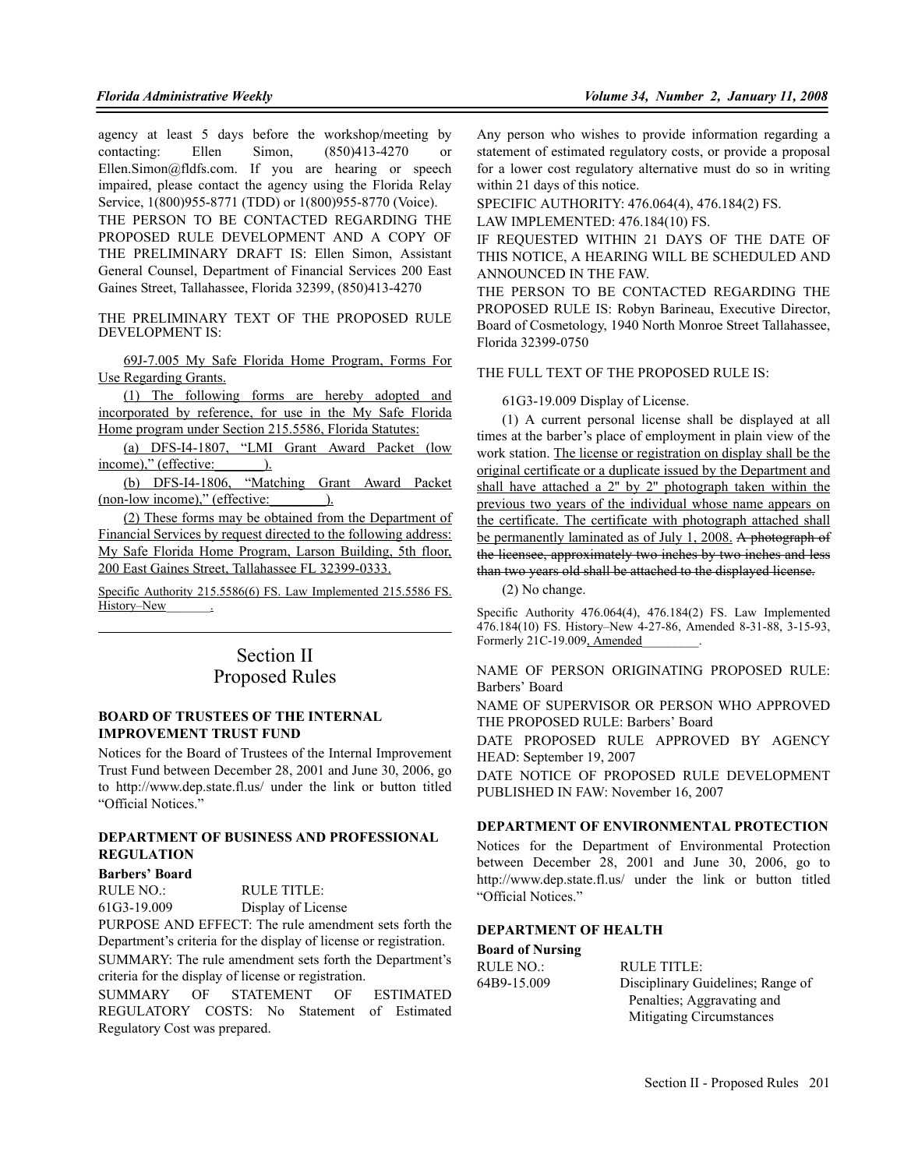agency at least 5 days before the workshop/meeting by contacting: Ellen Simon, (850)413-4270 or Ellen.Simon@fldfs.com. If you are hearing or speech impaired, please contact the agency using the Florida Relay Service, 1(800)955-8771 (TDD) or 1(800)955-8770 (Voice). THE PERSON TO BE CONTACTED REGARDING THE PROPOSED RULE DEVELOPMENT AND A COPY OF THE PRELIMINARY DRAFT IS: Ellen Simon, Assistant General Counsel, Department of Financial Services 200 East Gaines Street, Tallahassee, Florida 32399, (850)413-4270

THE PRELIMINARY TEXT OF THE PROPOSED RULE DEVELOPMENT IS:

69J-7.005 My Safe Florida Home Program, Forms For Use Regarding Grants.

(1) The following forms are hereby adopted and incorporated by reference, for use in the My Safe Florida Home program under Section 215.5586, Florida Statutes:

(a) DFS-I4-1807, "LMI Grant Award Packet (low income)," (effective: 1.

(b) DFS-I4-1806, "Matching Grant Award Packet (non-low income)," (effective: ).

(2) These forms may be obtained from the Department of Financial Services by request directed to the following address: My Safe Florida Home Program, Larson Building, 5th floor, 200 East Gaines Street, Tallahassee FL 32399-0333.

Specific Authority 215.5586(6) FS. Law Implemented 215.5586 FS. History–New \_\_\_\_\_\_\_.

## Section II Proposed Rules

#### **BOARD OF TRUSTEES OF THE INTERNAL IMPROVEMENT TRUST FUND**

Notices for the Board of Trustees of the Internal Improvement Trust Fund between December 28, 2001 and June 30, 2006, go to http://www.dep.state.fl.us/ under the link or button titled "Official Notices."

## **DEPARTMENT OF BUSINESS AND PROFESSIONAL REGULATION**

#### **Barbers' Board**

RULE NO.: RULE TITLE:

61G3-19.009 Display of License

PURPOSE AND EFFECT: The rule amendment sets forth the Department's criteria for the display of license or registration. SUMMARY: The rule amendment sets forth the Department's criteria for the display of license or registration.

SUMMARY OF STATEMENT OF ESTIMATED REGULATORY COSTS: No Statement of Estimated Regulatory Cost was prepared.

Any person who wishes to provide information regarding a statement of estimated regulatory costs, or provide a proposal for a lower cost regulatory alternative must do so in writing within 21 days of this notice.

SPECIFIC AUTHORITY: 476.064(4), 476.184(2) FS.

LAW IMPLEMENTED: 476.184(10) FS.

IF REQUESTED WITHIN 21 DAYS OF THE DATE OF THIS NOTICE, A HEARING WILL BE SCHEDULED AND ANNOUNCED IN THE FAW.

THE PERSON TO BE CONTACTED REGARDING THE PROPOSED RULE IS: Robyn Barineau, Executive Director, Board of Cosmetology, 1940 North Monroe Street Tallahassee, Florida 32399-0750

THE FULL TEXT OF THE PROPOSED RULE IS:

61G3-19.009 Display of License.

(1) A current personal license shall be displayed at all times at the barber's place of employment in plain view of the work station. The license or registration on display shall be the original certificate or a duplicate issued by the Department and shall have attached a 2'' by 2'' photograph taken within the previous two years of the individual whose name appears on the certificate. The certificate with photograph attached shall be permanently laminated as of July 1, 2008. A photograph of the licensee, approximately two inches by two inches and less than two years old shall be attached to the displayed license.

(2) No change.

Specific Authority 476.064(4), 476.184(2) FS. Law Implemented 476.184(10) FS. History–New 4-27-86, Amended 8-31-88, 3-15-93, Formerly 21C-19.009, Amended\_\_\_\_\_\_\_\_\_.

NAME OF PERSON ORIGINATING PROPOSED RULE: Barbers' Board

NAME OF SUPERVISOR OR PERSON WHO APPROVED THE PROPOSED RULE: Barbers' Board

DATE PROPOSED RULE APPROVED BY AGENCY HEAD: September 19, 2007

DATE NOTICE OF PROPOSED RULE DEVELOPMENT PUBLISHED IN FAW: November 16, 2007

### **DEPARTMENT OF ENVIRONMENTAL PROTECTION**

Notices for the Department of Environmental Protection between December 28, 2001 and June 30, 2006, go to http://www.dep.state.fl.us/ under the link or button titled "Official Notices."

#### **DEPARTMENT OF HEALTH**

**Board of Nursing** RULE NO.: RULE TITLE:

64B9-15.009 Disciplinary Guidelines; Range of Penalties; Aggravating and Mitigating Circumstances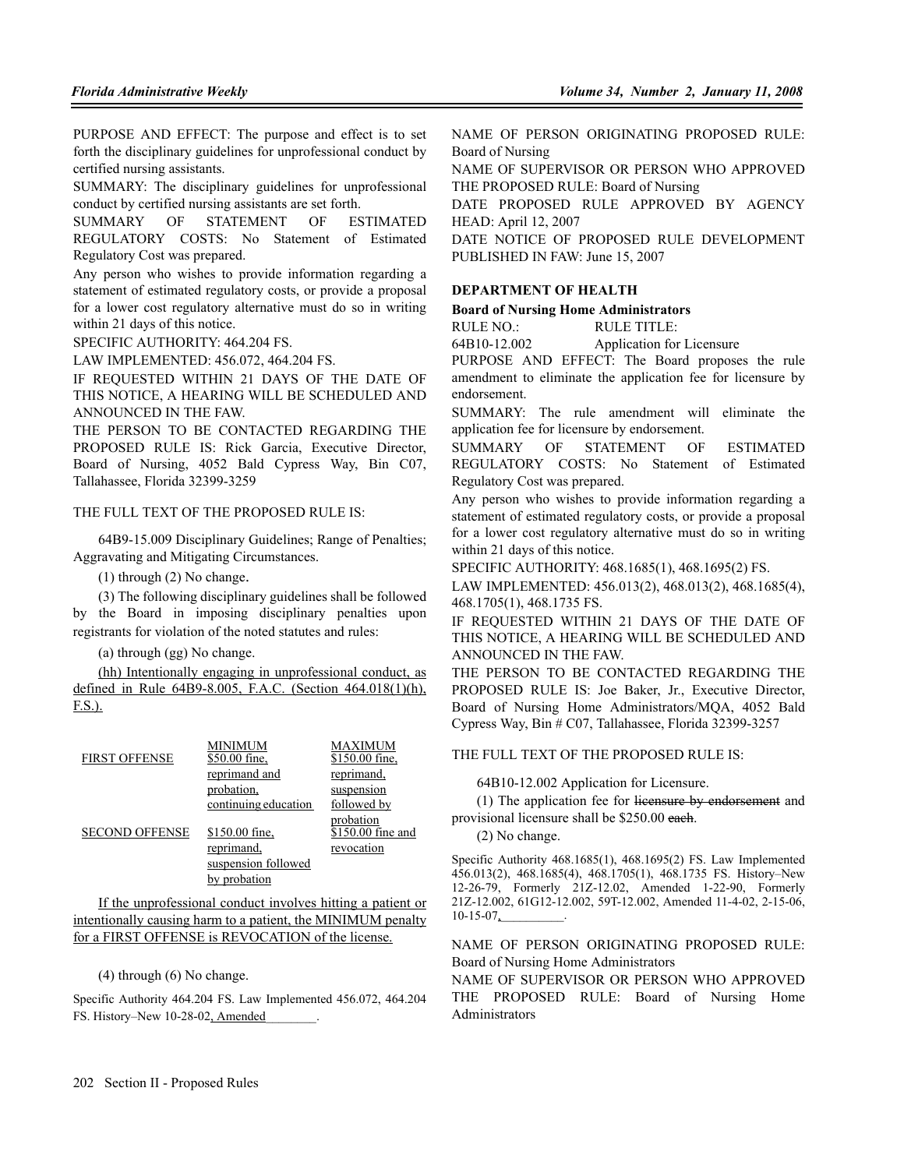PURPOSE AND EFFECT: The purpose and effect is to set forth the disciplinary guidelines for unprofessional conduct by certified nursing assistants.

SUMMARY: The disciplinary guidelines for unprofessional conduct by certified nursing assistants are set forth.

SUMMARY OF STATEMENT OF ESTIMATED REGULATORY COSTS: No Statement of Estimated Regulatory Cost was prepared.

Any person who wishes to provide information regarding a statement of estimated regulatory costs, or provide a proposal for a lower cost regulatory alternative must do so in writing within 21 days of this notice.

SPECIFIC AUTHORITY: 464.204 FS.

LAW IMPLEMENTED: 456.072, 464.204 FS.

IF REQUESTED WITHIN 21 DAYS OF THE DATE OF THIS NOTICE, A HEARING WILL BE SCHEDULED AND ANNOUNCED IN THE FAW.

THE PERSON TO BE CONTACTED REGARDING THE PROPOSED RULE IS: Rick Garcia, Executive Director, Board of Nursing, 4052 Bald Cypress Way, Bin C07, Tallahassee, Florida 32399-3259

## THE FULL TEXT OF THE PROPOSED RULE IS.

64B9-15.009 Disciplinary Guidelines; Range of Penalties; Aggravating and Mitigating Circumstances.

(1) through (2) No change.

(3) The following disciplinary guidelines shall be followed by the Board in imposing disciplinary penalties upon registrants for violation of the noted statutes and rules:

(a) through (gg) No change.

(hh) Intentionally engaging in unprofessional conduct, as defined in Rule 64B9-8.005, F.A.C. (Section 464.018(1)(h), F.S.).

| <b>FIRST OFFENSE</b>  | MINIMUM<br>\$50.00 fine. | MAXIMUM<br>\$150.00 fine.      |
|-----------------------|--------------------------|--------------------------------|
|                       | reprimand and            | reprimand.                     |
|                       | probation.               | suspension                     |
|                       | continuing education     | followed by                    |
| <b>SECOND OFFENSE</b> | \$150.00 fine.           | probation<br>\$150.00 fine and |
|                       | reprimand.               | revocation                     |
|                       | suspension followed      |                                |
|                       | by probation             |                                |

If the unprofessional conduct involves hitting a patient or intentionally causing harm to a patient, the MINIMUM penalty for a FIRST OFFENSE is REVOCATION of the license.

(4) through (6) No change.

Specific Authority 464.204 FS. Law Implemented 456.072, 464.204 FS. History-New 10-28-02, Amended

NAME OF PERSON ORIGINATING PROPOSED RULE: Board of Nursing

NAME OF SUPERVISOR OR PERSON WHO APPROVED THE PROPOSED RULE: Board of Nursing

DATE PROPOSED RULE APPROVED BY AGENCY HEAD: April 12, 2007

DATE NOTICE OF PROPOSED RULE DEVELOPMENT PUBLISHED IN FAW: June 15, 2007

### **DEPARTMENT OF HEALTH**

**Board of Nursing Home Administrators**

RULE NO.: RULE TITLE:

64B10-12.002 Application for Licensure

PURPOSE AND EFFECT: The Board proposes the rule amendment to eliminate the application fee for licensure by endorsement.

SUMMARY: The rule amendment will eliminate the application fee for licensure by endorsement.

SUMMARY OF STATEMENT OF ESTIMATED REGULATORY COSTS: No Statement of Estimated Regulatory Cost was prepared.

Any person who wishes to provide information regarding a statement of estimated regulatory costs, or provide a proposal for a lower cost regulatory alternative must do so in writing within 21 days of this notice.

SPECIFIC AUTHORITY: 468.1685(1), 468.1695(2) FS.

LAW IMPLEMENTED: 456.013(2), 468.013(2), 468.1685(4), 468.1705(1), 468.1735 FS.

IF REQUESTED WITHIN 21 DAYS OF THE DATE OF THIS NOTICE, A HEARING WILL BE SCHEDULED AND ANNOUNCED IN THE FAW.

THE PERSON TO BE CONTACTED REGARDING THE PROPOSED RULE IS: Joe Baker, Jr., Executive Director, Board of Nursing Home Administrators/MQA, 4052 Bald Cypress Way, Bin # C07, Tallahassee, Florida 32399-3257

THE FULL TEXT OF THE PROPOSED RULE IS:

64B10-12.002 Application for Licensure.

(1) The application fee for licensure by endorsement and provisional licensure shall be \$250.00 each.

(2) No change.

Specific Authority 468.1685(1), 468.1695(2) FS. Law Implemented 456.013(2), 468.1685(4), 468.1705(1), 468.1735 FS. History–New 12-26-79, Formerly 21Z-12.02, Amended 1-22-90, Formerly 21Z-12.002, 61G12-12.002, 59T-12.002, Amended 11-4-02, 2-15-06,  $10-15-07$ ,

NAME OF PERSON ORIGINATING PROPOSED RULE: Board of Nursing Home Administrators

NAME OF SUPERVISOR OR PERSON WHO APPROVED THE PROPOSED RULE: Board of Nursing Home Administrators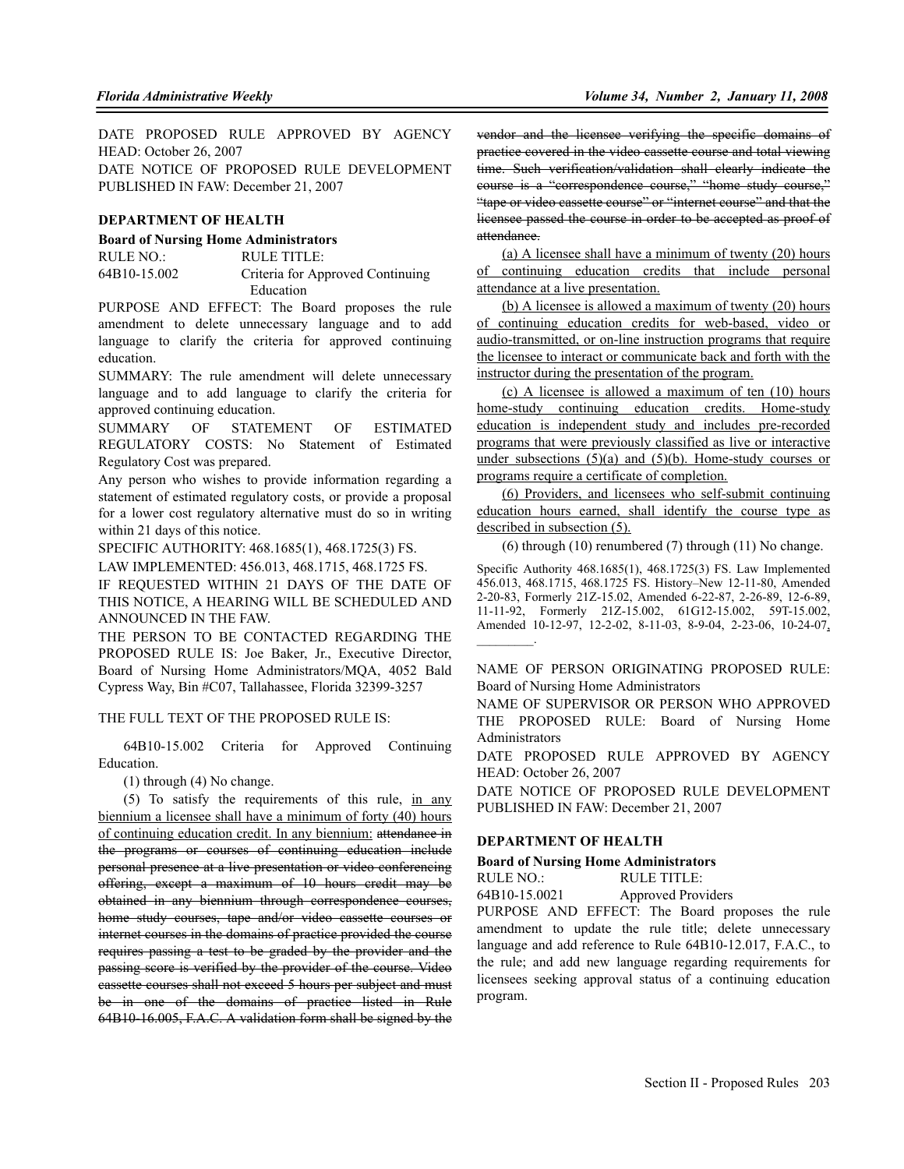DATE PROPOSED RULE APPROVED BY AGENCY HEAD: October 26, 2007 DATE NOTICE OF PROPOSED RULE DEVELOPMENT

PUBLISHED IN FAW: December 21, 2007

#### **DEPARTMENT OF HEALTH**

#### **Board of Nursing Home Administrators**

RULE NO.: RULE TITLE: 64B10-15.002 Criteria for Approved Continuing Education

PURPOSE AND EFFECT: The Board proposes the rule amendment to delete unnecessary language and to add language to clarify the criteria for approved continuing education.

SUMMARY: The rule amendment will delete unnecessary language and to add language to clarify the criteria for approved continuing education.

SUMMARY OF STATEMENT OF ESTIMATED REGULATORY COSTS: No Statement of Estimated Regulatory Cost was prepared.

Any person who wishes to provide information regarding a statement of estimated regulatory costs, or provide a proposal for a lower cost regulatory alternative must do so in writing within 21 days of this notice.

SPECIFIC AUTHORITY: 468.1685(1), 468.1725(3) FS.

LAW IMPLEMENTED: 456.013, 468.1715, 468.1725 FS.

IF REQUESTED WITHIN 21 DAYS OF THE DATE OF THIS NOTICE, A HEARING WILL BE SCHEDULED AND ANNOUNCED IN THE FAW.

THE PERSON TO BE CONTACTED REGARDING THE PROPOSED RULE IS: Joe Baker, Jr., Executive Director, Board of Nursing Home Administrators/MQA, 4052 Bald Cypress Way, Bin #C07, Tallahassee, Florida 32399-3257

THE FULL TEXT OF THE PROPOSED RULE IS:

64B10-15.002 Criteria for Approved Continuing Education.

(1) through (4) No change.

(5) To satisfy the requirements of this rule, in any biennium a licensee shall have a minimum of forty (40) hours of continuing education credit. In any biennium: attendance in the programs or courses of continuing education include personal presence at a live presentation or video conferencing offering, except a maximum of 10 hours credit may be obtained in any biennium through correspondence courses, home study courses, tape and/or video cassette courses or internet courses in the domains of practice provided the course requires passing a test to be graded by the provider and the passing score is verified by the provider of the course. Video cassette courses shall not exceed 5 hours per subject and must be in one of the domains of practice listed in Rule 64B10-16.005, F.A.C. A validation form shall be signed by the

vendor and the licensee verifying the specific domains of practice covered in the video cassette course and total viewing time. Such verification/validation shall clearly indicate the course is a "correspondence course," "home study course," "tape or video cassette course" or "internet course" and that the licensee passed the course in order to be accepted as proof of attendance.

(a) A licensee shall have a minimum of twenty (20) hours of continuing education credits that include personal attendance at a live presentation.

(b) A licensee is allowed a maximum of twenty (20) hours of continuing education credits for web-based, video or audio-transmitted, or on-line instruction programs that require the licensee to interact or communicate back and forth with the instructor during the presentation of the program.

(c) A licensee is allowed a maximum of ten (10) hours home-study continuing education credits. Home-study education is independent study and includes pre-recorded programs that were previously classified as live or interactive under subsections  $(5)(a)$  and  $(5)(b)$ . Home-study courses or programs require a certificate of completion.

(6) Providers, and licensees who self-submit continuing education hours earned, shall identify the course type as described in subsection  $(5)$ .

(6) through (10) renumbered (7) through (11) No change.

Specific Authority 468.1685(1), 468.1725(3) FS. Law Implemented 456.013, 468.1715, 468.1725 FS. History–New 12-11-80, Amended 2-20-83, Formerly 21Z-15.02, Amended 6-22-87, 2-26-89, 12-6-89, 11-11-92, Formerly 21Z-15.002, 61G12-15.002, 59T-15.002, Amended 10-12-97, 12-2-02, 8-11-03, 8-9-04, 2-23-06, 10-24-07,  $\sim$   $\sim$   $\sim$ 

NAME OF PERSON ORIGINATING PROPOSED RULE: Board of Nursing Home Administrators

NAME OF SUPERVISOR OR PERSON WHO APPROVED THE PROPOSED RULE: Board of Nursing Home Administrators

DATE PROPOSED RULE APPROVED BY AGENCY HEAD: October 26, 2007

DATE NOTICE OF PROPOSED RULE DEVELOPMENT PUBLISHED IN FAW: December 21, 2007

#### **DEPARTMENT OF HEALTH**

#### **Board of Nursing Home Administrators**

RULE NO.: RULE TITLE:

64B10-15.0021 Approved Providers

PURPOSE AND EFFECT: The Board proposes the rule amendment to update the rule title; delete unnecessary language and add reference to Rule 64B10-12.017, F.A.C., to the rule; and add new language regarding requirements for licensees seeking approval status of a continuing education program.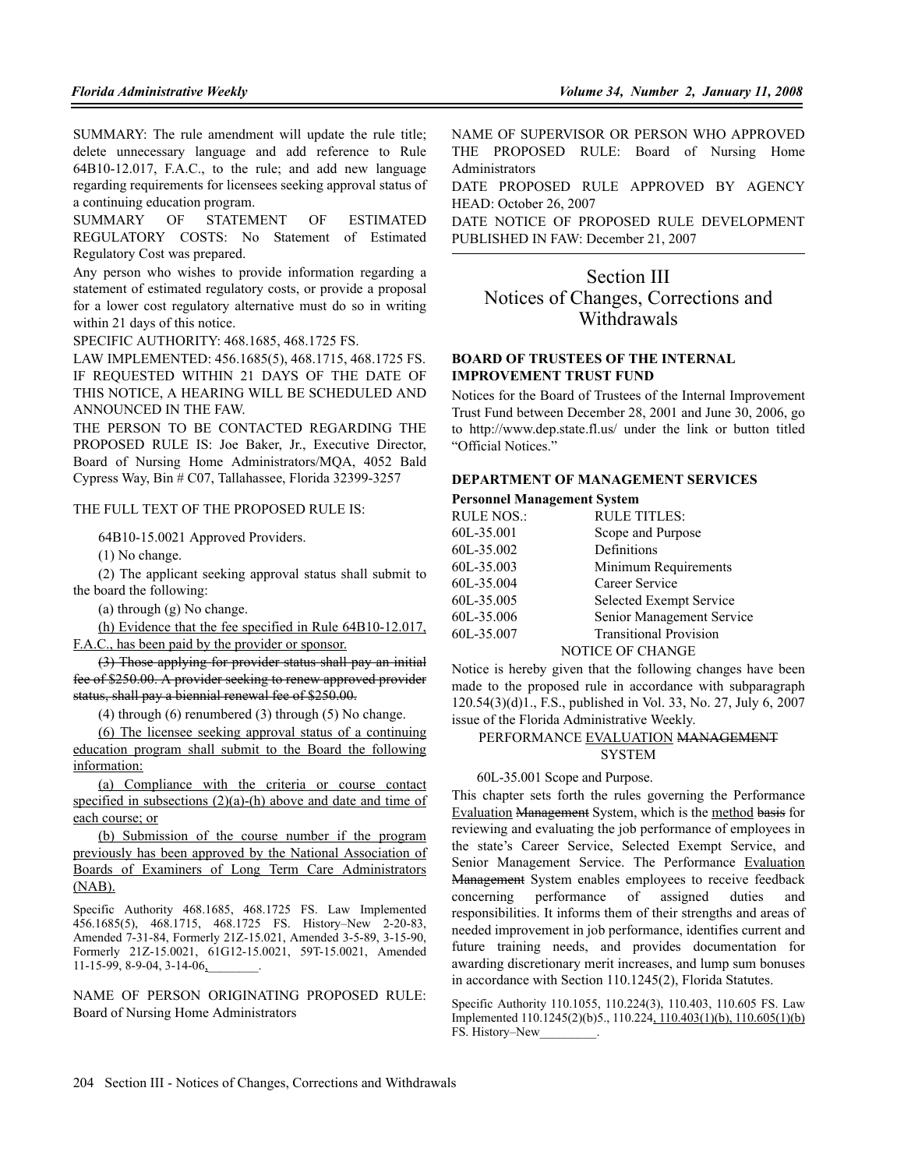SUMMARY: The rule amendment will update the rule title; delete unnecessary language and add reference to Rule 64B10-12.017, F.A.C., to the rule; and add new language regarding requirements for licensees seeking approval status of a continuing education program.

SUMMARY OF STATEMENT OF ESTIMATED REGULATORY COSTS: No Statement of Estimated Regulatory Cost was prepared.

Any person who wishes to provide information regarding a statement of estimated regulatory costs, or provide a proposal for a lower cost regulatory alternative must do so in writing within 21 days of this notice.

SPECIFIC AUTHORITY: 468.1685, 468.1725 FS.

LAW IMPLEMENTED: 456.1685(5), 468.1715, 468.1725 FS. IF REQUESTED WITHIN 21 DAYS OF THE DATE OF THIS NOTICE, A HEARING WILL BE SCHEDULED AND ANNOUNCED IN THE FAW.

THE PERSON TO BE CONTACTED REGARDING THE PROPOSED RULE IS: Joe Baker, Jr., Executive Director, Board of Nursing Home Administrators/MQA, 4052 Bald Cypress Way, Bin # C07, Tallahassee, Florida 32399-3257

#### THE FULL TEXT OF THE PROPOSED RULE IS:

64B10-15.0021 Approved Providers.

(1) No change.

(2) The applicant seeking approval status shall submit to the board the following:

(a) through (g) No change.

(h) Evidence that the fee specified in Rule 64B10-12.017,

F.A.C., has been paid by the provider or sponsor.

(3) Those applying for provider status shall pay an initial fee of \$250.00. A provider seeking to renew approved provider status, shall pay a biennial renewal fee of \$250.00.

(4) through (6) renumbered (3) through (5) No change.

(6) The licensee seeking approval status of a continuing education program shall submit to the Board the following information:

(a) Compliance with the criteria or course contact specified in subsections (2)(a)-(h) above and date and time of each course; or

(b) Submission of the course number if the program previously has been approved by the National Association of Boards of Examiners of Long Term Care Administrators (NAB).

Specific Authority 468.1685, 468.1725 FS. Law Implemented 456.1685(5), 468.1715, 468.1725 FS. History–New 2-20-83, Amended 7-31-84, Formerly 21Z-15.021, Amended 3-5-89, 3-15-90, Formerly 21Z-15.0021, 61G12-15.0021, 59T-15.0021, Amended 11-15-99, 8-9-04, 3-14-06,

NAME OF PERSON ORIGINATING PROPOSED RULE: Board of Nursing Home Administrators

NAME OF SUPERVISOR OR PERSON WHO APPROVED THE PROPOSED RULE: Board of Nursing Home Administrators

DATE PROPOSED RULE APPROVED BY AGENCY HEAD: October 26, 2007

DATE NOTICE OF PROPOSED RULE DEVELOPMENT PUBLISHED IN FAW: December 21, 2007

## Section III Notices of Changes, Corrections and Withdrawals

#### **BOARD OF TRUSTEES OF THE INTERNAL IMPROVEMENT TRUST FUND**

Notices for the Board of Trustees of the Internal Improvement Trust Fund between December 28, 2001 and June 30, 2006, go to http://www.dep.state.fl.us/ under the link or button titled "Official Notices."

#### **DEPARTMENT OF MANAGEMENT SERVICES**

#### **Personnel Management System**

| RULE NOS.: | <b>RULE TITLES:</b>           |
|------------|-------------------------------|
| 60L-35.001 | Scope and Purpose             |
| 60L-35.002 | Definitions                   |
| 60L-35.003 | Minimum Requirements          |
| 60L-35.004 | Career Service                |
| 60L-35.005 | Selected Exempt Service       |
| 60L-35.006 | Senior Management Service     |
| 60L-35.007 | <b>Transitional Provision</b> |
|            | <b>NOTICE OF CHANGE</b>       |
|            |                               |

Notice is hereby given that the following changes have been made to the proposed rule in accordance with subparagraph 120.54(3)(d)1., F.S., published in Vol. 33, No. 27, July 6, 2007 issue of the Florida Administrative Weekly.

## PERFORMANCE EVALUATION MANAGEMENT **SYSTEM**

60L-35.001 Scope and Purpose.

This chapter sets forth the rules governing the Performance Evaluation Management System, which is the method basis for reviewing and evaluating the job performance of employees in the state's Career Service, Selected Exempt Service, and Senior Management Service. The Performance Evaluation Management System enables employees to receive feedback concerning performance of assigned duties and responsibilities. It informs them of their strengths and areas of needed improvement in job performance, identifies current and future training needs, and provides documentation for awarding discretionary merit increases, and lump sum bonuses in accordance with Section 110.1245(2), Florida Statutes.

Specific Authority 110.1055, 110.224(3), 110.403, 110.605 FS. Law Implemented 110.1245(2)(b)5., 110.224, 110.403(1)(b), 110.605(1)(b) FS. History–New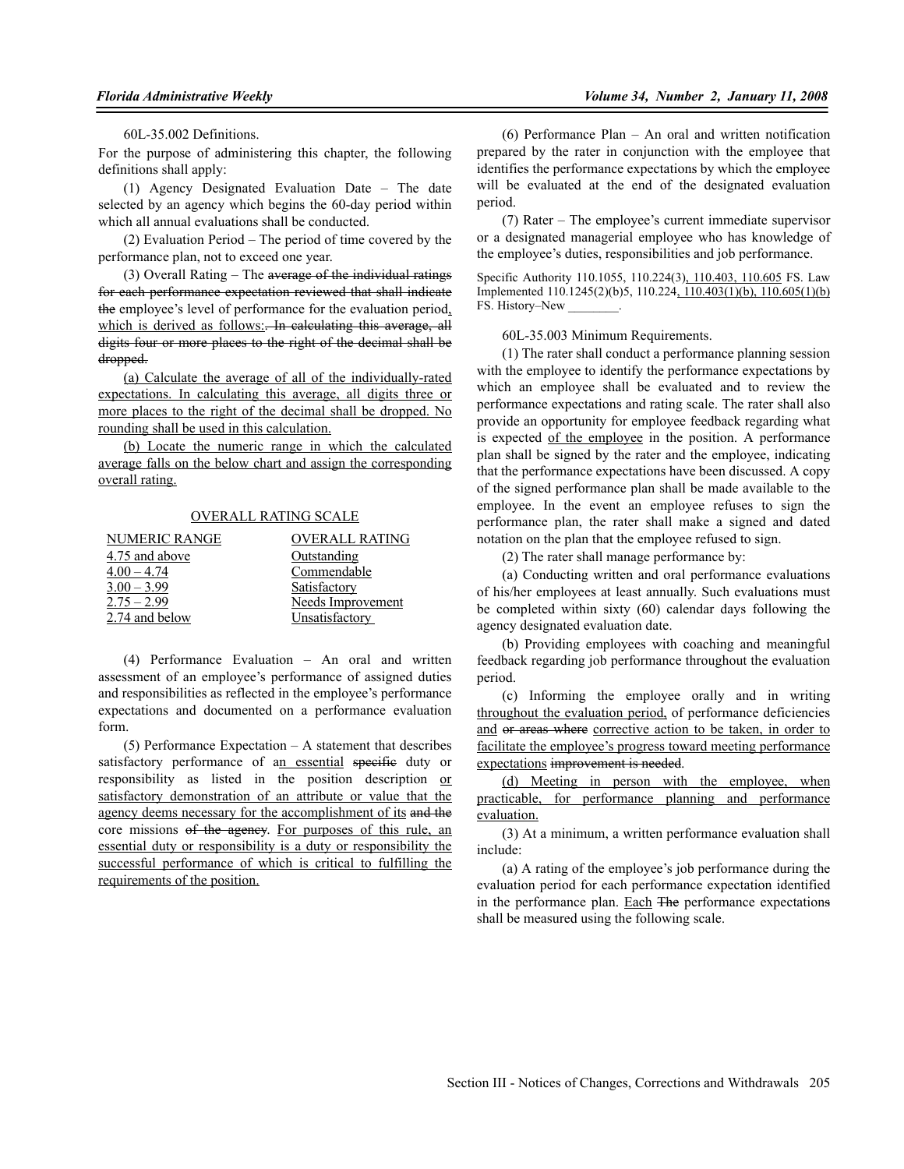60L-35.002 Definitions.

For the purpose of administering this chapter, the following definitions shall apply:

(1) Agency Designated Evaluation Date – The date selected by an agency which begins the 60-day period within which all annual evaluations shall be conducted.

(2) Evaluation Period – The period of time covered by the performance plan, not to exceed one year.

(3) Overall Rating – The average of the individual ratings for each performance expectation reviewed that shall indicate the employee's level of performance for the evaluation period, which is derived as follows: In calculating this average, all digits four or more places to the right of the decimal shall be dropped.

(a) Calculate the average of all of the individually-rated expectations. In calculating this average, all digits three or more places to the right of the decimal shall be dropped. No rounding shall be used in this calculation.

(b) Locate the numeric range in which the calculated average falls on the below chart and assign the corresponding overall rating.

#### OVERALL RATING SCALE

| <b>NUMERIC RANGE</b> | <b>OVERALL RATING</b>    |
|----------------------|--------------------------|
| 4.75 and above       | <b>Outstanding</b>       |
| $4.00 - 4.74$        | Commendable              |
| $3.00 - 3.99$        | Satisfactory             |
| $2.75 - 2.99$        | <b>Needs Improvement</b> |
| 2.74 and below       | Unsatisfactory           |

(4) Performance Evaluation – An oral and written assessment of an employee's performance of assigned duties and responsibilities as reflected in the employee's performance expectations and documented on a performance evaluation form.

(5) Performance Expectation – A statement that describes satisfactory performance of an essential specific duty or responsibility as listed in the position description or satisfactory demonstration of an attribute or value that the agency deems necessary for the accomplishment of its and the core missions of the agency. For purposes of this rule, an essential duty or responsibility is a duty or responsibility the successful performance of which is critical to fulfilling the requirements of the position.

(6) Performance Plan – An oral and written notification prepared by the rater in conjunction with the employee that identifies the performance expectations by which the employee will be evaluated at the end of the designated evaluation period.

(7) Rater – The employee's current immediate supervisor or a designated managerial employee who has knowledge of the employee's duties, responsibilities and job performance.

Specific Authority 110.1055, 110.224(3), 110.403, 110.605 FS. Law Implemented 110.1245(2)(b)5, 110.224, 110.403(1)(b), 110.605(1)(b) FS. History–New

60L-35.003 Minimum Requirements.

(1) The rater shall conduct a performance planning session with the employee to identify the performance expectations by which an employee shall be evaluated and to review the performance expectations and rating scale. The rater shall also provide an opportunity for employee feedback regarding what is expected of the employee in the position. A performance plan shall be signed by the rater and the employee, indicating that the performance expectations have been discussed. A copy of the signed performance plan shall be made available to the employee. In the event an employee refuses to sign the performance plan, the rater shall make a signed and dated notation on the plan that the employee refused to sign.

(2) The rater shall manage performance by:

(a) Conducting written and oral performance evaluations of his/her employees at least annually. Such evaluations must be completed within sixty (60) calendar days following the agency designated evaluation date.

(b) Providing employees with coaching and meaningful feedback regarding job performance throughout the evaluation period.

(c) Informing the employee orally and in writing throughout the evaluation period, of performance deficiencies and or areas where corrective action to be taken, in order to facilitate the employee's progress toward meeting performance expectations improvement is needed.

(d) Meeting in person with the employee, when practicable, for performance planning and performance evaluation.

(3) At a minimum, a written performance evaluation shall include:

(a) A rating of the employee's job performance during the evaluation period for each performance expectation identified in the performance plan. Each The performance expectations shall be measured using the following scale.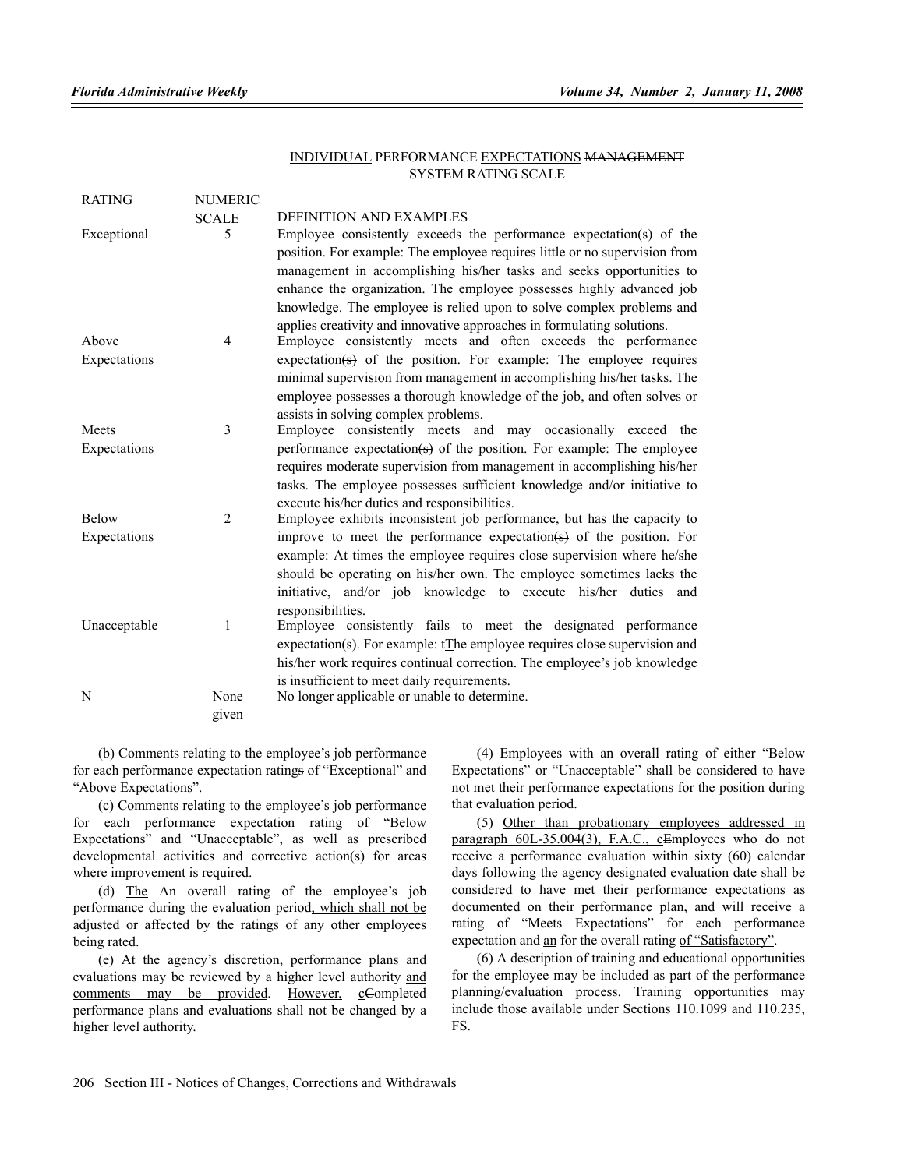#### INDIVIDUAL PERFORMANCE EXPECTATIONS MANAGEMENT SYSTEM RATING SCALE

| <b>RATING</b>                | <b>NUMERIC</b> |                                                                                                                                                                                                                                                                                                                                                                                                                                                                       |
|------------------------------|----------------|-----------------------------------------------------------------------------------------------------------------------------------------------------------------------------------------------------------------------------------------------------------------------------------------------------------------------------------------------------------------------------------------------------------------------------------------------------------------------|
|                              | <b>SCALE</b>   | DEFINITION AND EXAMPLES                                                                                                                                                                                                                                                                                                                                                                                                                                               |
| Exceptional                  | 5              | Employee consistently exceeds the performance expectation( $\leftrightarrow$ ) of the<br>position. For example: The employee requires little or no supervision from<br>management in accomplishing his/her tasks and seeks opportunities to<br>enhance the organization. The employee possesses highly advanced job<br>knowledge. The employee is relied upon to solve complex problems and<br>applies creativity and innovative approaches in formulating solutions. |
| Above                        | $\overline{4}$ | Employee consistently meets and often exceeds the performance                                                                                                                                                                                                                                                                                                                                                                                                         |
| Expectations                 |                | expectation( $\left(\frac{1}{5}\right)$ of the position. For example: The employee requires<br>minimal supervision from management in accomplishing his/her tasks. The<br>employee possesses a thorough knowledge of the job, and often solves or<br>assists in solving complex problems.                                                                                                                                                                             |
| Meets                        | 3              | Employee consistently meets and may occasionally exceed the                                                                                                                                                                                                                                                                                                                                                                                                           |
| Expectations                 |                | performance expectation( $\Theta$ ) of the position. For example: The employee<br>requires moderate supervision from management in accomplishing his/her<br>tasks. The employee possesses sufficient knowledge and/or initiative to<br>execute his/her duties and responsibilities.                                                                                                                                                                                   |
| <b>Below</b><br>Expectations | 2              | Employee exhibits inconsistent job performance, but has the capacity to<br>improve to meet the performance expectation( $\Rightarrow$ ) of the position. For<br>example. At times the employee requires close supervision where he/she<br>should be operating on his/her own. The employee sometimes lacks the<br>initiative, and/or job knowledge to execute his/her duties and<br>responsibilities.                                                                 |
| Unacceptable                 | 1              | Employee consistently fails to meet the designated performance<br>expectation( $\epsilon$ ). For example: $t$ The employee requires close supervision and<br>his/her work requires continual correction. The employee's job knowledge<br>is insufficient to meet daily requirements.                                                                                                                                                                                  |
| N                            | None<br>given  | No longer applicable or unable to determine.                                                                                                                                                                                                                                                                                                                                                                                                                          |

(b) Comments relating to the employee's job performance for each performance expectation ratings of "Exceptional" and "Above Expectations".

(c) Comments relating to the employee's job performance for each performance expectation rating of "Below Expectations" and "Unacceptable", as well as prescribed developmental activities and corrective action(s) for areas where improvement is required.

(d) The An overall rating of the employee's job performance during the evaluation period, which shall not be adjusted or affected by the ratings of any other employees being rated.

(e) At the agency's discretion, performance plans and evaluations may be reviewed by a higher level authority and comments may be provided. However, cCompleted performance plans and evaluations shall not be changed by a higher level authority.

(4) Employees with an overall rating of either "Below Expectations" or "Unacceptable" shall be considered to have not met their performance expectations for the position during that evaluation period.

(5) Other than probationary employees addressed in paragraph 60L-35.004(3), F.A.C., eEmployees who do not receive a performance evaluation within sixty (60) calendar days following the agency designated evaluation date shall be considered to have met their performance expectations as documented on their performance plan, and will receive a rating of "Meets Expectations" for each performance expectation and an for the overall rating of "Satisfactory".

(6) A description of training and educational opportunities for the employee may be included as part of the performance planning/evaluation process. Training opportunities may include those available under Sections 110.1099 and 110.235, FS.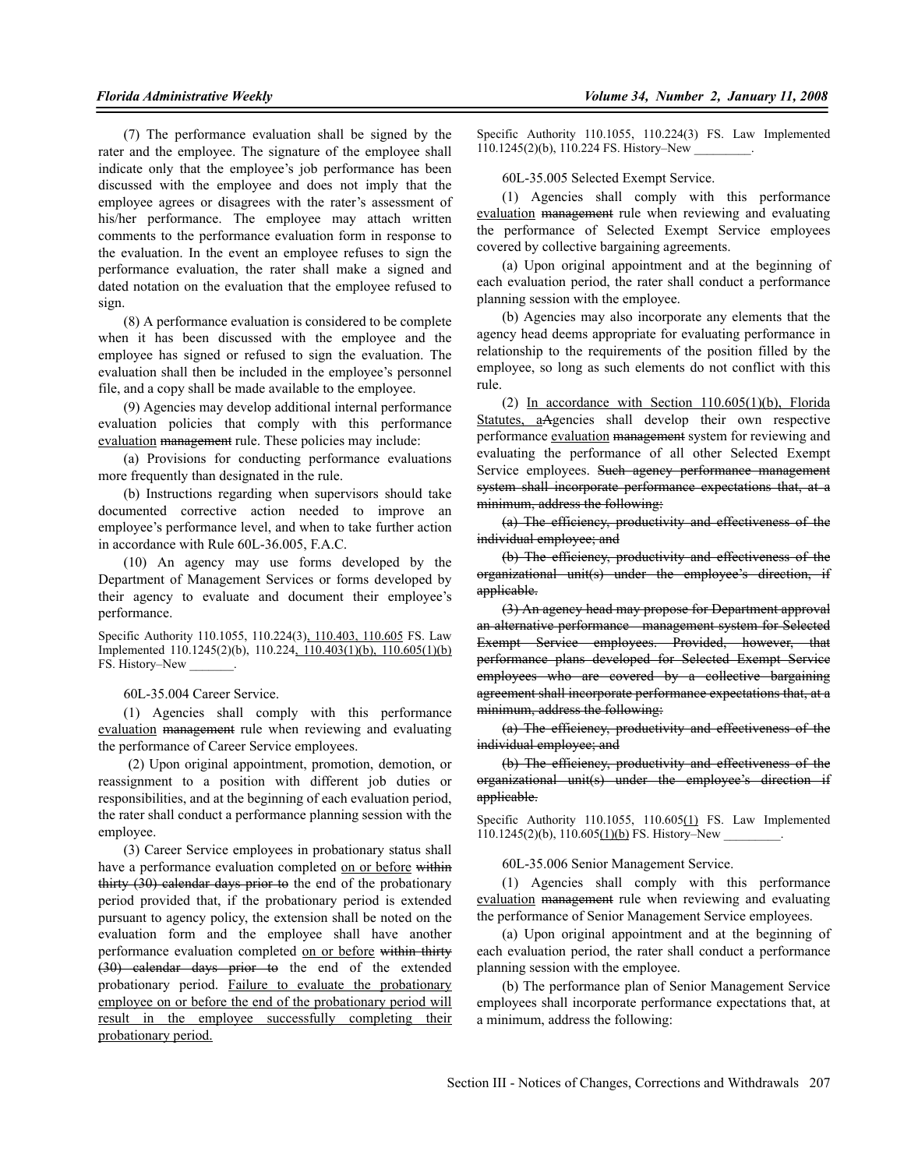(7) The performance evaluation shall be signed by the rater and the employee. The signature of the employee shall indicate only that the employee's job performance has been discussed with the employee and does not imply that the employee agrees or disagrees with the rater's assessment of his/her performance. The employee may attach written comments to the performance evaluation form in response to the evaluation. In the event an employee refuses to sign the performance evaluation, the rater shall make a signed and dated notation on the evaluation that the employee refused to sign.

(8) A performance evaluation is considered to be complete when it has been discussed with the employee and the employee has signed or refused to sign the evaluation. The evaluation shall then be included in the employee's personnel file, and a copy shall be made available to the employee.

(9) Agencies may develop additional internal performance evaluation policies that comply with this performance evaluation management rule. These policies may include:

(a) Provisions for conducting performance evaluations more frequently than designated in the rule.

(b) Instructions regarding when supervisors should take documented corrective action needed to improve an employee's performance level, and when to take further action in accordance with Rule 60L-36.005, F.A.C.

(10) An agency may use forms developed by the Department of Management Services or forms developed by their agency to evaluate and document their employee's performance.

Specific Authority 110.1055, 110.224(3), 110.403, 110.605 FS. Law Implemented 110.1245(2)(b), 110.224, 110.403(1)(b), 110.605(1)(b) FS. History–New

60L-35.004 Career Service.

(1) Agencies shall comply with this performance evaluation management rule when reviewing and evaluating the performance of Career Service employees.

 (2) Upon original appointment, promotion, demotion, or reassignment to a position with different job duties or responsibilities, and at the beginning of each evaluation period, the rater shall conduct a performance planning session with the employee.

(3) Career Service employees in probationary status shall have a performance evaluation completed on or before within thirty (30) calendar days prior to the end of the probationary period provided that, if the probationary period is extended pursuant to agency policy, the extension shall be noted on the evaluation form and the employee shall have another performance evaluation completed on or before within thirty (30) calendar days prior to the end of the extended probationary period. Failure to evaluate the probationary employee on or before the end of the probationary period will result in the employee successfully completing their probationary period.

Specific Authority 110.1055, 110.224(3) FS. Law Implemented  $110.1245(2)(b)$ ,  $110.224$  FS. History–New

60L-35.005 Selected Exempt Service.

(1) Agencies shall comply with this performance evaluation management rule when reviewing and evaluating the performance of Selected Exempt Service employees covered by collective bargaining agreements.

(a) Upon original appointment and at the beginning of each evaluation period, the rater shall conduct a performance planning session with the employee.

(b) Agencies may also incorporate any elements that the agency head deems appropriate for evaluating performance in relationship to the requirements of the position filled by the employee, so long as such elements do not conflict with this rule.

(2) In accordance with Section 110.605(1)(b), Florida Statutes, aAgencies shall develop their own respective performance evaluation management system for reviewing and evaluating the performance of all other Selected Exempt Service employees. Such agency performance management system shall incorporate performance expectations that, at a minimum, address the following:

(a) The efficiency, productivity and effectiveness of the individual employee; and

(b) The efficiency, productivity and effectiveness of the organizational unit(s) under the employee's direction, if applicable.

(3) An agency head may propose for Department approval an alternative performance management system for Selected Exempt Service employees. Provided, however, that performance plans developed for Selected Exempt Service employees who are covered by a collective bargaining agreement shall incorporate performance expectations that, at a minimum, address the following:

(a) The efficiency, productivity and effectiveness of the individual employee; and

(b) The efficiency, productivity and effectiveness of the organizational unit(s) under the employee's direction if applicable.

Specific Authority 110.1055, 110.605(1) FS. Law Implemented  $110.1245(2)(b)$ ,  $110.605(1)(b)$  FS. History–New .

60L-35.006 Senior Management Service.

(1) Agencies shall comply with this performance evaluation management rule when reviewing and evaluating the performance of Senior Management Service employees.

(a) Upon original appointment and at the beginning of each evaluation period, the rater shall conduct a performance planning session with the employee.

(b) The performance plan of Senior Management Service employees shall incorporate performance expectations that, at a minimum, address the following: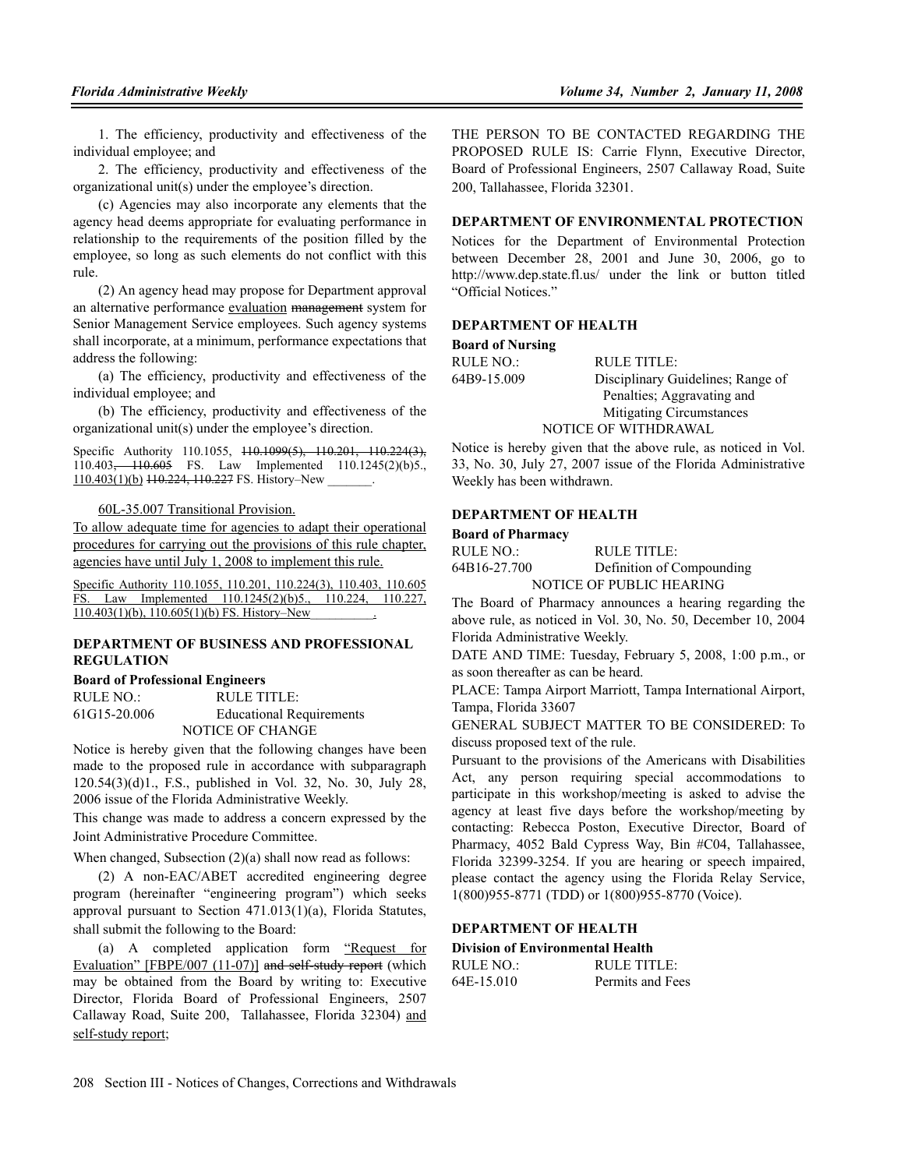1. The efficiency, productivity and effectiveness of the individual employee; and

2. The efficiency, productivity and effectiveness of the organizational unit(s) under the employee's direction.

(c) Agencies may also incorporate any elements that the agency head deems appropriate for evaluating performance in relationship to the requirements of the position filled by the employee, so long as such elements do not conflict with this rule.

(2) An agency head may propose for Department approval an alternative performance evaluation management system for Senior Management Service employees. Such agency systems shall incorporate, at a minimum, performance expectations that address the following:

(a) The efficiency, productivity and effectiveness of the individual employee; and

(b) The efficiency, productivity and effectiveness of the organizational unit(s) under the employee's direction.

Specific Authority 110.1055, <del>110.1099(5), 110.201, 110.224(3),</del> 110.403, 110.605 FS. Law Implemented 110.1245(2)(b)5.,  $110.403(1)$ (b)  $110.224$ ,  $110.227$  FS. History–New ...

60L-35.007 Transitional Provision.

To allow adequate time for agencies to adapt their operational procedures for carrying out the provisions of this rule chapter, agencies have until July 1, 2008 to implement this rule.

Specific Authority 110.1055, 110.201, 110.224(3), 110.403, 110.605 FS. Law Implemented 110.1245(2)(b)5., 110.224, 110.227,  $110.403(1)(b)$ ,  $110.605(1)(b)$  FS. History–New

#### **DEPARTMENT OF BUSINESS AND PROFESSIONAL REGULATION**

#### **Board of Professional Engineers**

RULE NO.: RULE TITLE: 61G15-20.006 Educational Requirements NOTICE OF CHANGE

Notice is hereby given that the following changes have been made to the proposed rule in accordance with subparagraph 120.54(3)(d)1., F.S., published in Vol. 32, No. 30, July 28, 2006 issue of the Florida Administrative Weekly.

This change was made to address a concern expressed by the Joint Administrative Procedure Committee.

When changed, Subsection (2)(a) shall now read as follows:

(2) A non-EAC/ABET accredited engineering degree program (hereinafter "engineering program") which seeks approval pursuant to Section 471.013(1)(a), Florida Statutes, shall submit the following to the Board:

(a) A completed application form "Request for Evaluation" [FBPE/007 (11-07)] and self-study report (which may be obtained from the Board by writing to: Executive Director, Florida Board of Professional Engineers, 2507 Callaway Road, Suite 200, Tallahassee, Florida 32304) and self-study report;

THE PERSON TO BE CONTACTED REGARDING THE PROPOSED RULE IS: Carrie Flynn, Executive Director, Board of Professional Engineers, 2507 Callaway Road, Suite 200, Tallahassee, Florida 32301.

#### **DEPARTMENT OF ENVIRONMENTAL PROTECTION**

Notices for the Department of Environmental Protection between December 28, 2001 and June 30, 2006, go to http://www.dep.state.fl.us/ under the link or button titled "Official Notices."

#### **DEPARTMENT OF HEALTH**

#### **Board of Nursing**

| RULE NO.:   | RULE TITLE:                       |
|-------------|-----------------------------------|
| 64B9-15.009 | Disciplinary Guidelines; Range of |
|             | Penalties; Aggravating and        |
|             | Mitigating Circumstances          |
|             | <b>NOTICE OF WITHDRAWAL</b>       |

Notice is hereby given that the above rule, as noticed in Vol. 33, No. 30, July 27, 2007 issue of the Florida Administrative Weekly has been withdrawn.

## **DEPARTMENT OF HEALTH**

| <b>Board of Pharmacy</b> |                           |
|--------------------------|---------------------------|
| RULE NO.:                | RULE TITLE:               |
| 64B16-27.700             | Definition of Compounding |
|                          | NOTICE OF PUBLIC HEARING  |

The Board of Pharmacy announces a hearing regarding the above rule, as noticed in Vol. 30, No. 50, December 10, 2004 Florida Administrative Weekly.

DATE AND TIME: Tuesday, February 5, 2008, 1:00 p.m., or as soon thereafter as can be heard.

PLACE: Tampa Airport Marriott, Tampa International Airport, Tampa, Florida 33607

GENERAL SUBJECT MATTER TO BE CONSIDERED: To discuss proposed text of the rule.

Pursuant to the provisions of the Americans with Disabilities Act, any person requiring special accommodations to participate in this workshop/meeting is asked to advise the agency at least five days before the workshop/meeting by contacting: Rebecca Poston, Executive Director, Board of Pharmacy, 4052 Bald Cypress Way, Bin #C04, Tallahassee, Florida 32399-3254. If you are hearing or speech impaired, please contact the agency using the Florida Relay Service, 1(800)955-8771 (TDD) or 1(800)955-8770 (Voice).

### **DEPARTMENT OF HEALTH**

**Division of Environmental Health**

| RULE NO.:  | RULE TITLE:      |
|------------|------------------|
| 64E-15.010 | Permits and Fees |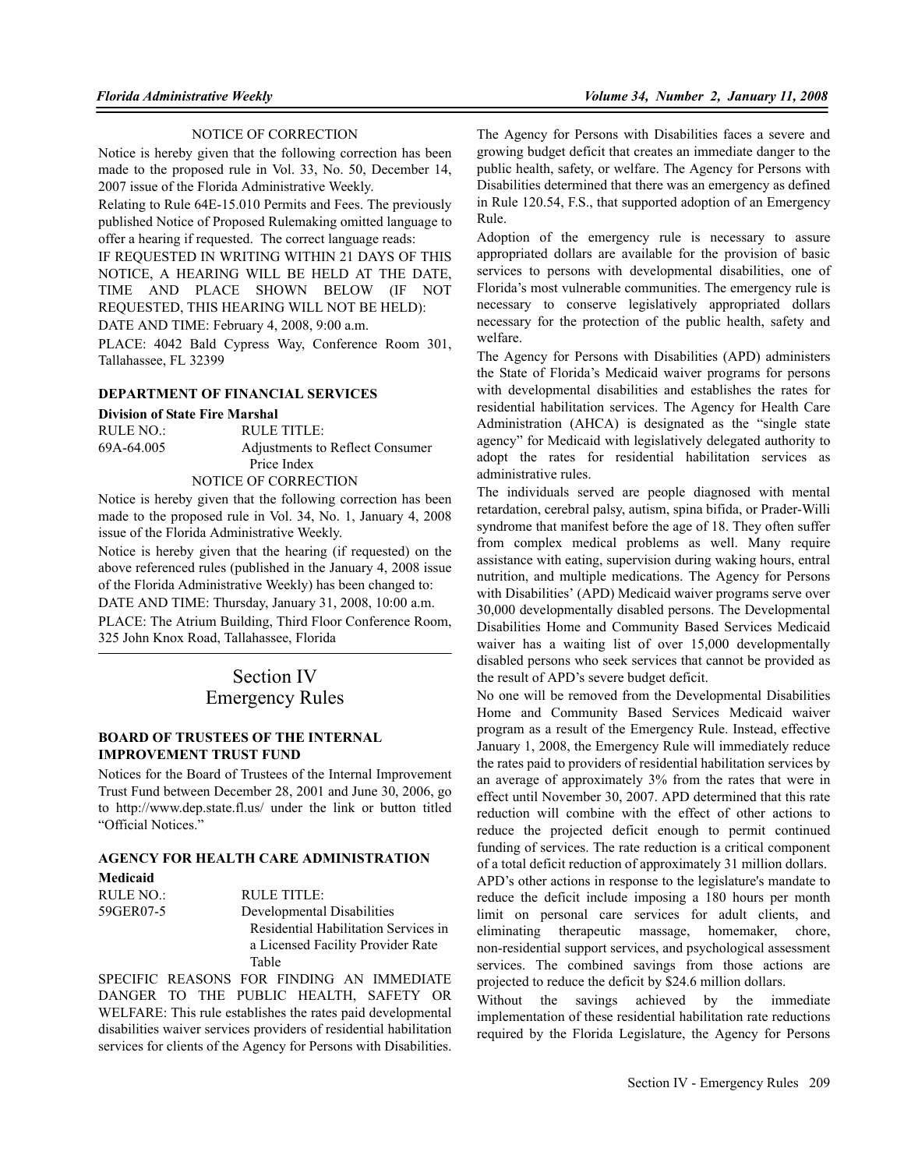#### NOTICE OF CORRECTION

Notice is hereby given that the following correction has been made to the proposed rule in Vol. 33, No. 50, December 14, 2007 issue of the Florida Administrative Weekly.

Relating to Rule 64E-15.010 Permits and Fees. The previously published Notice of Proposed Rulemaking omitted language to offer a hearing if requested. The correct language reads:

IF REQUESTED IN WRITING WITHIN 21 DAYS OF THIS NOTICE, A HEARING WILL BE HELD AT THE DATE, TIME AND PLACE SHOWN BELOW (IF NOT REQUESTED, THIS HEARING WILL NOT BE HELD):

DATE AND TIME: February 4, 2008, 9:00 a.m.

PLACE: 4042 Bald Cypress Way, Conference Room 301, Tallahassee, FL 32399

## **DEPARTMENT OF FINANCIAL SERVICES**

#### **Division of State Fire Marshal**

| RULE NO.:  | RULE TITLE:                     |
|------------|---------------------------------|
| 69A-64.005 | Adjustments to Reflect Consumer |
|            | Price Index                     |
|            | NOTICE OF CORRECTION            |

Notice is hereby given that the following correction has been made to the proposed rule in Vol. 34, No. 1, January 4, 2008 issue of the Florida Administrative Weekly.

Notice is hereby given that the hearing (if requested) on the above referenced rules (published in the January 4, 2008 issue of the Florida Administrative Weekly) has been changed to: DATE AND TIME: Thursday, January 31, 2008, 10:00 a.m. PLACE: The Atrium Building, Third Floor Conference Room, 325 John Knox Road, Tallahassee, Florida

## Section IV Emergency Rules

#### **BOARD OF TRUSTEES OF THE INTERNAL IMPROVEMENT TRUST FUND**

Notices for the Board of Trustees of the Internal Improvement Trust Fund between December 28, 2001 and June 30, 2006, go to http://www.dep.state.fl.us/ under the link or button titled "Official Notices."

#### **AGENCY FOR HEALTH CARE ADMINISTRATION Medicaid**

| Medicaid  |                                      |
|-----------|--------------------------------------|
| RULE NO.: | RULE TITLE:                          |
| 59GER07-5 | Developmental Disabilities           |
|           | Residential Habilitation Services in |
|           | a Licensed Facility Provider Rate    |
|           | Table                                |

SPECIFIC REASONS FOR FINDING AN IMMEDIATE DANGER TO THE PUBLIC HEALTH, SAFETY OR WELFARE: This rule establishes the rates paid developmental disabilities waiver services providers of residential habilitation services for clients of the Agency for Persons with Disabilities.

The Agency for Persons with Disabilities faces a severe and growing budget deficit that creates an immediate danger to the public health, safety, or welfare. The Agency for Persons with Disabilities determined that there was an emergency as defined in Rule 120.54, F.S., that supported adoption of an Emergency Rule.

Adoption of the emergency rule is necessary to assure appropriated dollars are available for the provision of basic services to persons with developmental disabilities, one of Florida's most vulnerable communities. The emergency rule is necessary to conserve legislatively appropriated dollars necessary for the protection of the public health, safety and welfare.

The Agency for Persons with Disabilities (APD) administers the State of Florida's Medicaid waiver programs for persons with developmental disabilities and establishes the rates for residential habilitation services. The Agency for Health Care Administration (AHCA) is designated as the "single state agency" for Medicaid with legislatively delegated authority to adopt the rates for residential habilitation services as administrative rules.

The individuals served are people diagnosed with mental retardation, cerebral palsy, autism, spina bifida, or Prader-Willi syndrome that manifest before the age of 18. They often suffer from complex medical problems as well. Many require assistance with eating, supervision during waking hours, entral nutrition, and multiple medications. The Agency for Persons with Disabilities' (APD) Medicaid waiver programs serve over 30,000 developmentally disabled persons. The Developmental Disabilities Home and Community Based Services Medicaid waiver has a waiting list of over 15,000 developmentally disabled persons who seek services that cannot be provided as the result of APD's severe budget deficit.

No one will be removed from the Developmental Disabilities Home and Community Based Services Medicaid waiver program as a result of the Emergency Rule. Instead, effective January 1, 2008, the Emergency Rule will immediately reduce the rates paid to providers of residential habilitation services by an average of approximately 3% from the rates that were in effect until November 30, 2007. APD determined that this rate reduction will combine with the effect of other actions to reduce the projected deficit enough to permit continued funding of services. The rate reduction is a critical component of a total deficit reduction of approximately 31 million dollars.

APD's other actions in response to the legislature's mandate to reduce the deficit include imposing a 180 hours per month limit on personal care services for adult clients, and eliminating therapeutic massage, homemaker, chore, non-residential support services, and psychological assessment services. The combined savings from those actions are projected to reduce the deficit by \$24.6 million dollars.

Without the savings achieved by the immediate implementation of these residential habilitation rate reductions required by the Florida Legislature, the Agency for Persons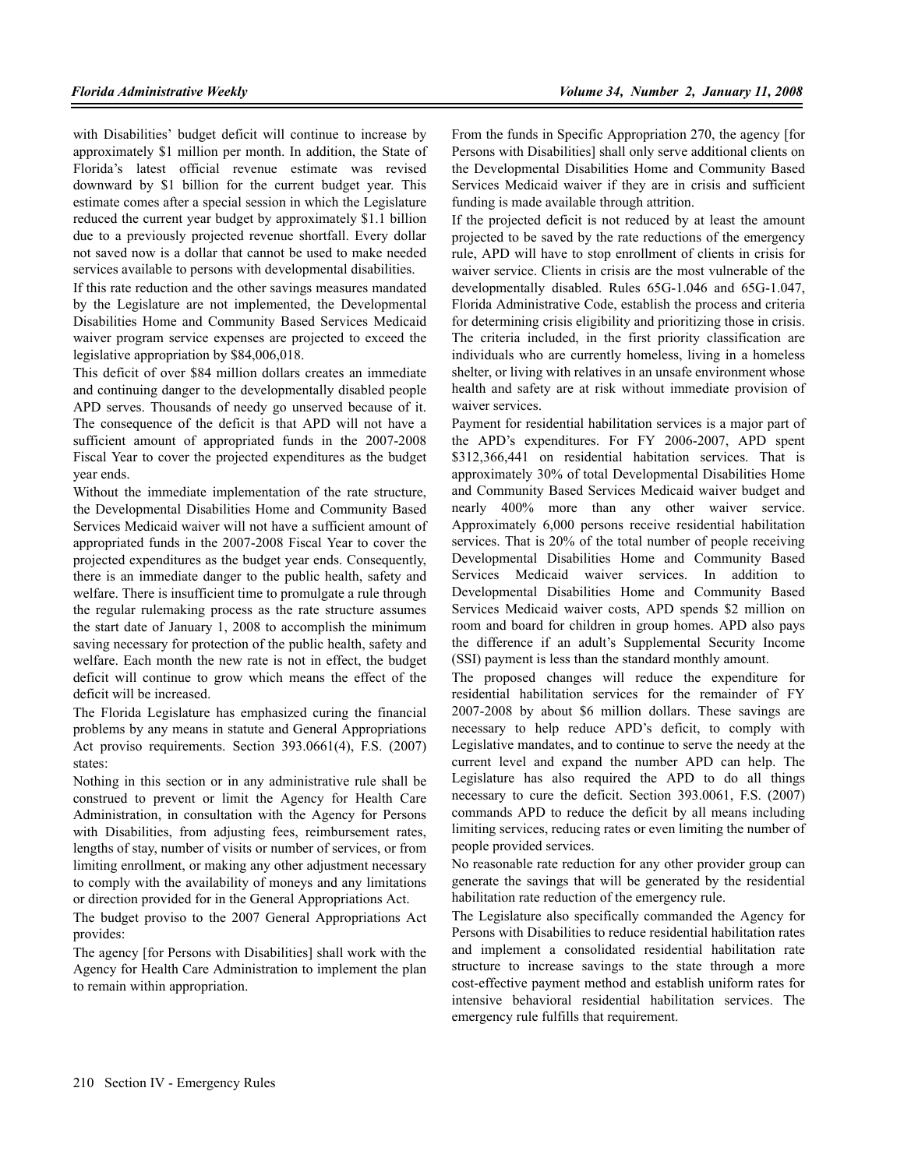with Disabilities' budget deficit will continue to increase by approximately \$1 million per month. In addition, the State of Florida's latest official revenue estimate was revised downward by \$1 billion for the current budget year. This estimate comes after a special session in which the Legislature reduced the current year budget by approximately \$1.1 billion due to a previously projected revenue shortfall. Every dollar not saved now is a dollar that cannot be used to make needed services available to persons with developmental disabilities.

If this rate reduction and the other savings measures mandated by the Legislature are not implemented, the Developmental Disabilities Home and Community Based Services Medicaid waiver program service expenses are projected to exceed the legislative appropriation by \$84,006,018.

This deficit of over \$84 million dollars creates an immediate and continuing danger to the developmentally disabled people APD serves. Thousands of needy go unserved because of it. The consequence of the deficit is that APD will not have a sufficient amount of appropriated funds in the 2007-2008 Fiscal Year to cover the projected expenditures as the budget year ends.

Without the immediate implementation of the rate structure, the Developmental Disabilities Home and Community Based Services Medicaid waiver will not have a sufficient amount of appropriated funds in the 2007-2008 Fiscal Year to cover the projected expenditures as the budget year ends. Consequently, there is an immediate danger to the public health, safety and welfare. There is insufficient time to promulgate a rule through the regular rulemaking process as the rate structure assumes the start date of January 1, 2008 to accomplish the minimum saving necessary for protection of the public health, safety and welfare. Each month the new rate is not in effect, the budget deficit will continue to grow which means the effect of the deficit will be increased.

The Florida Legislature has emphasized curing the financial problems by any means in statute and General Appropriations Act proviso requirements. Section 393.0661(4), F.S. (2007) states:

Nothing in this section or in any administrative rule shall be construed to prevent or limit the Agency for Health Care Administration, in consultation with the Agency for Persons with Disabilities, from adjusting fees, reimbursement rates, lengths of stay, number of visits or number of services, or from limiting enrollment, or making any other adjustment necessary to comply with the availability of moneys and any limitations or direction provided for in the General Appropriations Act.

The budget proviso to the 2007 General Appropriations Act provides:

The agency [for Persons with Disabilities] shall work with the Agency for Health Care Administration to implement the plan to remain within appropriation.

From the funds in Specific Appropriation 270, the agency [for Persons with Disabilities] shall only serve additional clients on the Developmental Disabilities Home and Community Based Services Medicaid waiver if they are in crisis and sufficient funding is made available through attrition.

If the projected deficit is not reduced by at least the amount projected to be saved by the rate reductions of the emergency rule, APD will have to stop enrollment of clients in crisis for waiver service. Clients in crisis are the most vulnerable of the developmentally disabled. Rules 65G-1.046 and 65G-1.047, Florida Administrative Code, establish the process and criteria for determining crisis eligibility and prioritizing those in crisis. The criteria included, in the first priority classification are individuals who are currently homeless, living in a homeless shelter, or living with relatives in an unsafe environment whose health and safety are at risk without immediate provision of waiver services.

Payment for residential habilitation services is a major part of the APD's expenditures. For FY 2006-2007, APD spent \$312,366,441 on residential habitation services. That is approximately 30% of total Developmental Disabilities Home and Community Based Services Medicaid waiver budget and nearly 400% more than any other waiver service. Approximately 6,000 persons receive residential habilitation services. That is 20% of the total number of people receiving Developmental Disabilities Home and Community Based Services Medicaid waiver services. In addition to Developmental Disabilities Home and Community Based Services Medicaid waiver costs, APD spends \$2 million on room and board for children in group homes. APD also pays the difference if an adult's Supplemental Security Income (SSI) payment is less than the standard monthly amount.

The proposed changes will reduce the expenditure for residential habilitation services for the remainder of FY 2007-2008 by about \$6 million dollars. These savings are necessary to help reduce APD's deficit, to comply with Legislative mandates, and to continue to serve the needy at the current level and expand the number APD can help. The Legislature has also required the APD to do all things necessary to cure the deficit. Section 393.0061, F.S. (2007) commands APD to reduce the deficit by all means including limiting services, reducing rates or even limiting the number of people provided services.

No reasonable rate reduction for any other provider group can generate the savings that will be generated by the residential habilitation rate reduction of the emergency rule.

The Legislature also specifically commanded the Agency for Persons with Disabilities to reduce residential habilitation rates and implement a consolidated residential habilitation rate structure to increase savings to the state through a more cost-effective payment method and establish uniform rates for intensive behavioral residential habilitation services. The emergency rule fulfills that requirement.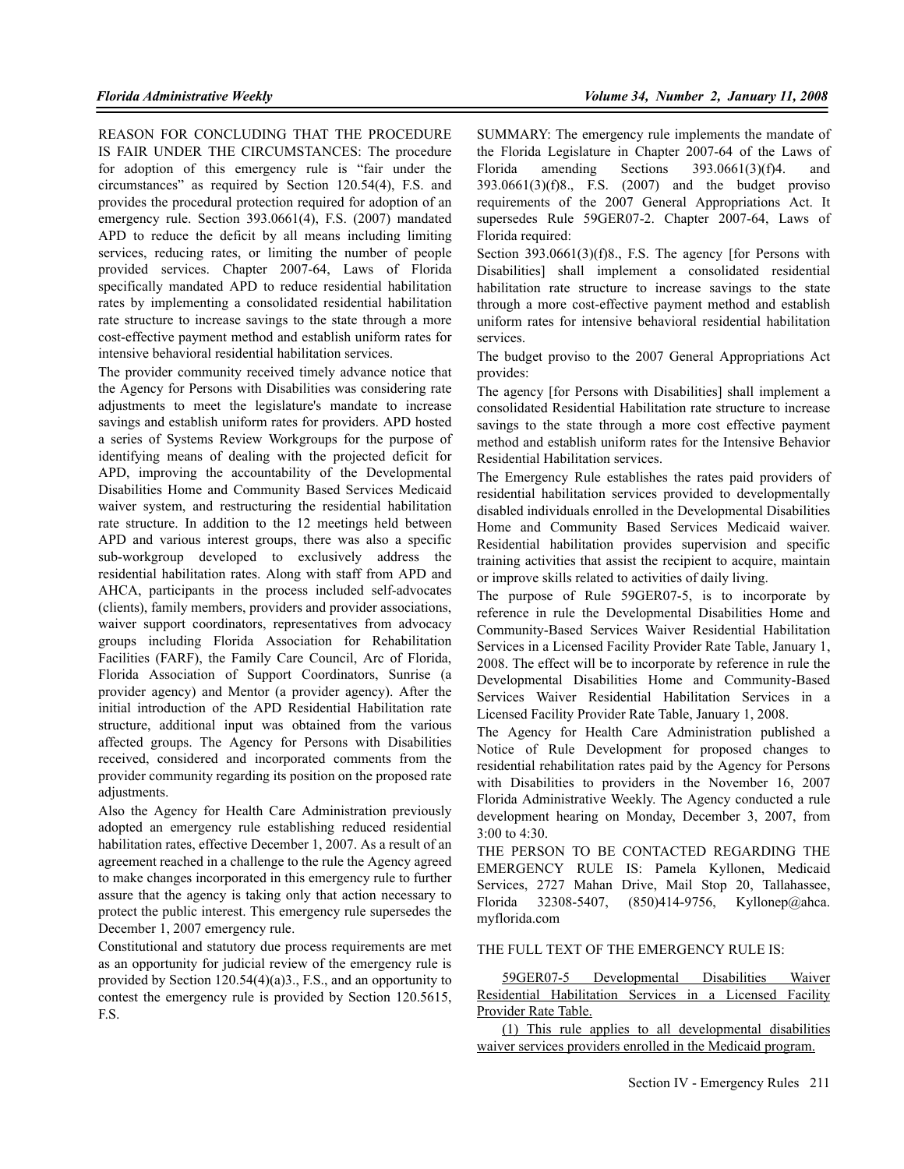REASON FOR CONCLUDING THAT THE PROCEDURE IS FAIR UNDER THE CIRCUMSTANCES: The procedure for adoption of this emergency rule is "fair under the circumstances" as required by Section 120.54(4), F.S. and provides the procedural protection required for adoption of an emergency rule. Section 393.0661(4), F.S. (2007) mandated APD to reduce the deficit by all means including limiting services, reducing rates, or limiting the number of people provided services. Chapter 2007-64, Laws of Florida specifically mandated APD to reduce residential habilitation rates by implementing a consolidated residential habilitation rate structure to increase savings to the state through a more cost-effective payment method and establish uniform rates for intensive behavioral residential habilitation services.

The provider community received timely advance notice that the Agency for Persons with Disabilities was considering rate adjustments to meet the legislature's mandate to increase savings and establish uniform rates for providers. APD hosted a series of Systems Review Workgroups for the purpose of identifying means of dealing with the projected deficit for APD, improving the accountability of the Developmental Disabilities Home and Community Based Services Medicaid waiver system, and restructuring the residential habilitation rate structure. In addition to the 12 meetings held between APD and various interest groups, there was also a specific sub-workgroup developed to exclusively address the residential habilitation rates. Along with staff from APD and AHCA, participants in the process included self-advocates (clients), family members, providers and provider associations, waiver support coordinators, representatives from advocacy groups including Florida Association for Rehabilitation Facilities (FARF), the Family Care Council, Arc of Florida, Florida Association of Support Coordinators, Sunrise (a provider agency) and Mentor (a provider agency). After the initial introduction of the APD Residential Habilitation rate structure, additional input was obtained from the various affected groups. The Agency for Persons with Disabilities received, considered and incorporated comments from the provider community regarding its position on the proposed rate adjustments.

Also the Agency for Health Care Administration previously adopted an emergency rule establishing reduced residential habilitation rates, effective December 1, 2007. As a result of an agreement reached in a challenge to the rule the Agency agreed to make changes incorporated in this emergency rule to further assure that the agency is taking only that action necessary to protect the public interest. This emergency rule supersedes the December 1, 2007 emergency rule.

Constitutional and statutory due process requirements are met as an opportunity for judicial review of the emergency rule is provided by Section 120.54(4)(a)3., F.S., and an opportunity to contest the emergency rule is provided by Section 120.5615, F.S.

SUMMARY: The emergency rule implements the mandate of the Florida Legislature in Chapter 2007-64 of the Laws of Florida amending Sections 393.0661(3)(f)4. and 393.0661(3)(f)8., F.S. (2007) and the budget proviso requirements of the 2007 General Appropriations Act. It supersedes Rule 59GER07-2. Chapter 2007-64, Laws of Florida required:

Section 393.0661(3)(f)8., F.S. The agency [for Persons with Disabilities] shall implement a consolidated residential habilitation rate structure to increase savings to the state through a more cost-effective payment method and establish uniform rates for intensive behavioral residential habilitation services.

The budget proviso to the 2007 General Appropriations Act provides:

The agency [for Persons with Disabilities] shall implement a consolidated Residential Habilitation rate structure to increase savings to the state through a more cost effective payment method and establish uniform rates for the Intensive Behavior Residential Habilitation services.

The Emergency Rule establishes the rates paid providers of residential habilitation services provided to developmentally disabled individuals enrolled in the Developmental Disabilities Home and Community Based Services Medicaid waiver. Residential habilitation provides supervision and specific training activities that assist the recipient to acquire, maintain or improve skills related to activities of daily living.

The purpose of Rule 59GER07-5, is to incorporate by reference in rule the Developmental Disabilities Home and Community-Based Services Waiver Residential Habilitation Services in a Licensed Facility Provider Rate Table, January 1, 2008. The effect will be to incorporate by reference in rule the Developmental Disabilities Home and Community-Based Services Waiver Residential Habilitation Services in a Licensed Facility Provider Rate Table, January 1, 2008.

The Agency for Health Care Administration published a Notice of Rule Development for proposed changes to residential rehabilitation rates paid by the Agency for Persons with Disabilities to providers in the November 16, 2007 Florida Administrative Weekly. The Agency conducted a rule development hearing on Monday, December 3, 2007, from 3:00 to 4:30.

THE PERSON TO BE CONTACTED REGARDING THE EMERGENCY RULE IS: Pamela Kyllonen, Medicaid Services, 2727 Mahan Drive, Mail Stop 20, Tallahassee, Florida 32308-5407,  $(850)414-9756$ , Kyllonep@ahca. myflorida.com

## THE FULL TEXT OF THE EMERGENCY RULE IS:

59GER07-5 Developmental Disabilities Waiver Residential Habilitation Services in a Licensed Facility Provider Rate Table.

(1) This rule applies to all developmental disabilities waiver services providers enrolled in the Medicaid program.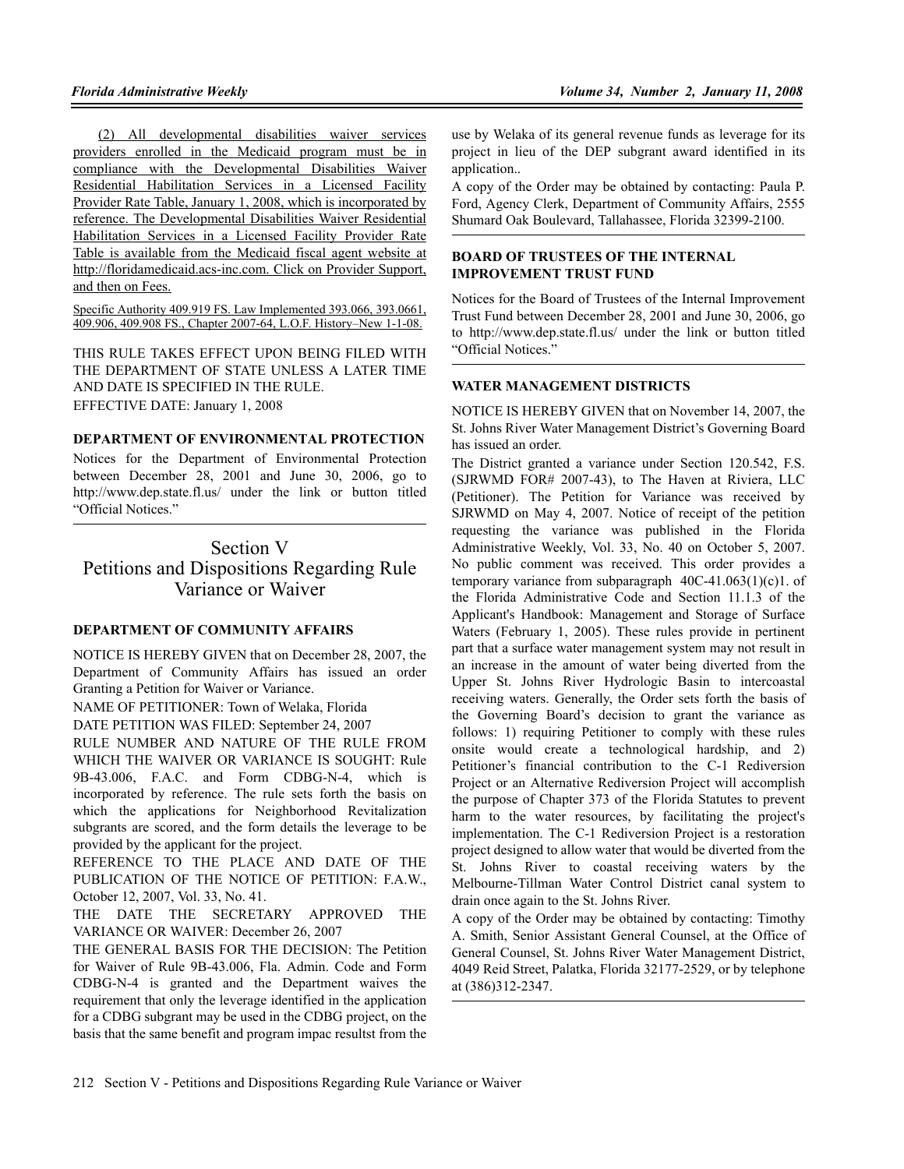(2) All developmental disabilities waiver services providers enrolled in the Medicaid program must be in compliance with the Developmental Disabilities Waiver Residential Habilitation Services in a Licensed Facility Provider Rate Table, January 1, 2008, which is incorporated by reference. The Developmental Disabilities Waiver Residential Habilitation Services in a Licensed Facility Provider Rate Table is available from the Medicaid fiscal agent website at http://floridamedicaid.acs-inc.com. Click on Provider Support, and then on Fees.

Specific Authority 409.919 FS. Law Implemented 393.066, 393.0661, 409.906, 409.908 FS., Chapter 2007-64, L.O.F. History–New 1-1-08.

THIS RULE TAKES EFFECT UPON BEING FILED WITH THE DEPARTMENT OF STATE UNLESS A LATER TIME AND DATE IS SPECIFIED IN THE RULE. EFFECTIVE DATE: January 1, 2008

## **DEPARTMENT OF ENVIRONMENTAL PROTECTION**

Notices for the Department of Environmental Protection between December 28, 2001 and June 30, 2006, go to http://www.dep.state.fl.us/ under the link or button titled "Official Notices."

Section V Petitions and Dispositions Regarding Rule Variance or Waiver

## **DEPARTMENT OF COMMUNITY AFFAIRS**

NOTICE IS HEREBY GIVEN that on December 28, 2007, the Department of Community Affairs has issued an order Granting a Petition for Waiver or Variance.

NAME OF PETITIONER: Town of Welaka, Florida

DATE PETITION WAS FILED: September 24, 2007

RULE NUMBER AND NATURE OF THE RULE FROM WHICH THE WAIVER OR VARIANCE IS SOUGHT: Rule 9B-43.006, F.A.C. and Form CDBG-N-4, which is incorporated by reference. The rule sets forth the basis on which the applications for Neighborhood Revitalization subgrants are scored, and the form details the leverage to be provided by the applicant for the project.

REFERENCE TO THE PLACE AND DATE OF THE PUBLICATION OF THE NOTICE OF PETITION: F.A.W., October 12, 2007, Vol. 33, No. 41.

THE DATE THE SECRETARY APPROVED THE VARIANCE OR WAIVER: December 26, 2007

THE GENERAL BASIS FOR THE DECISION: The Petition for Waiver of Rule 9B-43.006, Fla. Admin. Code and Form CDBG-N-4 is granted and the Department waives the requirement that only the leverage identified in the application for a CDBG subgrant may be used in the CDBG project, on the basis that the same benefit and program impac resultst from the

use by Welaka of its general revenue funds as leverage for its project in lieu of the DEP subgrant award identified in its application..

A copy of the Order may be obtained by contacting: Paula P. Ford, Agency Clerk, Department of Community Affairs, 2555 Shumard Oak Boulevard, Tallahassee, Florida 32399-2100.

## **BOARD OF TRUSTEES OF THE INTERNAL IMPROVEMENT TRUST FUND**

Notices for the Board of Trustees of the Internal Improvement Trust Fund between December 28, 2001 and June 30, 2006, go to http://www.dep.state.fl.us/ under the link or button titled "Official Notices."

## **WATER MANAGEMENT DISTRICTS**

NOTICE IS HEREBY GIVEN that on November 14, 2007, the St. Johns River Water Management District's Governing Board has issued an order.

The District granted a variance under Section 120.542, F.S. (SJRWMD FOR# 2007-43), to The Haven at Riviera, LLC (Petitioner). The Petition for Variance was received by SJRWMD on May 4, 2007. Notice of receipt of the petition requesting the variance was published in the Florida Administrative Weekly, Vol. 33, No. 40 on October 5, 2007. No public comment was received. This order provides a temporary variance from subparagraph 40C-41.063(1)(c)1. of the Florida Administrative Code and Section 11.1.3 of the Applicant's Handbook: Management and Storage of Surface Waters (February 1, 2005). These rules provide in pertinent part that a surface water management system may not result in an increase in the amount of water being diverted from the Upper St. Johns River Hydrologic Basin to intercoastal receiving waters. Generally, the Order sets forth the basis of the Governing Board's decision to grant the variance as follows: 1) requiring Petitioner to comply with these rules onsite would create a technological hardship, and 2) Petitioner's financial contribution to the C-1 Rediversion Project or an Alternative Rediversion Project will accomplish the purpose of Chapter 373 of the Florida Statutes to prevent harm to the water resources, by facilitating the project's implementation. The C-1 Rediversion Project is a restoration project designed to allow water that would be diverted from the St. Johns River to coastal receiving waters by the Melbourne-Tillman Water Control District canal system to drain once again to the St. Johns River.

A copy of the Order may be obtained by contacting: Timothy A. Smith, Senior Assistant General Counsel, at the Office of General Counsel, St. Johns River Water Management District, 4049 Reid Street, Palatka, Florida 32177-2529, or by telephone at (386)312-2347.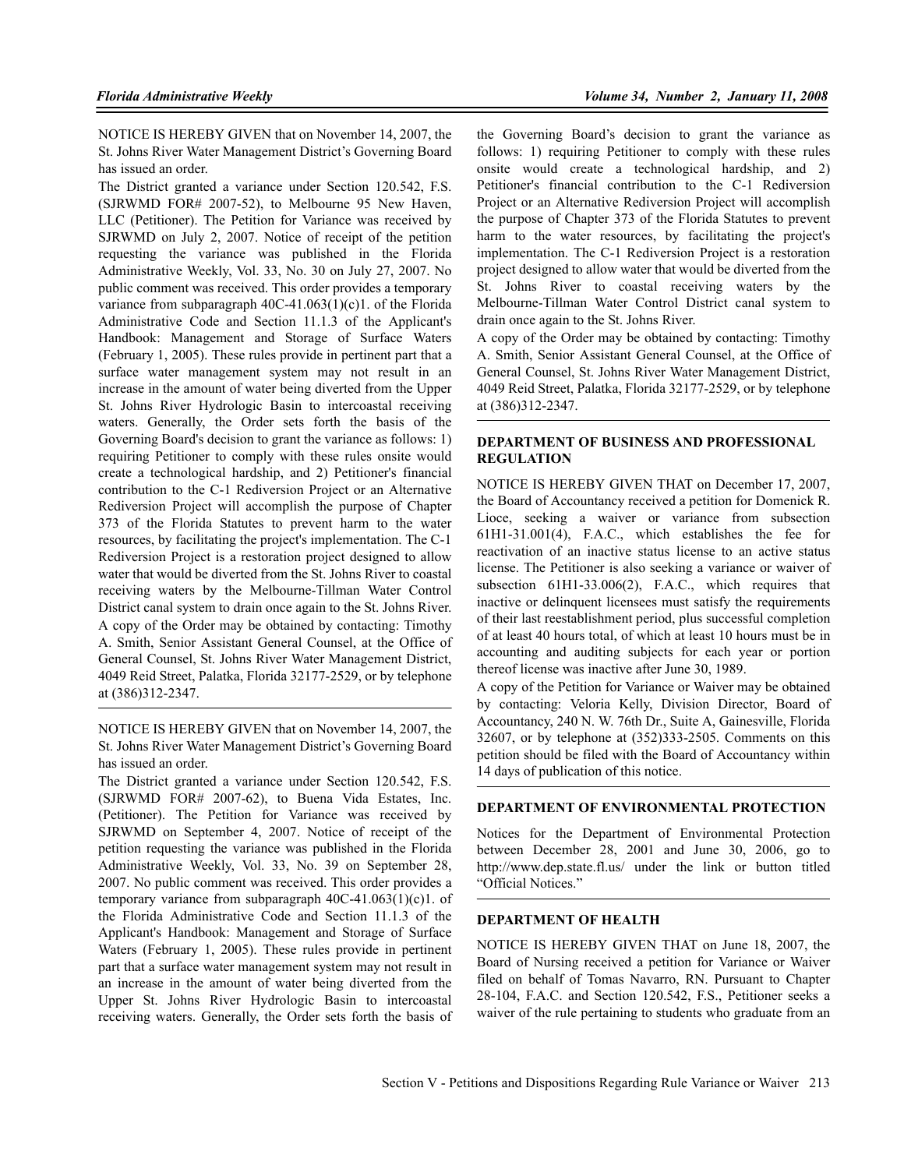NOTICE IS HEREBY GIVEN that on November 14, 2007, the St. Johns River Water Management District's Governing Board has issued an order.

The District granted a variance under Section 120.542, F.S. (SJRWMD FOR# 2007-52), to Melbourne 95 New Haven, LLC (Petitioner). The Petition for Variance was received by SJRWMD on July 2, 2007. Notice of receipt of the petition requesting the variance was published in the Florida Administrative Weekly, Vol. 33, No. 30 on July 27, 2007. No public comment was received. This order provides a temporary variance from subparagraph  $40C-41.063(1)(c)1$ . of the Florida Administrative Code and Section 11.1.3 of the Applicant's Handbook: Management and Storage of Surface Waters (February 1, 2005). These rules provide in pertinent part that a surface water management system may not result in an increase in the amount of water being diverted from the Upper St. Johns River Hydrologic Basin to intercoastal receiving waters. Generally, the Order sets forth the basis of the Governing Board's decision to grant the variance as follows: 1) requiring Petitioner to comply with these rules onsite would create a technological hardship, and 2) Petitioner's financial contribution to the C-1 Rediversion Project or an Alternative Rediversion Project will accomplish the purpose of Chapter 373 of the Florida Statutes to prevent harm to the water resources, by facilitating the project's implementation. The C-1 Rediversion Project is a restoration project designed to allow water that would be diverted from the St. Johns River to coastal receiving waters by the Melbourne-Tillman Water Control District canal system to drain once again to the St. Johns River. A copy of the Order may be obtained by contacting: Timothy A. Smith, Senior Assistant General Counsel, at the Office of General Counsel, St. Johns River Water Management District, 4049 Reid Street, Palatka, Florida 32177-2529, or by telephone at (386)312-2347.

NOTICE IS HEREBY GIVEN that on November 14, 2007, the St. Johns River Water Management District's Governing Board has issued an order.

The District granted a variance under Section 120.542, F.S. (SJRWMD FOR# 2007-62), to Buena Vida Estates, Inc. (Petitioner). The Petition for Variance was received by SJRWMD on September 4, 2007. Notice of receipt of the petition requesting the variance was published in the Florida Administrative Weekly, Vol. 33, No. 39 on September 28, 2007. No public comment was received. This order provides a temporary variance from subparagraph  $40C-41.063(1)(c)1$ . of the Florida Administrative Code and Section 11.1.3 of the Applicant's Handbook: Management and Storage of Surface Waters (February 1, 2005). These rules provide in pertinent part that a surface water management system may not result in an increase in the amount of water being diverted from the Upper St. Johns River Hydrologic Basin to intercoastal receiving waters. Generally, the Order sets forth the basis of the Governing Board's decision to grant the variance as follows: 1) requiring Petitioner to comply with these rules onsite would create a technological hardship, and 2) Petitioner's financial contribution to the C-1 Rediversion Project or an Alternative Rediversion Project will accomplish the purpose of Chapter 373 of the Florida Statutes to prevent harm to the water resources, by facilitating the project's implementation. The C-1 Rediversion Project is a restoration project designed to allow water that would be diverted from the St. Johns River to coastal receiving waters by the Melbourne-Tillman Water Control District canal system to drain once again to the St. Johns River.

A copy of the Order may be obtained by contacting: Timothy A. Smith, Senior Assistant General Counsel, at the Office of General Counsel, St. Johns River Water Management District, 4049 Reid Street, Palatka, Florida 32177-2529, or by telephone at (386)312-2347.

## **DEPARTMENT OF BUSINESS AND PROFESSIONAL REGULATION**

NOTICE IS HEREBY GIVEN THAT on December 17, 2007, the Board of Accountancy received a petition for Domenick R. Lioce, seeking a waiver or variance from subsection 61H1-31.001(4), F.A.C., which establishes the fee for reactivation of an inactive status license to an active status license. The Petitioner is also seeking a variance or waiver of subsection 61H1-33.006(2), F.A.C., which requires that inactive or delinquent licensees must satisfy the requirements of their last reestablishment period, plus successful completion of at least 40 hours total, of which at least 10 hours must be in accounting and auditing subjects for each year or portion thereof license was inactive after June 30, 1989.

A copy of the Petition for Variance or Waiver may be obtained by contacting: Veloria Kelly, Division Director, Board of Accountancy, 240 N. W. 76th Dr., Suite A, Gainesville, Florida 32607, or by telephone at (352)333-2505. Comments on this petition should be filed with the Board of Accountancy within 14 days of publication of this notice.

## **DEPARTMENT OF ENVIRONMENTAL PROTECTION**

Notices for the Department of Environmental Protection between December 28, 2001 and June 30, 2006, go to http://www.dep.state.fl.us/ under the link or button titled "Official Notices."

### **DEPARTMENT OF HEALTH**

NOTICE IS HEREBY GIVEN THAT on June 18, 2007, the Board of Nursing received a petition for Variance or Waiver filed on behalf of Tomas Navarro, RN. Pursuant to Chapter 28-104, F.A.C. and Section 120.542, F.S., Petitioner seeks a waiver of the rule pertaining to students who graduate from an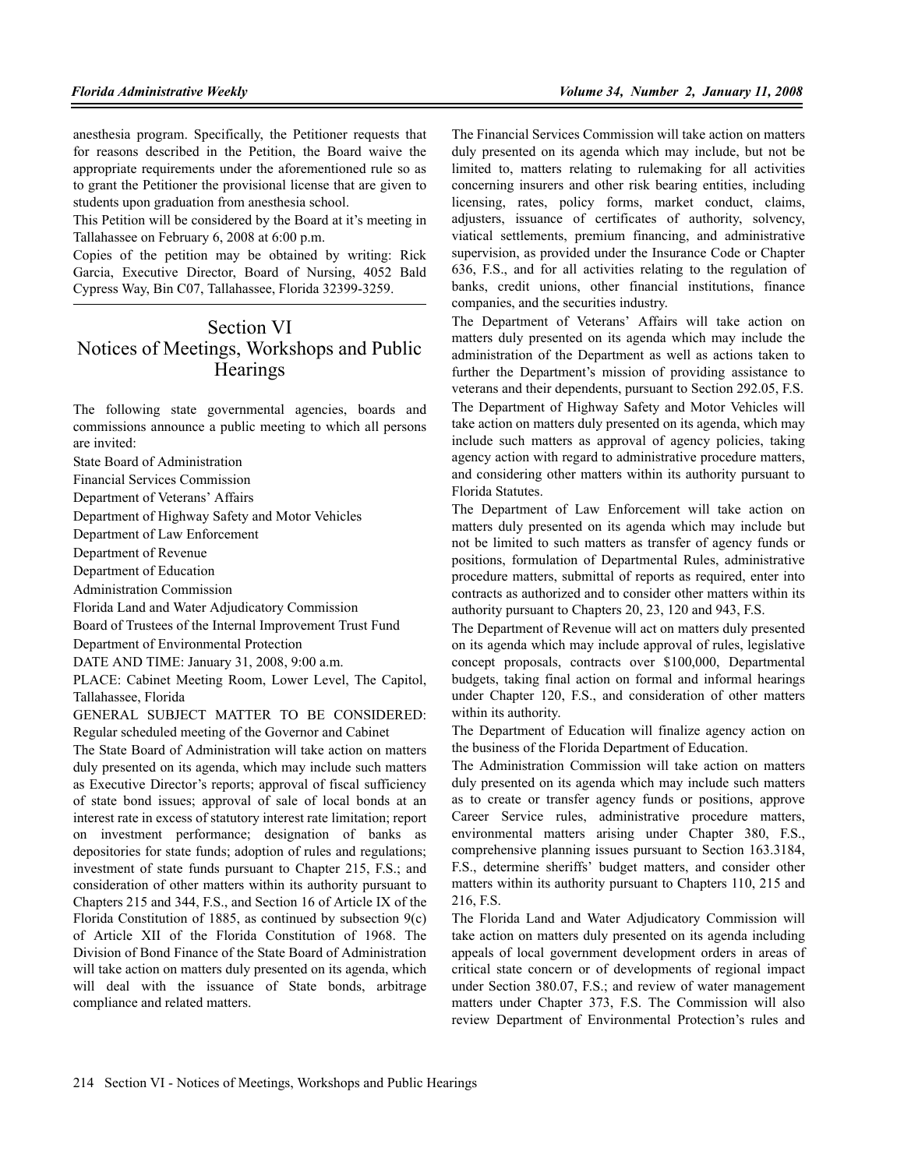anesthesia program. Specifically, the Petitioner requests that for reasons described in the Petition, the Board waive the appropriate requirements under the aforementioned rule so as to grant the Petitioner the provisional license that are given to students upon graduation from anesthesia school.

This Petition will be considered by the Board at it's meeting in Tallahassee on February 6, 2008 at 6:00 p.m.

Copies of the petition may be obtained by writing: Rick Garcia, Executive Director, Board of Nursing, 4052 Bald Cypress Way, Bin C07, Tallahassee, Florida 32399-3259.

## Section VI Notices of Meetings, Workshops and Public **Hearings**

The following state governmental agencies, boards and commissions announce a public meeting to which all persons are invited:

State Board of Administration

Financial Services Commission

Department of Veterans' Affairs

Department of Highway Safety and Motor Vehicles

Department of Law Enforcement

Department of Revenue

Department of Education

Administration Commission

Florida Land and Water Adjudicatory Commission

Board of Trustees of the Internal Improvement Trust Fund

Department of Environmental Protection

DATE AND TIME: January 31, 2008, 9:00 a.m.

PLACE: Cabinet Meeting Room, Lower Level, The Capitol, Tallahassee, Florida

GENERAL SUBJECT MATTER TO BE CONSIDERED: Regular scheduled meeting of the Governor and Cabinet

The State Board of Administration will take action on matters duly presented on its agenda, which may include such matters as Executive Director's reports; approval of fiscal sufficiency of state bond issues; approval of sale of local bonds at an interest rate in excess of statutory interest rate limitation; report on investment performance; designation of banks as depositories for state funds; adoption of rules and regulations; investment of state funds pursuant to Chapter 215, F.S.; and consideration of other matters within its authority pursuant to Chapters 215 and 344, F.S., and Section 16 of Article IX of the Florida Constitution of 1885, as continued by subsection 9(c) of Article XII of the Florida Constitution of 1968. The Division of Bond Finance of the State Board of Administration will take action on matters duly presented on its agenda, which will deal with the issuance of State bonds, arbitrage compliance and related matters.

The Financial Services Commission will take action on matters duly presented on its agenda which may include, but not be limited to, matters relating to rulemaking for all activities concerning insurers and other risk bearing entities, including licensing, rates, policy forms, market conduct, claims, adjusters, issuance of certificates of authority, solvency, viatical settlements, premium financing, and administrative supervision, as provided under the Insurance Code or Chapter 636, F.S., and for all activities relating to the regulation of banks, credit unions, other financial institutions, finance companies, and the securities industry.

The Department of Veterans' Affairs will take action on matters duly presented on its agenda which may include the administration of the Department as well as actions taken to further the Department's mission of providing assistance to veterans and their dependents, pursuant to Section 292.05, F.S. The Department of Highway Safety and Motor Vehicles will take action on matters duly presented on its agenda, which may include such matters as approval of agency policies, taking agency action with regard to administrative procedure matters, and considering other matters within its authority pursuant to Florida Statutes.

The Department of Law Enforcement will take action on matters duly presented on its agenda which may include but not be limited to such matters as transfer of agency funds or positions, formulation of Departmental Rules, administrative procedure matters, submittal of reports as required, enter into contracts as authorized and to consider other matters within its authority pursuant to Chapters 20, 23, 120 and 943, F.S.

The Department of Revenue will act on matters duly presented on its agenda which may include approval of rules, legislative concept proposals, contracts over \$100,000, Departmental budgets, taking final action on formal and informal hearings under Chapter 120, F.S., and consideration of other matters within its authority.

The Department of Education will finalize agency action on the business of the Florida Department of Education.

The Administration Commission will take action on matters duly presented on its agenda which may include such matters as to create or transfer agency funds or positions, approve Career Service rules, administrative procedure matters, environmental matters arising under Chapter 380, F.S., comprehensive planning issues pursuant to Section 163.3184, F.S., determine sheriffs' budget matters, and consider other matters within its authority pursuant to Chapters 110, 215 and 216, F.S.

The Florida Land and Water Adjudicatory Commission will take action on matters duly presented on its agenda including appeals of local government development orders in areas of critical state concern or of developments of regional impact under Section 380.07, F.S.; and review of water management matters under Chapter 373, F.S. The Commission will also review Department of Environmental Protection's rules and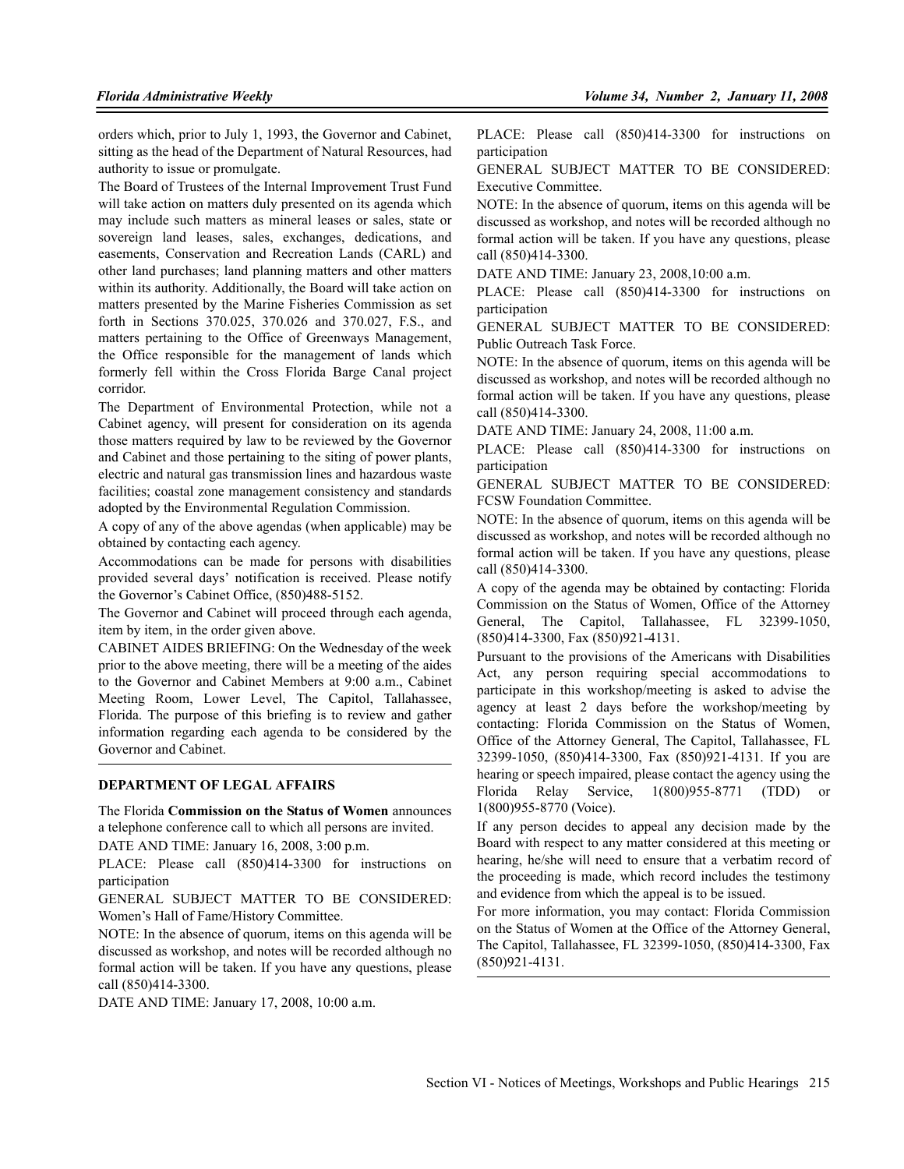orders which, prior to July 1, 1993, the Governor and Cabinet, sitting as the head of the Department of Natural Resources, had authority to issue or promulgate.

The Board of Trustees of the Internal Improvement Trust Fund will take action on matters duly presented on its agenda which may include such matters as mineral leases or sales, state or sovereign land leases, sales, exchanges, dedications, and easements, Conservation and Recreation Lands (CARL) and other land purchases; land planning matters and other matters within its authority. Additionally, the Board will take action on matters presented by the Marine Fisheries Commission as set forth in Sections 370.025, 370.026 and 370.027, F.S., and matters pertaining to the Office of Greenways Management, the Office responsible for the management of lands which formerly fell within the Cross Florida Barge Canal project corridor.

The Department of Environmental Protection, while not a Cabinet agency, will present for consideration on its agenda those matters required by law to be reviewed by the Governor and Cabinet and those pertaining to the siting of power plants, electric and natural gas transmission lines and hazardous waste facilities; coastal zone management consistency and standards adopted by the Environmental Regulation Commission.

A copy of any of the above agendas (when applicable) may be obtained by contacting each agency.

Accommodations can be made for persons with disabilities provided several days' notification is received. Please notify the Governor's Cabinet Office, (850)488-5152.

The Governor and Cabinet will proceed through each agenda, item by item, in the order given above.

CABINET AIDES BRIEFING: On the Wednesday of the week prior to the above meeting, there will be a meeting of the aides to the Governor and Cabinet Members at 9:00 a.m., Cabinet Meeting Room, Lower Level, The Capitol, Tallahassee, Florida. The purpose of this briefing is to review and gather information regarding each agenda to be considered by the Governor and Cabinet.

#### **DEPARTMENT OF LEGAL AFFAIRS**

The Florida **Commission on the Status of Women** announces a telephone conference call to which all persons are invited.

DATE AND TIME: January 16, 2008, 3:00 p.m.

PLACE: Please call (850)414-3300 for instructions on participation

GENERAL SUBJECT MATTER TO BE CONSIDERED: Women's Hall of Fame/History Committee.

NOTE: In the absence of quorum, items on this agenda will be discussed as workshop, and notes will be recorded although no formal action will be taken. If you have any questions, please call (850)414-3300.

DATE AND TIME: January 17, 2008, 10:00 a.m.

PLACE: Please call (850)414-3300 for instructions on participation

GENERAL SUBJECT MATTER TO BE CONSIDERED: Executive Committee.

NOTE: In the absence of quorum, items on this agenda will be discussed as workshop, and notes will be recorded although no formal action will be taken. If you have any questions, please call (850)414-3300.

DATE AND TIME: January 23, 2008,10:00 a.m.

PLACE: Please call (850)414-3300 for instructions on participation

GENERAL SUBJECT MATTER TO BE CONSIDERED: Public Outreach Task Force.

NOTE: In the absence of quorum, items on this agenda will be discussed as workshop, and notes will be recorded although no formal action will be taken. If you have any questions, please call (850)414-3300.

DATE AND TIME: January 24, 2008, 11:00 a.m.

PLACE: Please call (850)414-3300 for instructions on participation

GENERAL SUBJECT MATTER TO BE CONSIDERED: FCSW Foundation Committee.

NOTE: In the absence of quorum, items on this agenda will be discussed as workshop, and notes will be recorded although no formal action will be taken. If you have any questions, please call (850)414-3300.

A copy of the agenda may be obtained by contacting: Florida Commission on the Status of Women, Office of the Attorney General, The Capitol, Tallahassee, FL 32399-1050, (850)414-3300, Fax (850)921-4131.

Pursuant to the provisions of the Americans with Disabilities Act, any person requiring special accommodations to participate in this workshop/meeting is asked to advise the agency at least 2 days before the workshop/meeting by contacting: Florida Commission on the Status of Women, Office of the Attorney General, The Capitol, Tallahassee, FL 32399-1050, (850)414-3300, Fax (850)921-4131. If you are hearing or speech impaired, please contact the agency using the Florida Relay Service, 1(800)955-8771 (TDD) or 1(800)955-8770 (Voice).

If any person decides to appeal any decision made by the Board with respect to any matter considered at this meeting or hearing, he/she will need to ensure that a verbatim record of the proceeding is made, which record includes the testimony and evidence from which the appeal is to be issued.

For more information, you may contact: Florida Commission on the Status of Women at the Office of the Attorney General, The Capitol, Tallahassee, FL 32399-1050, (850)414-3300, Fax (850)921-4131.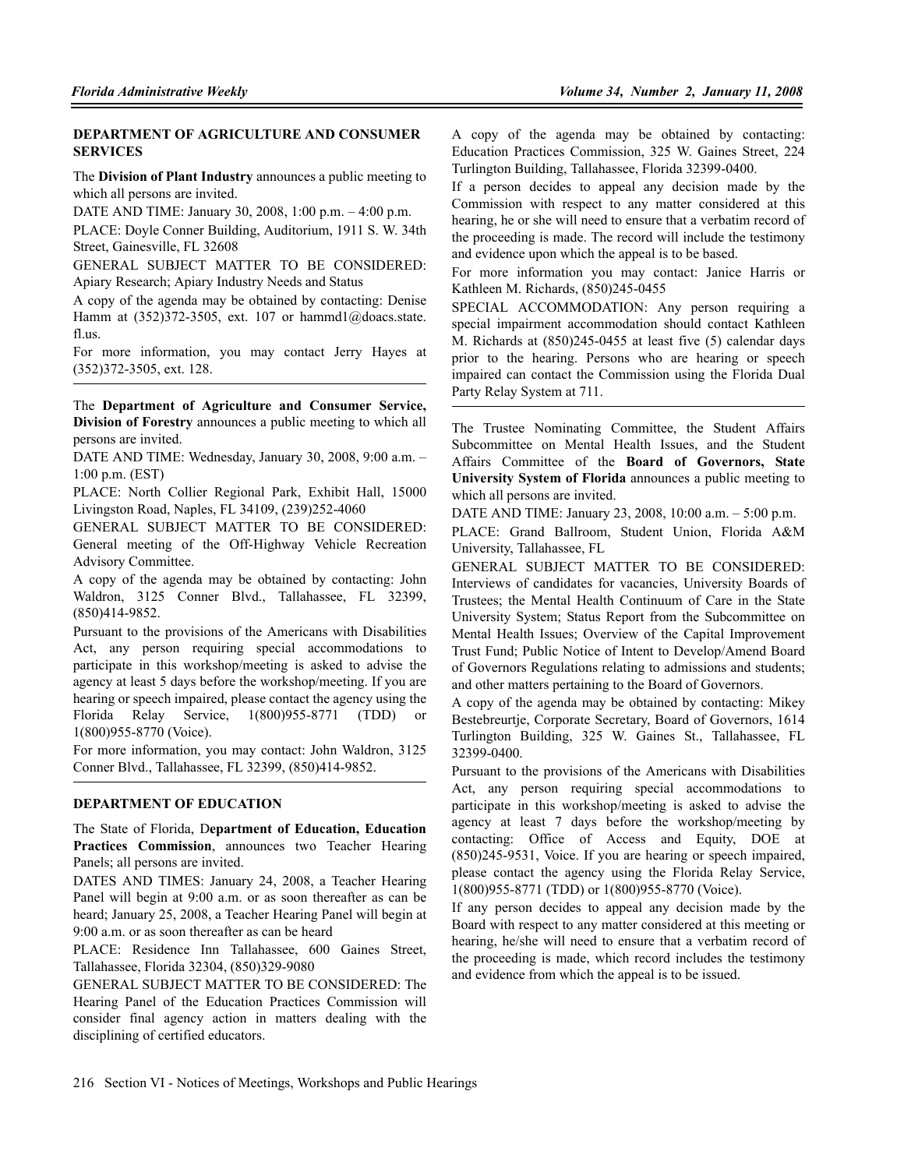## **DEPARTMENT OF AGRICULTURE AND CONSUMER SERVICES**

The **Division of Plant Industry** announces a public meeting to which all persons are invited.

DATE AND TIME: January 30, 2008, 1:00 p.m. – 4:00 p.m.

PLACE: Doyle Conner Building, Auditorium, 1911 S. W. 34th Street, Gainesville, FL 32608

GENERAL SUBJECT MATTER TO BE CONSIDERED: Apiary Research; Apiary Industry Needs and Status

A copy of the agenda may be obtained by contacting: Denise Hamm at (352)372-3505, ext. 107 or hammd1@doacs.state. fl.us.

For more information, you may contact Jerry Hayes at (352)372-3505, ext. 128.

The **Department of Agriculture and Consumer Service, Division of Forestry** announces a public meeting to which all persons are invited.

DATE AND TIME: Wednesday, January 30, 2008, 9:00 a.m. – 1:00 p.m. (EST)

PLACE: North Collier Regional Park, Exhibit Hall, 15000 Livingston Road, Naples, FL 34109, (239)252-4060

GENERAL SUBJECT MATTER TO BE CONSIDERED: General meeting of the Off-Highway Vehicle Recreation Advisory Committee.

A copy of the agenda may be obtained by contacting: John Waldron, 3125 Conner Blvd., Tallahassee, FL 32399, (850)414-9852.

Pursuant to the provisions of the Americans with Disabilities Act, any person requiring special accommodations to participate in this workshop/meeting is asked to advise the agency at least 5 days before the workshop/meeting. If you are hearing or speech impaired, please contact the agency using the Florida Relay Service, 1(800)955-8771 (TDD) or 1(800)955-8770 (Voice).

For more information, you may contact: John Waldron, 3125 Conner Blvd., Tallahassee, FL 32399, (850)414-9852.

## **DEPARTMENT OF EDUCATION**

The State of Florida, D**epartment of Education, Education Practices Commission**, announces two Teacher Hearing Panels; all persons are invited.

DATES AND TIMES: January 24, 2008, a Teacher Hearing Panel will begin at 9:00 a.m. or as soon thereafter as can be heard; January 25, 2008, a Teacher Hearing Panel will begin at 9:00 a.m. or as soon thereafter as can be heard

PLACE: Residence Inn Tallahassee, 600 Gaines Street, Tallahassee, Florida 32304, (850)329-9080

GENERAL SUBJECT MATTER TO BE CONSIDERED: The Hearing Panel of the Education Practices Commission will consider final agency action in matters dealing with the disciplining of certified educators.

A copy of the agenda may be obtained by contacting: Education Practices Commission, 325 W. Gaines Street, 224 Turlington Building, Tallahassee, Florida 32399-0400.

If a person decides to appeal any decision made by the Commission with respect to any matter considered at this hearing, he or she will need to ensure that a verbatim record of the proceeding is made. The record will include the testimony and evidence upon which the appeal is to be based.

For more information you may contact: Janice Harris or Kathleen M. Richards, (850)245-0455

SPECIAL ACCOMMODATION: Any person requiring a special impairment accommodation should contact Kathleen M. Richards at (850)245-0455 at least five (5) calendar days prior to the hearing. Persons who are hearing or speech impaired can contact the Commission using the Florida Dual Party Relay System at 711.

The Trustee Nominating Committee, the Student Affairs Subcommittee on Mental Health Issues, and the Student Affairs Committee of the **Board of Governors, State University System of Florida** announces a public meeting to which all persons are invited.

DATE AND TIME: January 23, 2008, 10:00 a.m. – 5:00 p.m.

PLACE: Grand Ballroom, Student Union, Florida A&M University, Tallahassee, FL

GENERAL SUBJECT MATTER TO BE CONSIDERED: Interviews of candidates for vacancies, University Boards of Trustees; the Mental Health Continuum of Care in the State University System; Status Report from the Subcommittee on Mental Health Issues; Overview of the Capital Improvement Trust Fund; Public Notice of Intent to Develop/Amend Board of Governors Regulations relating to admissions and students; and other matters pertaining to the Board of Governors.

A copy of the agenda may be obtained by contacting: Mikey Bestebreurtje, Corporate Secretary, Board of Governors, 1614 Turlington Building, 325 W. Gaines St., Tallahassee, FL 32399-0400.

Pursuant to the provisions of the Americans with Disabilities Act, any person requiring special accommodations to participate in this workshop/meeting is asked to advise the agency at least 7 days before the workshop/meeting by contacting: Office of Access and Equity, DOE at (850)245-9531, Voice. If you are hearing or speech impaired, please contact the agency using the Florida Relay Service, 1(800)955-8771 (TDD) or 1(800)955-8770 (Voice).

If any person decides to appeal any decision made by the Board with respect to any matter considered at this meeting or hearing, he/she will need to ensure that a verbatim record of the proceeding is made, which record includes the testimony and evidence from which the appeal is to be issued.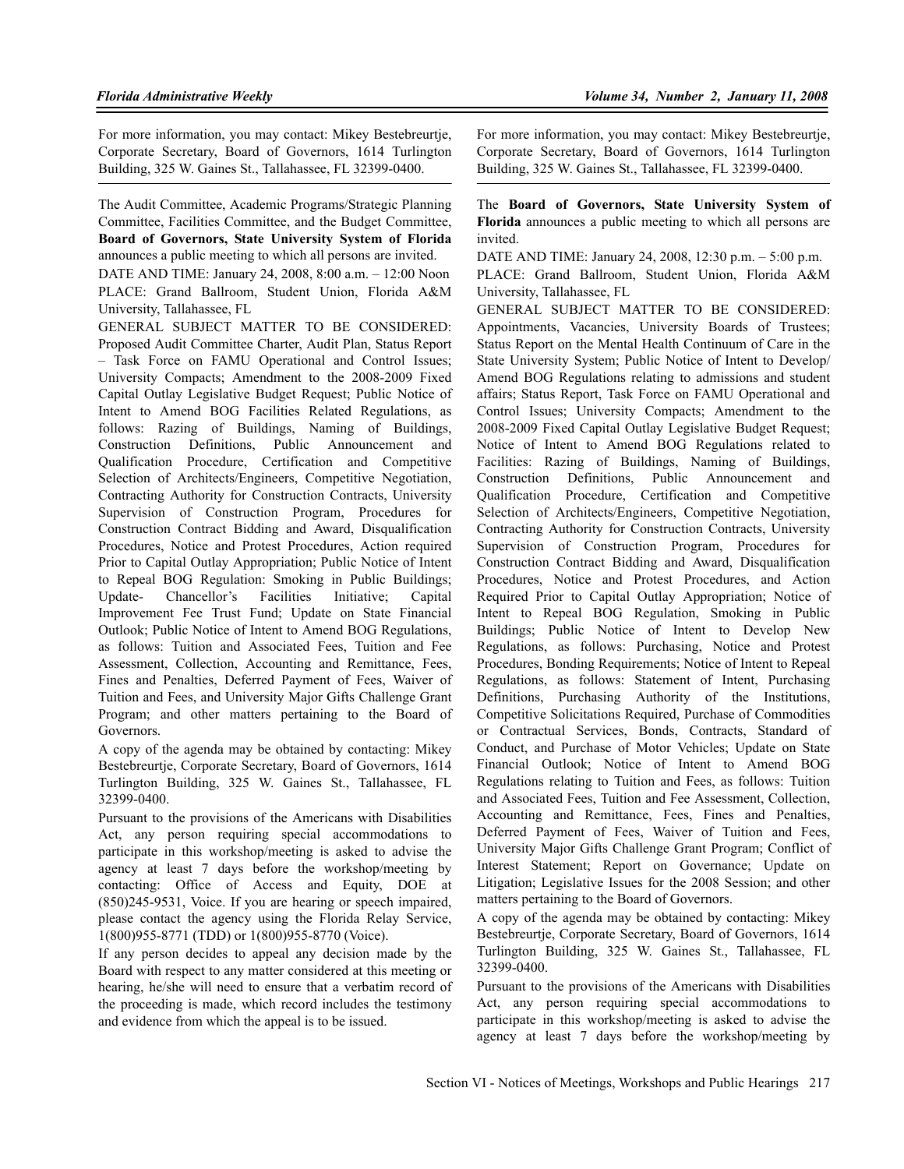For more information, you may contact: Mikey Bestebreurtje, Corporate Secretary, Board of Governors, 1614 Turlington Building, 325 W. Gaines St., Tallahassee, FL 32399-0400.

The Audit Committee, Academic Programs/Strategic Planning Committee, Facilities Committee, and the Budget Committee, **Board of Governors, State University System of Florida** announces a public meeting to which all persons are invited.

DATE AND TIME: January 24, 2008, 8:00 a.m. – 12:00 Noon PLACE: Grand Ballroom, Student Union, Florida A&M University, Tallahassee, FL

GENERAL SUBJECT MATTER TO BE CONSIDERED: Proposed Audit Committee Charter, Audit Plan, Status Report – Task Force on FAMU Operational and Control Issues; University Compacts; Amendment to the 2008-2009 Fixed Capital Outlay Legislative Budget Request; Public Notice of Intent to Amend BOG Facilities Related Regulations, as follows: Razing of Buildings, Naming of Buildings, Construction Definitions, Public Announcement and Qualification Procedure, Certification and Competitive Selection of Architects/Engineers, Competitive Negotiation, Contracting Authority for Construction Contracts, University Supervision of Construction Program, Procedures for Construction Contract Bidding and Award, Disqualification Procedures, Notice and Protest Procedures, Action required Prior to Capital Outlay Appropriation; Public Notice of Intent to Repeal BOG Regulation: Smoking in Public Buildings; Update- Chancellor's Facilities Initiative; Capital Improvement Fee Trust Fund; Update on State Financial Outlook; Public Notice of Intent to Amend BOG Regulations, as follows: Tuition and Associated Fees, Tuition and Fee Assessment, Collection, Accounting and Remittance, Fees, Fines and Penalties, Deferred Payment of Fees, Waiver of Tuition and Fees, and University Major Gifts Challenge Grant Program; and other matters pertaining to the Board of Governors.

A copy of the agenda may be obtained by contacting: Mikey Bestebreurtje, Corporate Secretary, Board of Governors, 1614 Turlington Building, 325 W. Gaines St., Tallahassee, FL 32399-0400.

Pursuant to the provisions of the Americans with Disabilities Act, any person requiring special accommodations to participate in this workshop/meeting is asked to advise the agency at least 7 days before the workshop/meeting by contacting: Office of Access and Equity, DOE at (850)245-9531, Voice. If you are hearing or speech impaired, please contact the agency using the Florida Relay Service, 1(800)955-8771 (TDD) or 1(800)955-8770 (Voice).

If any person decides to appeal any decision made by the Board with respect to any matter considered at this meeting or hearing, he/she will need to ensure that a verbatim record of the proceeding is made, which record includes the testimony and evidence from which the appeal is to be issued.

For more information, you may contact: Mikey Bestebreurtje, Corporate Secretary, Board of Governors, 1614 Turlington Building, 325 W. Gaines St., Tallahassee, FL 32399-0400.

The **Board of Governors, State University System of Florida** announces a public meeting to which all persons are invited.

DATE AND TIME: January 24, 2008, 12:30 p.m. – 5:00 p.m. PLACE: Grand Ballroom, Student Union, Florida A&M University, Tallahassee, FL

GENERAL SUBJECT MATTER TO BE CONSIDERED: Appointments, Vacancies, University Boards of Trustees; Status Report on the Mental Health Continuum of Care in the State University System; Public Notice of Intent to Develop/ Amend BOG Regulations relating to admissions and student affairs; Status Report, Task Force on FAMU Operational and Control Issues; University Compacts; Amendment to the 2008-2009 Fixed Capital Outlay Legislative Budget Request; Notice of Intent to Amend BOG Regulations related to Facilities: Razing of Buildings, Naming of Buildings, Construction Definitions, Public Announcement and Qualification Procedure, Certification and Competitive Selection of Architects/Engineers, Competitive Negotiation, Contracting Authority for Construction Contracts, University Supervision of Construction Program, Procedures for Construction Contract Bidding and Award, Disqualification Procedures, Notice and Protest Procedures, and Action Required Prior to Capital Outlay Appropriation; Notice of Intent to Repeal BOG Regulation, Smoking in Public Buildings; Public Notice of Intent to Develop New Regulations, as follows: Purchasing, Notice and Protest Procedures, Bonding Requirements; Notice of Intent to Repeal Regulations, as follows: Statement of Intent, Purchasing Definitions, Purchasing Authority of the Institutions, Competitive Solicitations Required, Purchase of Commodities or Contractual Services, Bonds, Contracts, Standard of Conduct, and Purchase of Motor Vehicles; Update on State Financial Outlook; Notice of Intent to Amend BOG Regulations relating to Tuition and Fees, as follows: Tuition and Associated Fees, Tuition and Fee Assessment, Collection, Accounting and Remittance, Fees, Fines and Penalties, Deferred Payment of Fees, Waiver of Tuition and Fees, University Major Gifts Challenge Grant Program; Conflict of Interest Statement; Report on Governance; Update on Litigation; Legislative Issues for the 2008 Session; and other matters pertaining to the Board of Governors.

A copy of the agenda may be obtained by contacting: Mikey Bestebreurtje, Corporate Secretary, Board of Governors, 1614 Turlington Building, 325 W. Gaines St., Tallahassee, FL 32399-0400.

Pursuant to the provisions of the Americans with Disabilities Act, any person requiring special accommodations to participate in this workshop/meeting is asked to advise the agency at least 7 days before the workshop/meeting by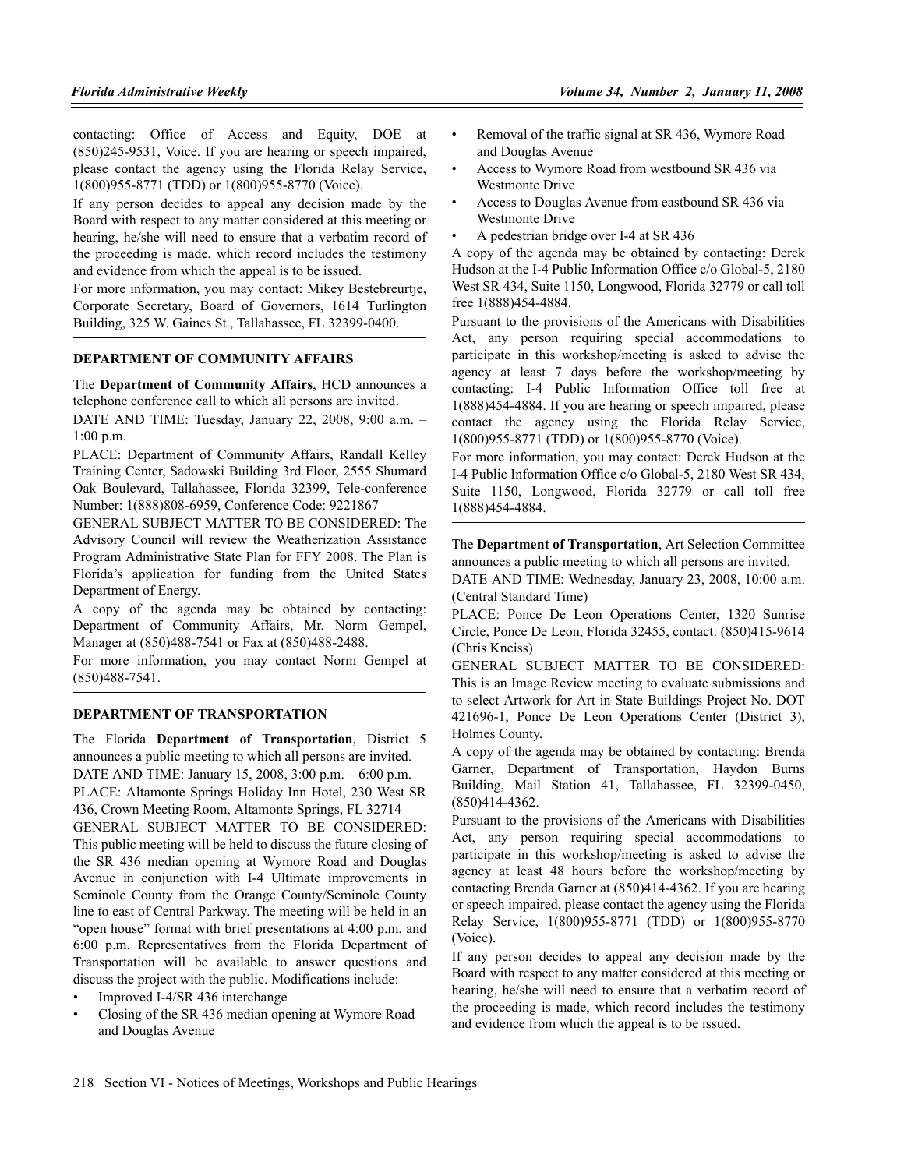contacting: Office of Access and Equity, DOE at (850)245-9531, Voice. If you are hearing or speech impaired, please contact the agency using the Florida Relay Service, 1(800)955-8771 (TDD) or 1(800)955-8770 (Voice).

If any person decides to appeal any decision made by the Board with respect to any matter considered at this meeting or hearing, he/she will need to ensure that a verbatim record of the proceeding is made, which record includes the testimony and evidence from which the appeal is to be issued.

For more information, you may contact: Mikey Bestebreurtje, Corporate Secretary, Board of Governors, 1614 Turlington Building, 325 W. Gaines St., Tallahassee, FL 32399-0400.

#### **DEPARTMENT OF COMMUNITY AFFAIRS**

The **Department of Community Affairs**, HCD announces a telephone conference call to which all persons are invited.

DATE AND TIME: Tuesday, January 22, 2008, 9:00 a.m. – 1:00 p.m.

PLACE: Department of Community Affairs, Randall Kelley Training Center, Sadowski Building 3rd Floor, 2555 Shumard Oak Boulevard, Tallahassee, Florida 32399, Tele-conference Number: 1(888)808-6959, Conference Code: 9221867

GENERAL SUBJECT MATTER TO BE CONSIDERED: The Advisory Council will review the Weatherization Assistance Program Administrative State Plan for FFY 2008. The Plan is Florida's application for funding from the United States Department of Energy.

A copy of the agenda may be obtained by contacting: Department of Community Affairs, Mr. Norm Gempel, Manager at (850)488-7541 or Fax at (850)488-2488.

For more information, you may contact Norm Gempel at (850)488-7541.

### **DEPARTMENT OF TRANSPORTATION**

The Florida **Department of Transportation**, District 5 announces a public meeting to which all persons are invited. DATE AND TIME: January 15, 2008, 3:00 p.m. – 6:00 p.m. PLACE: Altamonte Springs Holiday Inn Hotel, 230 West SR 436, Crown Meeting Room, Altamonte Springs, FL 32714 GENERAL SUBJECT MATTER TO BE CONSIDERED: This public meeting will be held to discuss the future closing of the SR 436 median opening at Wymore Road and Douglas Avenue in conjunction with I-4 Ultimate improvements in Seminole County from the Orange County/Seminole County line to east of Central Parkway. The meeting will be held in an "open house" format with brief presentations at 4:00 p.m. and 6:00 p.m. Representatives from the Florida Department of Transportation will be available to answer questions and discuss the project with the public. Modifications include:

- Improved I-4/SR 436 interchange
- Closing of the SR 436 median opening at Wymore Road and Douglas Avenue
- Removal of the traffic signal at SR 436, Wymore Road and Douglas Avenue
- Access to Wymore Road from westbound SR 436 via Westmonte Drive
- Access to Douglas Avenue from eastbound SR 436 via Westmonte Drive
- A pedestrian bridge over I-4 at SR 436

A copy of the agenda may be obtained by contacting: Derek Hudson at the I-4 Public Information Office c/o Global-5, 2180 West SR 434, Suite 1150, Longwood, Florida 32779 or call toll free 1(888)454-4884.

Pursuant to the provisions of the Americans with Disabilities Act, any person requiring special accommodations to participate in this workshop/meeting is asked to advise the agency at least 7 days before the workshop/meeting by contacting: I-4 Public Information Office toll free at 1(888)454-4884. If you are hearing or speech impaired, please contact the agency using the Florida Relay Service, 1(800)955-8771 (TDD) or 1(800)955-8770 (Voice).

For more information, you may contact: Derek Hudson at the I-4 Public Information Office c/o Global-5, 2180 West SR 434, Suite 1150, Longwood, Florida 32779 or call toll free 1(888)454-4884.

The **Department of Transportation**, Art Selection Committee announces a public meeting to which all persons are invited.

DATE AND TIME: Wednesday, January 23, 2008, 10:00 a.m. (Central Standard Time)

PLACE: Ponce De Leon Operations Center, 1320 Sunrise Circle, Ponce De Leon, Florida 32455, contact: (850)415-9614 (Chris Kneiss)

GENERAL SUBJECT MATTER TO BE CONSIDERED: This is an Image Review meeting to evaluate submissions and to select Artwork for Art in State Buildings Project No. DOT 421696-1, Ponce De Leon Operations Center (District 3), Holmes County.

A copy of the agenda may be obtained by contacting: Brenda Garner, Department of Transportation, Haydon Burns Building, Mail Station 41, Tallahassee, FL 32399-0450, (850)414-4362.

Pursuant to the provisions of the Americans with Disabilities Act, any person requiring special accommodations to participate in this workshop/meeting is asked to advise the agency at least 48 hours before the workshop/meeting by contacting Brenda Garner at (850)414-4362. If you are hearing or speech impaired, please contact the agency using the Florida Relay Service, 1(800)955-8771 (TDD) or 1(800)955-8770 (Voice).

If any person decides to appeal any decision made by the Board with respect to any matter considered at this meeting or hearing, he/she will need to ensure that a verbatim record of the proceeding is made, which record includes the testimony and evidence from which the appeal is to be issued.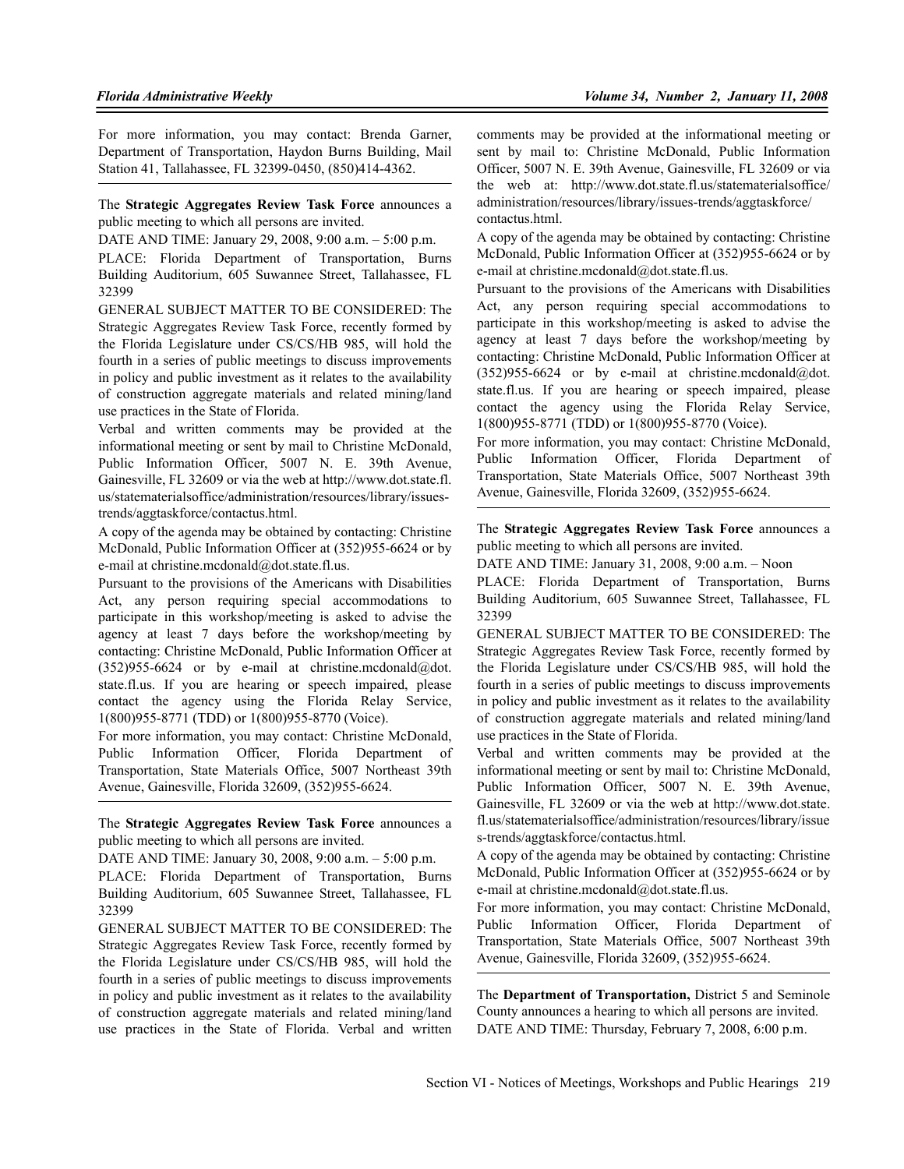For more information, you may contact: Brenda Garner, Department of Transportation, Haydon Burns Building, Mail Station 41, Tallahassee, FL 32399-0450, (850)414-4362.

The **Strategic Aggregates Review Task Force** announces a public meeting to which all persons are invited.

DATE AND TIME: January 29, 2008, 9:00 a.m. – 5:00 p.m.

PLACE: Florida Department of Transportation, Burns Building Auditorium, 605 Suwannee Street, Tallahassee, FL 32399

GENERAL SUBJECT MATTER TO BE CONSIDERED: The Strategic Aggregates Review Task Force, recently formed by the Florida Legislature under CS/CS/HB 985, will hold the fourth in a series of public meetings to discuss improvements in policy and public investment as it relates to the availability of construction aggregate materials and related mining/land use practices in the State of Florida.

Verbal and written comments may be provided at the informational meeting or sent by mail to Christine McDonald, Public Information Officer, 5007 N. E. 39th Avenue, Gainesville, FL 32609 or via the web at http://www.dot.state.fl. us/statematerialsoffice/administration/resources/library/issuestrends/aggtaskforce/contactus.html.

A copy of the agenda may be obtained by contacting: Christine McDonald, Public Information Officer at (352)955-6624 or by e-mail at christine.mcdonald@dot.state.fl.us.

Pursuant to the provisions of the Americans with Disabilities Act, any person requiring special accommodations to participate in this workshop/meeting is asked to advise the agency at least 7 days before the workshop/meeting by contacting: Christine McDonald, Public Information Officer at  $(352)955-6624$  or by e-mail at christine.mcdonald@dot. state.fl.us. If you are hearing or speech impaired, please contact the agency using the Florida Relay Service, 1(800)955-8771 (TDD) or 1(800)955-8770 (Voice).

For more information, you may contact: Christine McDonald, Public Information Officer, Florida Department of Transportation, State Materials Office, 5007 Northeast 39th Avenue, Gainesville, Florida 32609, (352)955-6624.

The **Strategic Aggregates Review Task Force** announces a public meeting to which all persons are invited.

DATE AND TIME: January 30, 2008, 9:00 a.m.  $-5:00 \text{ n.m.}$ 

PLACE: Florida Department of Transportation, Burns Building Auditorium, 605 Suwannee Street, Tallahassee, FL 32399

GENERAL SUBJECT MATTER TO BE CONSIDERED: The Strategic Aggregates Review Task Force, recently formed by the Florida Legislature under CS/CS/HB 985, will hold the fourth in a series of public meetings to discuss improvements in policy and public investment as it relates to the availability of construction aggregate materials and related mining/land use practices in the State of Florida. Verbal and written

comments may be provided at the informational meeting or sent by mail to: Christine McDonald, Public Information Officer, 5007 N. E. 39th Avenue, Gainesville, FL 32609 or via the web at: http://www.dot.state.fl.us/statematerialsoffice/ administration/resources/library/issues-trends/aggtaskforce/ contactus.html.

A copy of the agenda may be obtained by contacting: Christine McDonald, Public Information Officer at (352)955-6624 or by e-mail at christine.mcdonald@dot.state.fl.us.

Pursuant to the provisions of the Americans with Disabilities Act, any person requiring special accommodations to participate in this workshop/meeting is asked to advise the agency at least 7 days before the workshop/meeting by contacting: Christine McDonald, Public Information Officer at  $(352)955-6624$  or by e-mail at christine.mcdonald@dot. state.fl.us. If you are hearing or speech impaired, please contact the agency using the Florida Relay Service, 1(800)955-8771 (TDD) or 1(800)955-8770 (Voice).

For more information, you may contact: Christine McDonald, Public Information Officer, Florida Department of Transportation, State Materials Office, 5007 Northeast 39th Avenue, Gainesville, Florida 32609, (352)955-6624.

The **Strategic Aggregates Review Task Force** announces a public meeting to which all persons are invited.

DATE AND TIME: January 31, 2008, 9:00 a.m. – Noon

PLACE: Florida Department of Transportation, Burns Building Auditorium, 605 Suwannee Street, Tallahassee, FL 32399

GENERAL SUBJECT MATTER TO BE CONSIDERED: The Strategic Aggregates Review Task Force, recently formed by the Florida Legislature under CS/CS/HB 985, will hold the fourth in a series of public meetings to discuss improvements in policy and public investment as it relates to the availability of construction aggregate materials and related mining/land use practices in the State of Florida.

Verbal and written comments may be provided at the informational meeting or sent by mail to: Christine McDonald, Public Information Officer, 5007 N. E. 39th Avenue, Gainesville, FL 32609 or via the web at http://www.dot.state. fl.us/statematerialsoffice/administration/resources/library/issue s-trends/aggtaskforce/contactus.html.

A copy of the agenda may be obtained by contacting: Christine McDonald, Public Information Officer at (352)955-6624 or by e-mail at christine.mcdonald@dot.state.fl.us.

For more information, you may contact: Christine McDonald, Public Information Officer, Florida Department of Transportation, State Materials Office, 5007 Northeast 39th Avenue, Gainesville, Florida 32609, (352)955-6624.

The **Department of Transportation,** District 5 and Seminole County announces a hearing to which all persons are invited. DATE AND TIME: Thursday, February 7, 2008, 6:00 p.m.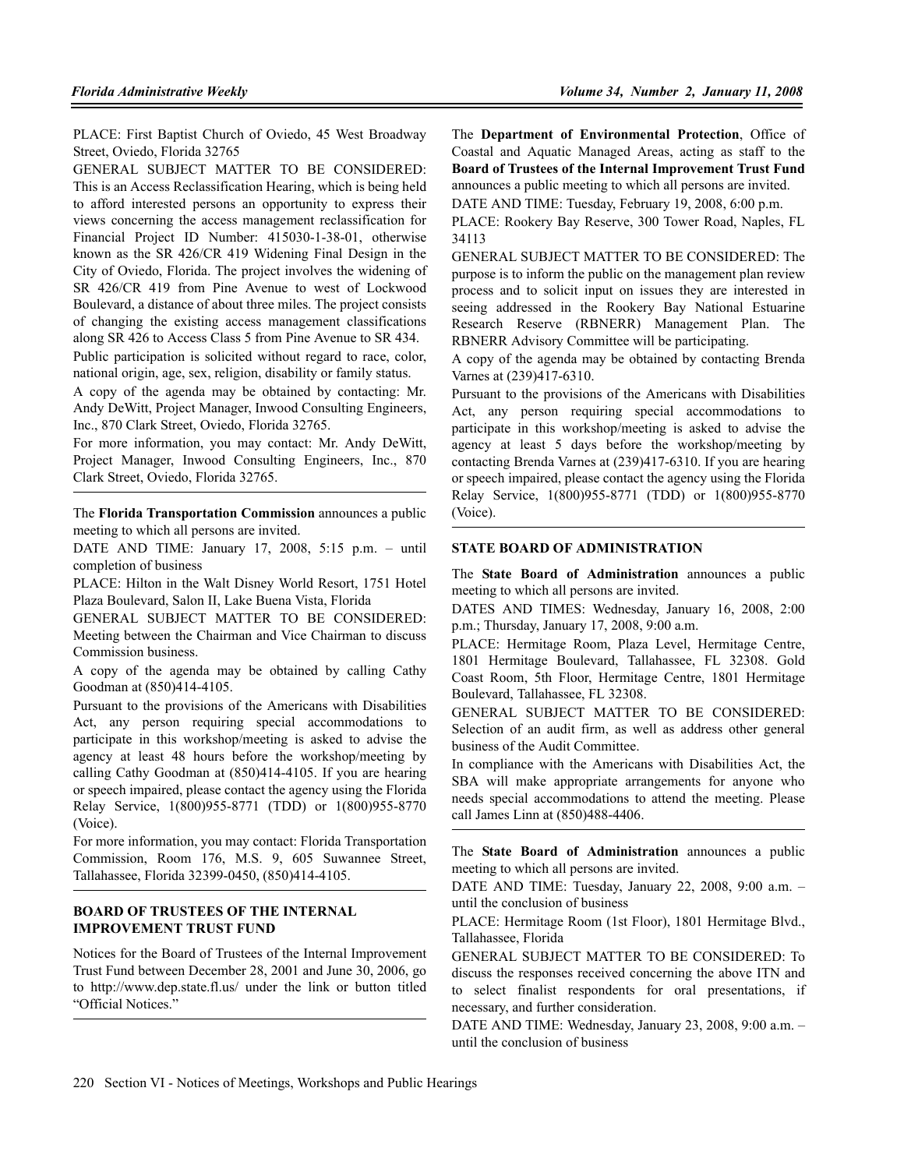PLACE: First Baptist Church of Oviedo, 45 West Broadway Street, Oviedo, Florida 32765

GENERAL SUBJECT MATTER TO BE CONSIDERED: This is an Access Reclassification Hearing, which is being held to afford interested persons an opportunity to express their views concerning the access management reclassification for Financial Project ID Number: 415030-1-38-01, otherwise known as the SR 426/CR 419 Widening Final Design in the City of Oviedo, Florida. The project involves the widening of SR 426/CR 419 from Pine Avenue to west of Lockwood Boulevard, a distance of about three miles. The project consists of changing the existing access management classifications along SR 426 to Access Class 5 from Pine Avenue to SR 434.

Public participation is solicited without regard to race, color, national origin, age, sex, religion, disability or family status.

A copy of the agenda may be obtained by contacting: Mr. Andy DeWitt, Project Manager, Inwood Consulting Engineers, Inc., 870 Clark Street, Oviedo, Florida 32765.

For more information, you may contact: Mr. Andy DeWitt, Project Manager, Inwood Consulting Engineers, Inc., 870 Clark Street, Oviedo, Florida 32765.

The **Florida Transportation Commission** announces a public meeting to which all persons are invited.

DATE AND TIME: January 17, 2008, 5:15 p.m. – until completion of business

PLACE: Hilton in the Walt Disney World Resort, 1751 Hotel Plaza Boulevard, Salon II, Lake Buena Vista, Florida

GENERAL SUBJECT MATTER TO BE CONSIDERED: Meeting between the Chairman and Vice Chairman to discuss Commission business.

A copy of the agenda may be obtained by calling Cathy Goodman at (850)414-4105.

Pursuant to the provisions of the Americans with Disabilities Act, any person requiring special accommodations to participate in this workshop/meeting is asked to advise the agency at least 48 hours before the workshop/meeting by calling Cathy Goodman at (850)414-4105. If you are hearing or speech impaired, please contact the agency using the Florida Relay Service, 1(800)955-8771 (TDD) or 1(800)955-8770 (Voice).

For more information, you may contact: Florida Transportation Commission, Room 176, M.S. 9, 605 Suwannee Street Tallahassee, Florida 32399-0450, (850)414-4105.

### **BOARD OF TRUSTEES OF THE INTERNAL IMPROVEMENT TRUST FUND**

Notices for the Board of Trustees of the Internal Improvement Trust Fund between December 28, 2001 and June 30, 2006, go to http://www.dep.state.fl.us/ under the link or button titled "Official Notices."

The **Department of Environmental Protection**, Office of Coastal and Aquatic Managed Areas, acting as staff to the **Board of Trustees of the Internal Improvement Trust Fund** announces a public meeting to which all persons are invited.

DATE AND TIME: Tuesday, February 19, 2008, 6:00 p.m.

PLACE: Rookery Bay Reserve, 300 Tower Road, Naples, FL 34113

GENERAL SUBJECT MATTER TO BE CONSIDERED: The purpose is to inform the public on the management plan review process and to solicit input on issues they are interested in seeing addressed in the Rookery Bay National Estuarine Research Reserve (RBNERR) Management Plan. The RBNERR Advisory Committee will be participating.

A copy of the agenda may be obtained by contacting Brenda Varnes at (239)417-6310.

Pursuant to the provisions of the Americans with Disabilities Act, any person requiring special accommodations to participate in this workshop/meeting is asked to advise the agency at least 5 days before the workshop/meeting by contacting Brenda Varnes at (239)417-6310. If you are hearing or speech impaired, please contact the agency using the Florida Relay Service, 1(800)955-8771 (TDD) or 1(800)955-8770 (Voice).

#### **STATE BOARD OF ADMINISTRATION**

The **State Board of Administration** announces a public meeting to which all persons are invited.

DATES AND TIMES: Wednesday, January 16, 2008, 2:00 p.m.; Thursday, January 17, 2008, 9:00 a.m.

PLACE: Hermitage Room, Plaza Level, Hermitage Centre, 1801 Hermitage Boulevard, Tallahassee, FL 32308. Gold Coast Room, 5th Floor, Hermitage Centre, 1801 Hermitage Boulevard, Tallahassee, FL 32308.

GENERAL SUBJECT MATTER TO BE CONSIDERED: Selection of an audit firm, as well as address other general business of the Audit Committee.

In compliance with the Americans with Disabilities Act, the SBA will make appropriate arrangements for anyone who needs special accommodations to attend the meeting. Please call James Linn at (850)488-4406.

The **State Board of Administration** announces a public meeting to which all persons are invited.

DATE AND TIME: Tuesday, January 22, 2008, 9:00 a.m. – until the conclusion of business

PLACE: Hermitage Room (1st Floor), 1801 Hermitage Blvd., Tallahassee, Florida

GENERAL SUBJECT MATTER TO BE CONSIDERED: To discuss the responses received concerning the above ITN and to select finalist respondents for oral presentations, if necessary, and further consideration.

DATE AND TIME: Wednesday, January 23, 2008, 9:00 a.m. – until the conclusion of business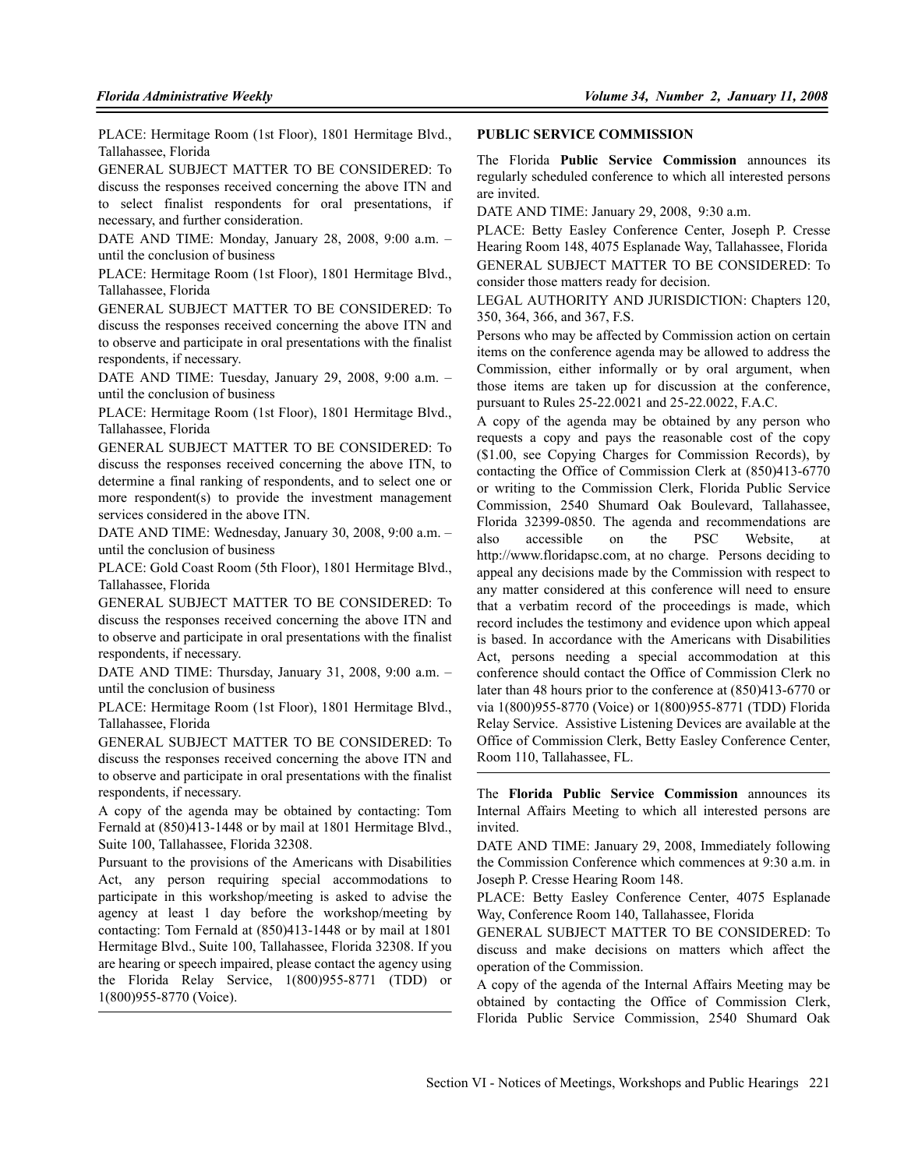PLACE: Hermitage Room (1st Floor), 1801 Hermitage Blvd., Tallahassee, Florida

GENERAL SUBJECT MATTER TO BE CONSIDERED: To discuss the responses received concerning the above ITN and to select finalist respondents for oral presentations, if necessary, and further consideration.

DATE AND TIME: Monday, January 28, 2008, 9:00 a.m. – until the conclusion of business

PLACE: Hermitage Room (1st Floor), 1801 Hermitage Blvd., Tallahassee, Florida

GENERAL SUBJECT MATTER TO BE CONSIDERED: To discuss the responses received concerning the above ITN and to observe and participate in oral presentations with the finalist respondents, if necessary.

DATE AND TIME: Tuesday, January 29, 2008, 9:00 a.m. – until the conclusion of business

PLACE: Hermitage Room (1st Floor), 1801 Hermitage Blvd., Tallahassee, Florida

GENERAL SUBJECT MATTER TO BE CONSIDERED: To discuss the responses received concerning the above ITN, to determine a final ranking of respondents, and to select one or more respondent(s) to provide the investment management services considered in the above ITN.

DATE AND TIME: Wednesday, January 30, 2008, 9:00 a.m. – until the conclusion of business

PLACE: Gold Coast Room (5th Floor), 1801 Hermitage Blvd., Tallahassee, Florida

GENERAL SUBJECT MATTER TO BE CONSIDERED: To discuss the responses received concerning the above ITN and to observe and participate in oral presentations with the finalist respondents, if necessary.

DATE AND TIME: Thursday, January 31, 2008, 9:00 a.m. – until the conclusion of business

PLACE: Hermitage Room (1st Floor), 1801 Hermitage Blvd., Tallahassee, Florida

GENERAL SUBJECT MATTER TO BE CONSIDERED: To discuss the responses received concerning the above ITN and to observe and participate in oral presentations with the finalist respondents, if necessary.

A copy of the agenda may be obtained by contacting: Tom Fernald at (850)413-1448 or by mail at 1801 Hermitage Blvd., Suite 100, Tallahassee, Florida 32308.

Pursuant to the provisions of the Americans with Disabilities Act, any person requiring special accommodations to participate in this workshop/meeting is asked to advise the agency at least 1 day before the workshop/meeting by contacting: Tom Fernald at (850)413-1448 or by mail at 1801 Hermitage Blvd., Suite 100, Tallahassee, Florida 32308. If you are hearing or speech impaired, please contact the agency using the Florida Relay Service, 1(800)955-8771 (TDD) or 1(800)955-8770 (Voice).

#### **PUBLIC SERVICE COMMISSION**

The Florida **Public Service Commission** announces its regularly scheduled conference to which all interested persons are invited.

DATE AND TIME: January 29, 2008, 9:30 a.m.

PLACE: Betty Easley Conference Center, Joseph P. Cresse Hearing Room 148, 4075 Esplanade Way, Tallahassee, Florida GENERAL SUBJECT MATTER TO BE CONSIDERED: To consider those matters ready for decision.

LEGAL AUTHORITY AND JURISDICTION: Chapters 120, 350, 364, 366, and 367, F.S.

Persons who may be affected by Commission action on certain items on the conference agenda may be allowed to address the Commission, either informally or by oral argument, when those items are taken up for discussion at the conference, pursuant to Rules 25-22.0021 and 25-22.0022, F.A.C.

A copy of the agenda may be obtained by any person who requests a copy and pays the reasonable cost of the copy (\$1.00, see Copying Charges for Commission Records), by contacting the Office of Commission Clerk at (850)413-6770 or writing to the Commission Clerk, Florida Public Service Commission, 2540 Shumard Oak Boulevard, Tallahassee, Florida 32399-0850. The agenda and recommendations are also accessible on the PSC Website, at http://www.floridapsc.com, at no charge. Persons deciding to appeal any decisions made by the Commission with respect to any matter considered at this conference will need to ensure that a verbatim record of the proceedings is made, which record includes the testimony and evidence upon which appeal is based. In accordance with the Americans with Disabilities Act, persons needing a special accommodation at this conference should contact the Office of Commission Clerk no later than 48 hours prior to the conference at (850)413-6770 or via 1(800)955-8770 (Voice) or 1(800)955-8771 (TDD) Florida Relay Service. Assistive Listening Devices are available at the Office of Commission Clerk, Betty Easley Conference Center, Room 110, Tallahassee, FL.

The **Florida Public Service Commission** announces its Internal Affairs Meeting to which all interested persons are invited.

DATE AND TIME: January 29, 2008, Immediately following the Commission Conference which commences at 9:30 a.m. in Joseph P. Cresse Hearing Room 148.

PLACE: Betty Easley Conference Center, 4075 Esplanade Way, Conference Room 140, Tallahassee, Florida

GENERAL SUBJECT MATTER TO BE CONSIDERED: To discuss and make decisions on matters which affect the operation of the Commission.

A copy of the agenda of the Internal Affairs Meeting may be obtained by contacting the Office of Commission Clerk, Florida Public Service Commission, 2540 Shumard Oak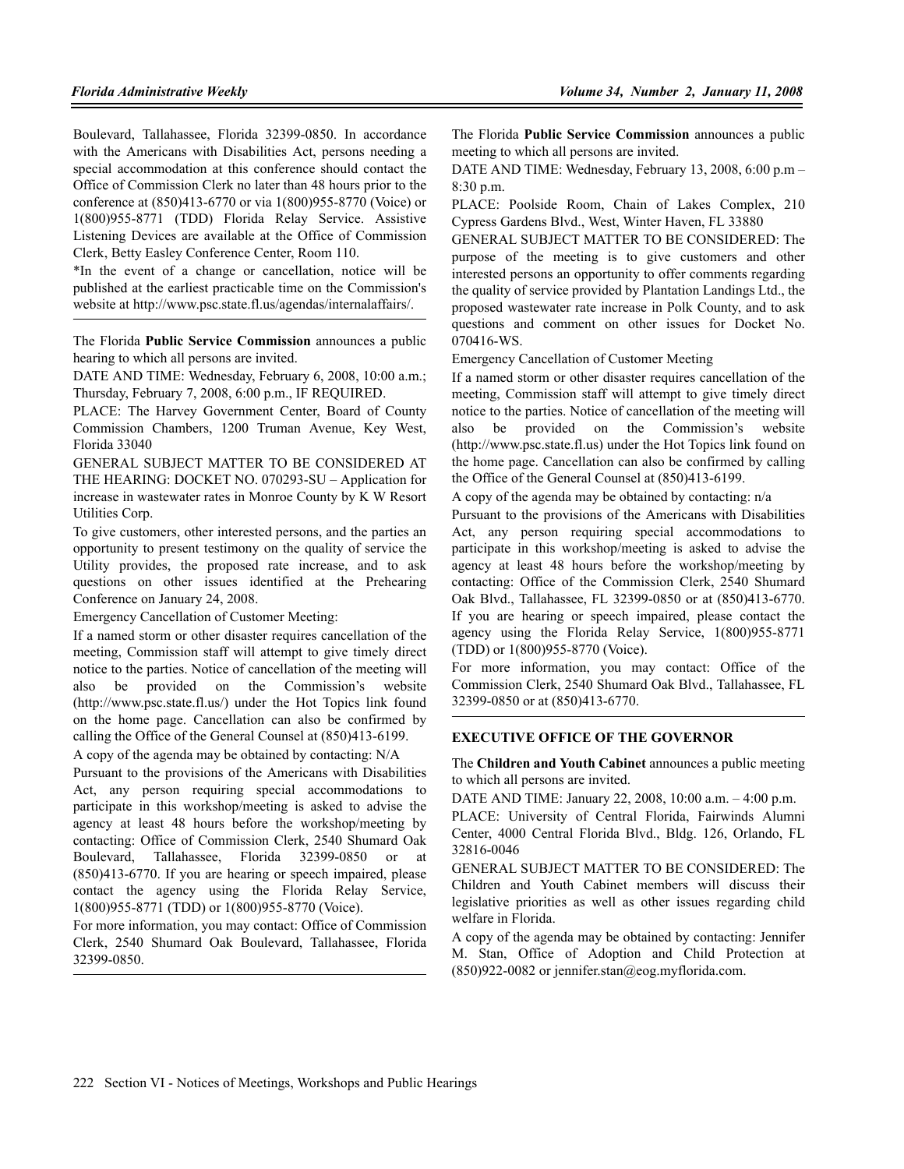Boulevard, Tallahassee, Florida 32399-0850. In accordance with the Americans with Disabilities Act, persons needing a special accommodation at this conference should contact the Office of Commission Clerk no later than 48 hours prior to the conference at (850)413-6770 or via 1(800)955-8770 (Voice) or 1(800)955-8771 (TDD) Florida Relay Service. Assistive Listening Devices are available at the Office of Commission Clerk, Betty Easley Conference Center, Room 110.

\*In the event of a change or cancellation, notice will be published at the earliest practicable time on the Commission's website at http://www.psc.state.fl.us/agendas/internalaffairs/.

The Florida **Public Service Commission** announces a public hearing to which all persons are invited.

DATE AND TIME: Wednesday, February 6, 2008, 10:00 a.m.; Thursday, February 7, 2008, 6:00 p.m., IF REQUIRED.

PLACE: The Harvey Government Center, Board of County Commission Chambers, 1200 Truman Avenue, Key West, Florida 33040

GENERAL SUBJECT MATTER TO BE CONSIDERED AT THE HEARING: DOCKET NO. 070293-SU – Application for increase in wastewater rates in Monroe County by K W Resort Utilities Corp.

To give customers, other interested persons, and the parties an opportunity to present testimony on the quality of service the Utility provides, the proposed rate increase, and to ask questions on other issues identified at the Prehearing Conference on January 24, 2008.

Emergency Cancellation of Customer Meeting:

If a named storm or other disaster requires cancellation of the meeting, Commission staff will attempt to give timely direct notice to the parties. Notice of cancellation of the meeting will also be provided on the Commission's website (http://www.psc.state.fl.us/) under the Hot Topics link found on the home page. Cancellation can also be confirmed by calling the Office of the General Counsel at (850)413-6199.

A copy of the agenda may be obtained by contacting: N/A

Pursuant to the provisions of the Americans with Disabilities Act, any person requiring special accommodations to participate in this workshop/meeting is asked to advise the agency at least 48 hours before the workshop/meeting by contacting: Office of Commission Clerk, 2540 Shumard Oak Boulevard, Tallahassee, Florida 32399-0850 or at (850)413-6770. If you are hearing or speech impaired, please contact the agency using the Florida Relay Service, 1(800)955-8771 (TDD) or 1(800)955-8770 (Voice).

For more information, you may contact: Office of Commission Clerk, 2540 Shumard Oak Boulevard, Tallahassee, Florida 32399-0850.

The Florida **Public Service Commission** announces a public meeting to which all persons are invited.

DATE AND TIME: Wednesday, February 13, 2008, 6:00 p.m – 8:30 p.m.

PLACE: Poolside Room, Chain of Lakes Complex, 210 Cypress Gardens Blvd., West, Winter Haven, FL 33880

GENERAL SUBJECT MATTER TO BE CONSIDERED: The purpose of the meeting is to give customers and other interested persons an opportunity to offer comments regarding the quality of service provided by Plantation Landings Ltd., the proposed wastewater rate increase in Polk County, and to ask questions and comment on other issues for Docket No. 070416-WS.

Emergency Cancellation of Customer Meeting

If a named storm or other disaster requires cancellation of the meeting, Commission staff will attempt to give timely direct notice to the parties. Notice of cancellation of the meeting will also be provided on the Commission's website (http://www.psc.state.fl.us) under the Hot Topics link found on the home page. Cancellation can also be confirmed by calling the Office of the General Counsel at (850)413-6199.

A copy of the agenda may be obtained by contacting: n/a

Pursuant to the provisions of the Americans with Disabilities Act, any person requiring special accommodations to participate in this workshop/meeting is asked to advise the agency at least 48 hours before the workshop/meeting by contacting: Office of the Commission Clerk, 2540 Shumard Oak Blvd., Tallahassee, FL 32399-0850 or at (850)413-6770. If you are hearing or speech impaired, please contact the agency using the Florida Relay Service, 1(800)955-8771 (TDD) or 1(800)955-8770 (Voice).

For more information, you may contact: Office of the Commission Clerk, 2540 Shumard Oak Blvd., Tallahassee, FL 32399-0850 or at (850)413-6770.

## **EXECUTIVE OFFICE OF THE GOVERNOR**

The **Children and Youth Cabinet** announces a public meeting to which all persons are invited.

DATE AND TIME: January 22, 2008, 10:00 a.m. – 4:00 p.m.

PLACE: University of Central Florida, Fairwinds Alumni Center, 4000 Central Florida Blvd., Bldg. 126, Orlando, FL 32816-0046

GENERAL SUBJECT MATTER TO BE CONSIDERED: The Children and Youth Cabinet members will discuss their legislative priorities as well as other issues regarding child welfare in Florida.

A copy of the agenda may be obtained by contacting: Jennifer M. Stan, Office of Adoption and Child Protection at  $(850)922-0082$  or jennifer.stan@eog.myflorida.com.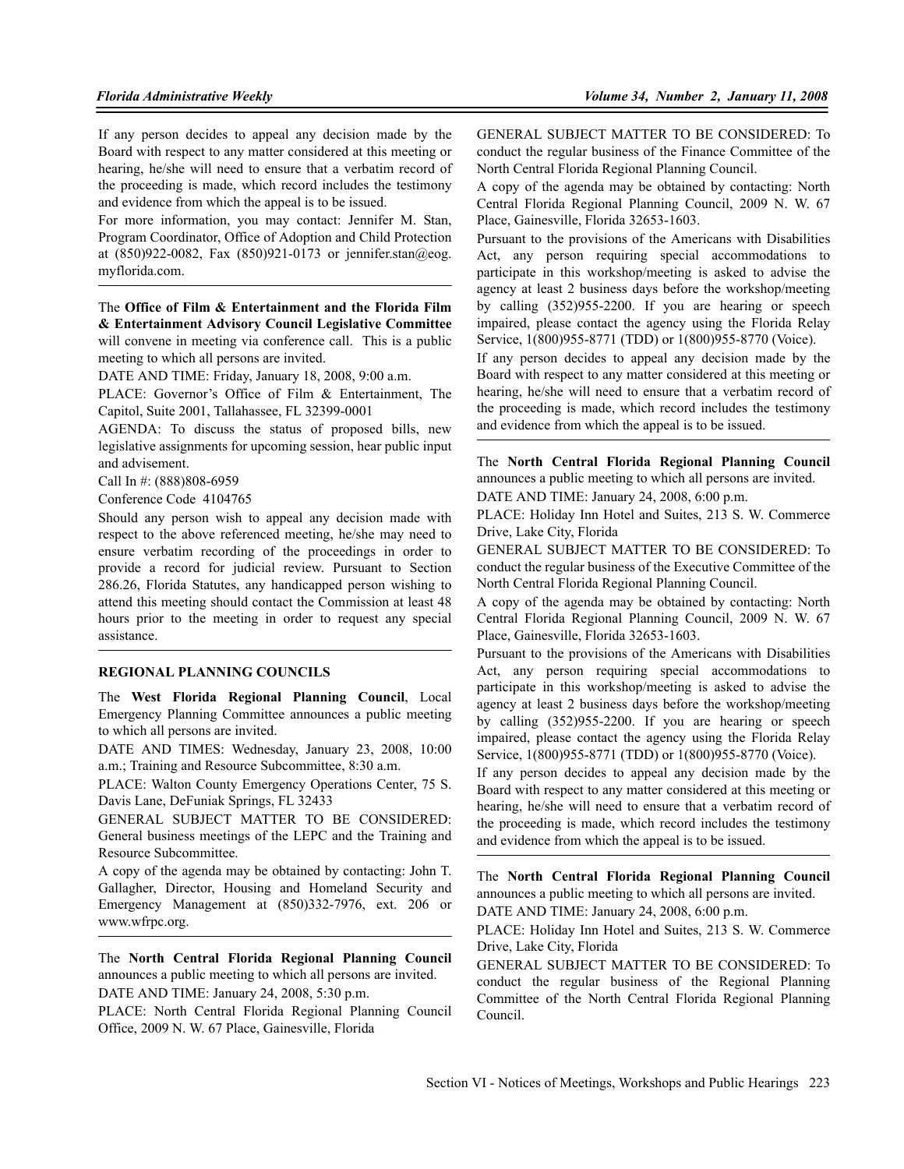If any person decides to appeal any decision made by the Board with respect to any matter considered at this meeting or hearing, he/she will need to ensure that a verbatim record of the proceeding is made, which record includes the testimony and evidence from which the appeal is to be issued.

For more information, you may contact: Jennifer M. Stan, Program Coordinator, Office of Adoption and Child Protection at (850)922-0082, Fax (850)921-0173 or jennifer.stan@eog. myflorida.com.

The **Office of Film & Entertainment and the Florida Film & Entertainment Advisory Council Legislative Committee** will convene in meeting via conference call. This is a public meeting to which all persons are invited.

DATE AND TIME: Friday, January 18, 2008, 9:00 a.m.

PLACE: Governor's Office of Film & Entertainment, The Capitol, Suite 2001, Tallahassee, FL 32399-0001

AGENDA: To discuss the status of proposed bills, new legislative assignments for upcoming session, hear public input and advisement.

Call In #: (888)808-6959

Conference Code 4104765

Should any person wish to appeal any decision made with respect to the above referenced meeting, he/she may need to ensure verbatim recording of the proceedings in order to provide a record for judicial review. Pursuant to Section 286.26, Florida Statutes, any handicapped person wishing to attend this meeting should contact the Commission at least 48 hours prior to the meeting in order to request any special assistance.

#### **REGIONAL PLANNING COUNCILS**

The **West Florida Regional Planning Council**, Local Emergency Planning Committee announces a public meeting to which all persons are invited.

DATE AND TIMES: Wednesday, January 23, 2008, 10:00 a.m.; Training and Resource Subcommittee, 8:30 a.m.

PLACE: Walton County Emergency Operations Center, 75 S. Davis Lane, DeFuniak Springs, FL 32433

GENERAL SUBJECT MATTER TO BE CONSIDERED: General business meetings of the LEPC and the Training and Resource Subcommittee.

A copy of the agenda may be obtained by contacting: John T. Gallagher, Director, Housing and Homeland Security and Emergency Management at (850)332-7976, ext. 206 or www.wfrpc.org.

The **North Central Florida Regional Planning Council** announces a public meeting to which all persons are invited. DATE AND TIME: January 24, 2008, 5:30 p.m.

PLACE: North Central Florida Regional Planning Council Office, 2009 N. W. 67 Place, Gainesville, Florida

GENERAL SUBJECT MATTER TO BE CONSIDERED: To conduct the regular business of the Finance Committee of the North Central Florida Regional Planning Council.

A copy of the agenda may be obtained by contacting: North Central Florida Regional Planning Council, 2009 N. W. 67 Place, Gainesville, Florida 32653-1603.

Pursuant to the provisions of the Americans with Disabilities Act, any person requiring special accommodations to participate in this workshop/meeting is asked to advise the agency at least 2 business days before the workshop/meeting by calling (352)955-2200. If you are hearing or speech impaired, please contact the agency using the Florida Relay Service, 1(800)955-8771 (TDD) or 1(800)955-8770 (Voice).

If any person decides to appeal any decision made by the Board with respect to any matter considered at this meeting or hearing, he/she will need to ensure that a verbatim record of the proceeding is made, which record includes the testimony and evidence from which the appeal is to be issued.

The **North Central Florida Regional Planning Council** announces a public meeting to which all persons are invited. DATE AND TIME: January 24, 2008, 6:00 p.m.

PLACE: Holiday Inn Hotel and Suites, 213 S. W. Commerce Drive, Lake City, Florida

GENERAL SUBJECT MATTER TO BE CONSIDERED: To conduct the regular business of the Executive Committee of the North Central Florida Regional Planning Council.

A copy of the agenda may be obtained by contacting: North Central Florida Regional Planning Council, 2009 N. W. 67 Place, Gainesville, Florida 32653-1603.

Pursuant to the provisions of the Americans with Disabilities Act, any person requiring special accommodations to participate in this workshop/meeting is asked to advise the agency at least 2 business days before the workshop/meeting by calling (352)955-2200. If you are hearing or speech impaired, please contact the agency using the Florida Relay Service, 1(800)955-8771 (TDD) or 1(800)955-8770 (Voice).

If any person decides to appeal any decision made by the Board with respect to any matter considered at this meeting or hearing, he/she will need to ensure that a verbatim record of the proceeding is made, which record includes the testimony and evidence from which the appeal is to be issued.

The **North Central Florida Regional Planning Council** announces a public meeting to which all persons are invited. DATE AND TIME: January 24, 2008, 6:00 p.m.

PLACE: Holiday Inn Hotel and Suites, 213 S. W. Commerce Drive, Lake City, Florida

GENERAL SUBJECT MATTER TO BE CONSIDERED: To conduct the regular business of the Regional Planning Committee of the North Central Florida Regional Planning Council.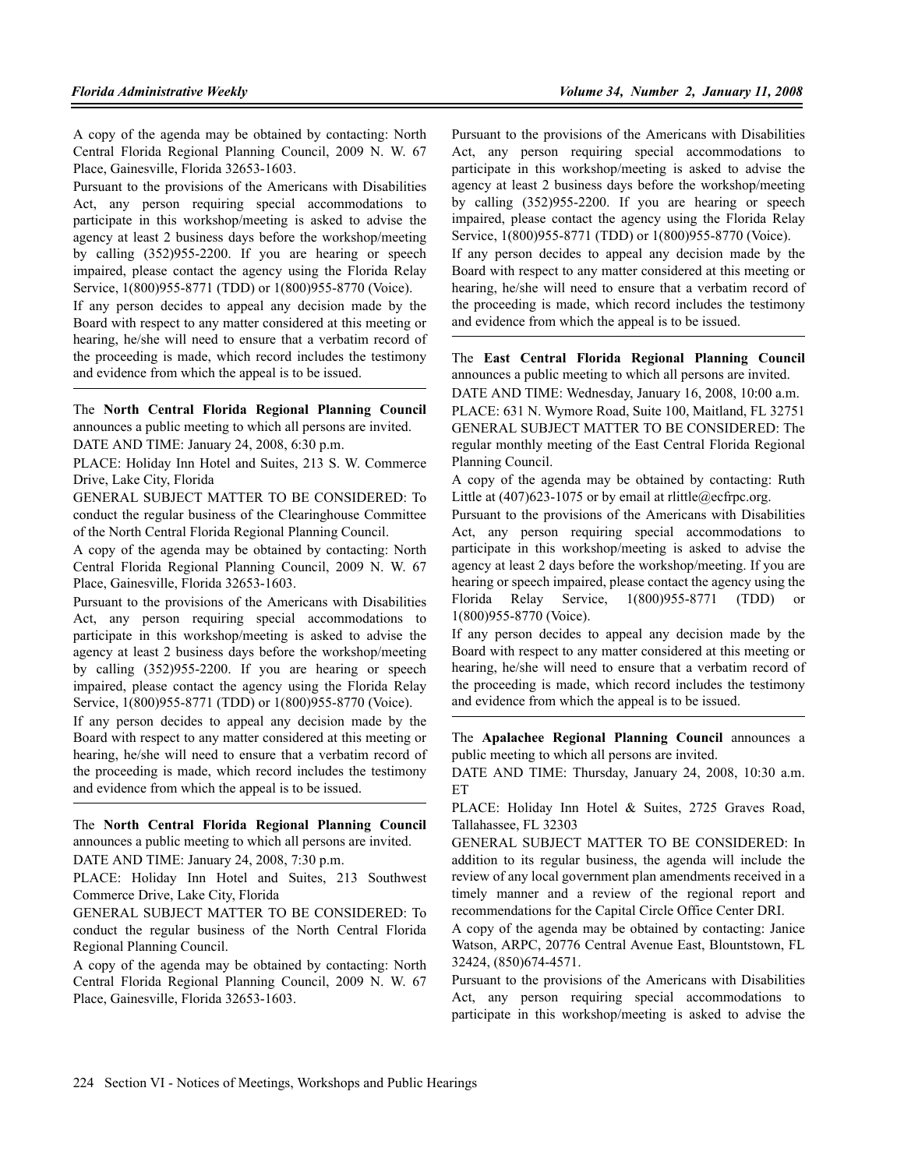A copy of the agenda may be obtained by contacting: North Central Florida Regional Planning Council, 2009 N. W. 67 Place, Gainesville, Florida 32653-1603.

Pursuant to the provisions of the Americans with Disabilities Act, any person requiring special accommodations to participate in this workshop/meeting is asked to advise the agency at least 2 business days before the workshop/meeting by calling (352)955-2200. If you are hearing or speech impaired, please contact the agency using the Florida Relay Service, 1(800)955-8771 (TDD) or 1(800)955-8770 (Voice).

If any person decides to appeal any decision made by the Board with respect to any matter considered at this meeting or hearing, he/she will need to ensure that a verbatim record of the proceeding is made, which record includes the testimony and evidence from which the appeal is to be issued.

The **North Central Florida Regional Planning Council** announces a public meeting to which all persons are invited. DATE AND TIME: January 24, 2008, 6:30 p.m.

PLACE: Holiday Inn Hotel and Suites, 213 S. W. Commerce Drive, Lake City, Florida

GENERAL SUBJECT MATTER TO BE CONSIDERED: To conduct the regular business of the Clearinghouse Committee of the North Central Florida Regional Planning Council.

A copy of the agenda may be obtained by contacting: North Central Florida Regional Planning Council, 2009 N. W. 67 Place, Gainesville, Florida 32653-1603.

Pursuant to the provisions of the Americans with Disabilities Act, any person requiring special accommodations to participate in this workshop/meeting is asked to advise the agency at least 2 business days before the workshop/meeting by calling (352)955-2200. If you are hearing or speech impaired, please contact the agency using the Florida Relay Service, 1(800)955-8771 (TDD) or 1(800)955-8770 (Voice).

If any person decides to appeal any decision made by the Board with respect to any matter considered at this meeting or hearing, he/she will need to ensure that a verbatim record of the proceeding is made, which record includes the testimony and evidence from which the appeal is to be issued.

The **North Central Florida Regional Planning Council** announces a public meeting to which all persons are invited.

DATE AND TIME: January 24, 2008, 7:30 p.m.

PLACE: Holiday Inn Hotel and Suites, 213 Southwest Commerce Drive, Lake City, Florida

GENERAL SUBJECT MATTER TO BE CONSIDERED: To conduct the regular business of the North Central Florida Regional Planning Council.

A copy of the agenda may be obtained by contacting: North Central Florida Regional Planning Council, 2009 N. W. 67 Place, Gainesville, Florida 32653-1603.

Pursuant to the provisions of the Americans with Disabilities Act, any person requiring special accommodations to participate in this workshop/meeting is asked to advise the agency at least 2 business days before the workshop/meeting by calling (352)955-2200. If you are hearing or speech impaired, please contact the agency using the Florida Relay Service, 1(800)955-8771 (TDD) or 1(800)955-8770 (Voice).

If any person decides to appeal any decision made by the Board with respect to any matter considered at this meeting or hearing, he/she will need to ensure that a verbatim record of the proceeding is made, which record includes the testimony and evidence from which the appeal is to be issued.

The **East Central Florida Regional Planning Council** announces a public meeting to which all persons are invited.

DATE AND TIME: Wednesday, January 16, 2008, 10:00 a.m. PLACE: 631 N. Wymore Road, Suite 100, Maitland, FL 32751 GENERAL SUBJECT MATTER TO BE CONSIDERED: The regular monthly meeting of the East Central Florida Regional Planning Council.

A copy of the agenda may be obtained by contacting: Ruth Little at  $(407)623-1075$  or by email at rlittle@ecfrpc.org.

Pursuant to the provisions of the Americans with Disabilities Act, any person requiring special accommodations to participate in this workshop/meeting is asked to advise the agency at least 2 days before the workshop/meeting. If you are hearing or speech impaired, please contact the agency using the Florida Relay Service, 1(800)955-8771 (TDD) or 1(800)955-8770 (Voice).

If any person decides to appeal any decision made by the Board with respect to any matter considered at this meeting or hearing, he/she will need to ensure that a verbatim record of the proceeding is made, which record includes the testimony and evidence from which the appeal is to be issued.

The **Apalachee Regional Planning Council** announces a public meeting to which all persons are invited.

DATE AND TIME: Thursday, January 24, 2008, 10:30 a.m. ET

PLACE: Holiday Inn Hotel & Suites, 2725 Graves Road, Tallahassee, FL 32303

GENERAL SUBJECT MATTER TO BE CONSIDERED: In addition to its regular business, the agenda will include the review of any local government plan amendments received in a timely manner and a review of the regional report and recommendations for the Capital Circle Office Center DRI.

A copy of the agenda may be obtained by contacting: Janice Watson, ARPC, 20776 Central Avenue East, Blountstown, FL 32424, (850)674-4571.

Pursuant to the provisions of the Americans with Disabilities Act, any person requiring special accommodations to participate in this workshop/meeting is asked to advise the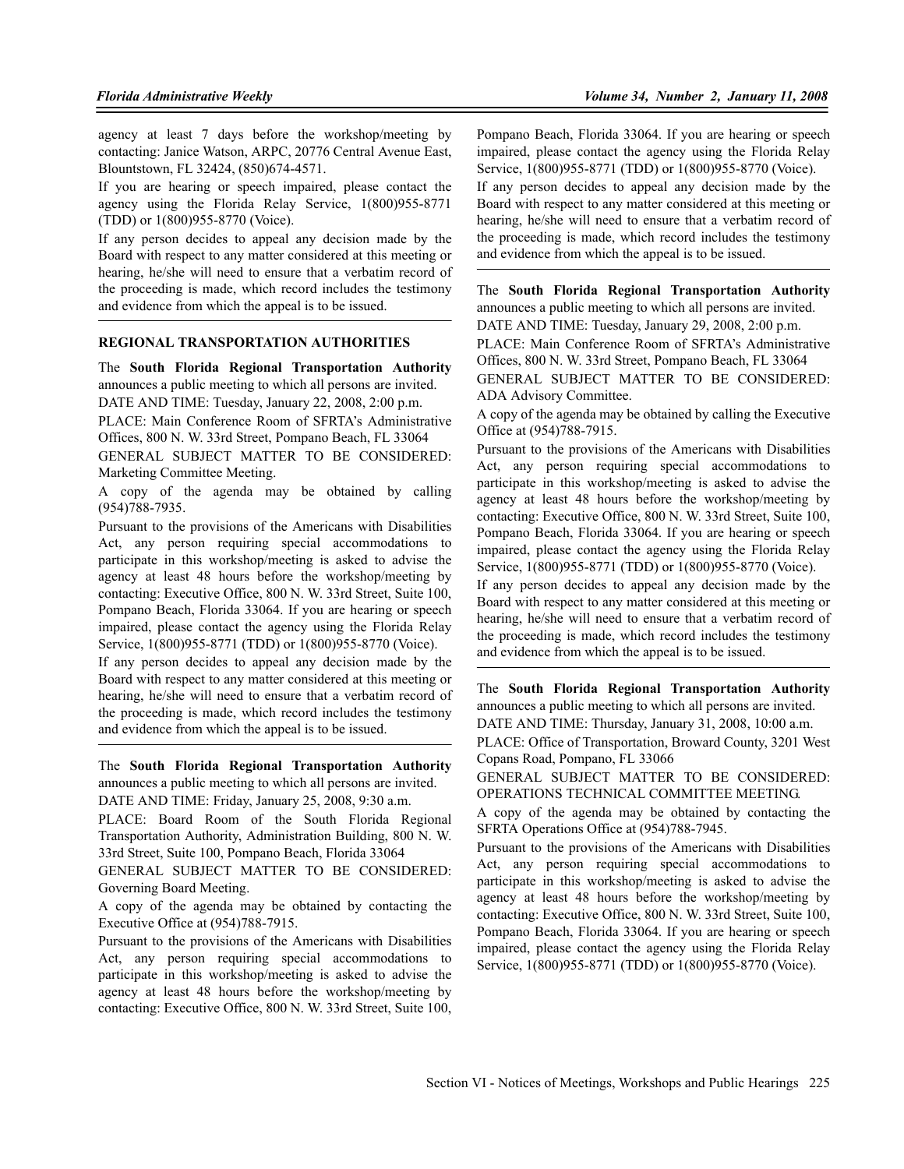agency at least 7 days before the workshop/meeting by contacting: Janice Watson, ARPC, 20776 Central Avenue East, Blountstown, FL 32424, (850)674-4571.

If you are hearing or speech impaired, please contact the agency using the Florida Relay Service, 1(800)955-8771 (TDD) or 1(800)955-8770 (Voice).

If any person decides to appeal any decision made by the Board with respect to any matter considered at this meeting or hearing, he/she will need to ensure that a verbatim record of the proceeding is made, which record includes the testimony and evidence from which the appeal is to be issued.

## **REGIONAL TRANSPORTATION AUTHORITIES**

The **South Florida Regional Transportation Authority** announces a public meeting to which all persons are invited. DATE AND TIME: Tuesday, January 22, 2008, 2:00 p.m.

PLACE: Main Conference Room of SFRTA's Administrative Offices, 800 N. W. 33rd Street, Pompano Beach, FL 33064

GENERAL SUBJECT MATTER TO BE CONSIDERED: Marketing Committee Meeting.

A copy of the agenda may be obtained by calling (954)788-7935.

Pursuant to the provisions of the Americans with Disabilities Act, any person requiring special accommodations to participate in this workshop/meeting is asked to advise the agency at least 48 hours before the workshop/meeting by contacting: Executive Office, 800 N. W. 33rd Street, Suite 100, Pompano Beach, Florida 33064. If you are hearing or speech impaired, please contact the agency using the Florida Relay Service, 1(800)955-8771 (TDD) or 1(800)955-8770 (Voice).

If any person decides to appeal any decision made by the Board with respect to any matter considered at this meeting or hearing, he/she will need to ensure that a verbatim record of the proceeding is made, which record includes the testimony and evidence from which the appeal is to be issued.

The **South Florida Regional Transportation Authority** announces a public meeting to which all persons are invited. DATE AND TIME: Friday, January 25, 2008, 9:30 a.m.

PLACE: Board Room of the South Florida Regional Transportation Authority, Administration Building, 800 N. W. 33rd Street, Suite 100, Pompano Beach, Florida 33064

GENERAL SUBJECT MATTER TO BE CONSIDERED: Governing Board Meeting.

A copy of the agenda may be obtained by contacting the Executive Office at (954)788-7915.

Pursuant to the provisions of the Americans with Disabilities Act, any person requiring special accommodations to participate in this workshop/meeting is asked to advise the agency at least 48 hours before the workshop/meeting by contacting: Executive Office, 800 N. W. 33rd Street, Suite 100,

Pompano Beach, Florida 33064. If you are hearing or speech impaired, please contact the agency using the Florida Relay Service, 1(800)955-8771 (TDD) or 1(800)955-8770 (Voice). If any person decides to appeal any decision made by the Board with respect to any matter considered at this meeting or hearing, he/she will need to ensure that a verbatim record of the proceeding is made, which record includes the testimony and evidence from which the appeal is to be issued.

The **South Florida Regional Transportation Authority** announces a public meeting to which all persons are invited.

DATE AND TIME: Tuesday, January 29, 2008, 2:00 p.m.

PLACE: Main Conference Room of SFRTA's Administrative Offices, 800 N. W. 33rd Street, Pompano Beach, FL 33064

GENERAL SUBJECT MATTER TO BE CONSIDERED: ADA Advisory Committee.

A copy of the agenda may be obtained by calling the Executive Office at (954)788-7915.

Pursuant to the provisions of the Americans with Disabilities Act, any person requiring special accommodations to participate in this workshop/meeting is asked to advise the agency at least 48 hours before the workshop/meeting by contacting: Executive Office, 800 N. W. 33rd Street, Suite 100, Pompano Beach, Florida 33064. If you are hearing or speech impaired, please contact the agency using the Florida Relay Service, 1(800)955-8771 (TDD) or 1(800)955-8770 (Voice).

If any person decides to appeal any decision made by the Board with respect to any matter considered at this meeting or hearing, he/she will need to ensure that a verbatim record of the proceeding is made, which record includes the testimony and evidence from which the appeal is to be issued.

The **South Florida Regional Transportation Authority** announces a public meeting to which all persons are invited. DATE AND TIME: Thursday, January 31, 2008, 10:00 a.m.

PLACE: Office of Transportation, Broward County, 3201 West

Copans Road, Pompano, FL 33066

GENERAL SUBJECT MATTER TO BE CONSIDERED: OPERATIONS TECHNICAL COMMITTEE MEETING.

A copy of the agenda may be obtained by contacting the SFRTA Operations Office at (954)788-7945.

Pursuant to the provisions of the Americans with Disabilities Act, any person requiring special accommodations to participate in this workshop/meeting is asked to advise the agency at least 48 hours before the workshop/meeting by contacting: Executive Office, 800 N. W. 33rd Street, Suite 100, Pompano Beach, Florida 33064. If you are hearing or speech impaired, please contact the agency using the Florida Relay Service, 1(800)955-8771 (TDD) or 1(800)955-8770 (Voice).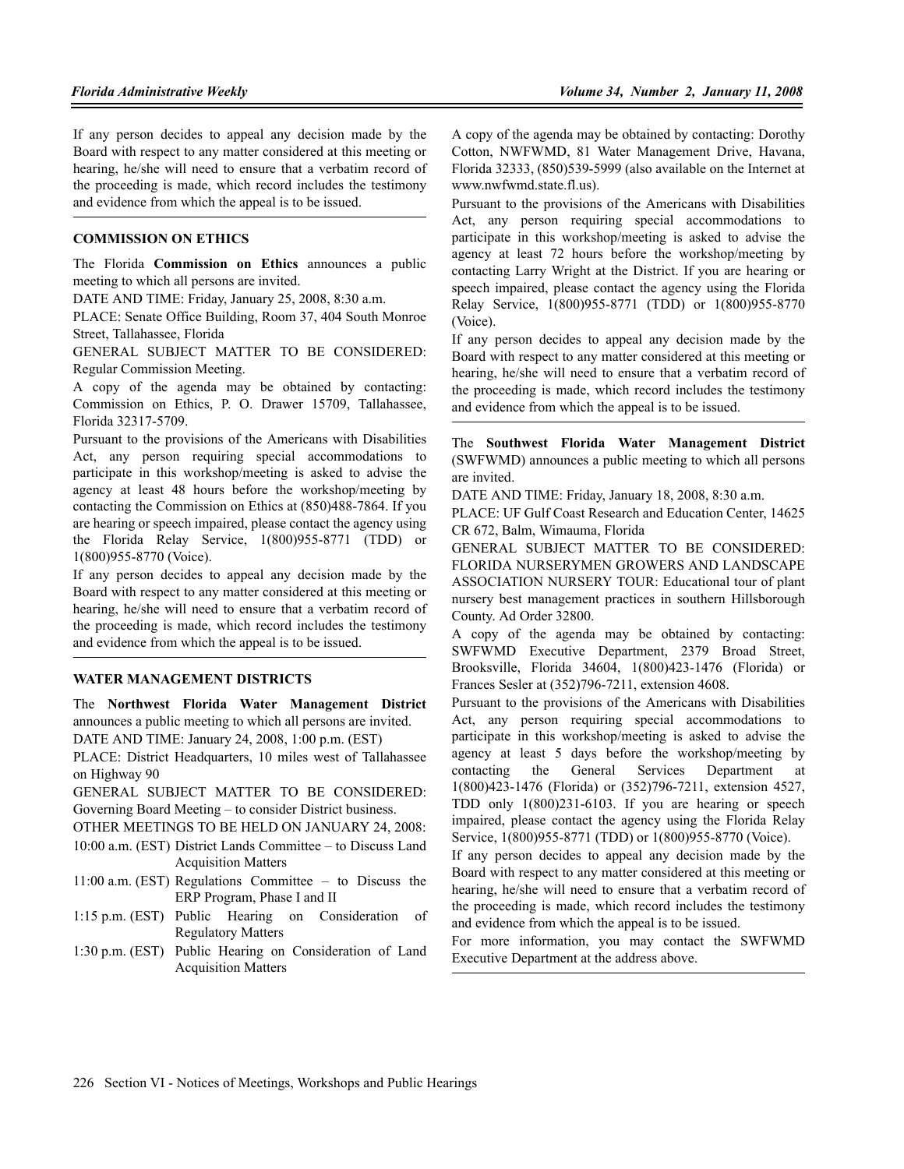If any person decides to appeal any decision made by the Board with respect to any matter considered at this meeting or hearing, he/she will need to ensure that a verbatim record of the proceeding is made, which record includes the testimony and evidence from which the appeal is to be issued.

#### **COMMISSION ON ETHICS**

The Florida **Commission on Ethics** announces a public meeting to which all persons are invited.

DATE AND TIME: Friday, January 25, 2008, 8:30 a.m.

PLACE: Senate Office Building, Room 37, 404 South Monroe Street, Tallahassee, Florida

GENERAL SUBJECT MATTER TO BE CONSIDERED: Regular Commission Meeting.

A copy of the agenda may be obtained by contacting: Commission on Ethics, P. O. Drawer 15709, Tallahassee, Florida 32317-5709.

Pursuant to the provisions of the Americans with Disabilities Act, any person requiring special accommodations to participate in this workshop/meeting is asked to advise the agency at least 48 hours before the workshop/meeting by contacting the Commission on Ethics at (850)488-7864. If you are hearing or speech impaired, please contact the agency using the Florida Relay Service, 1(800)955-8771 (TDD) or 1(800)955-8770 (Voice).

If any person decides to appeal any decision made by the Board with respect to any matter considered at this meeting or hearing, he/she will need to ensure that a verbatim record of the proceeding is made, which record includes the testimony and evidence from which the appeal is to be issued.

#### **WATER MANAGEMENT DISTRICTS**

The **Northwest Florida Water Management District** announces a public meeting to which all persons are invited. DATE AND TIME: January 24, 2008, 1:00 p.m. (EST)

PLACE: District Headquarters, 10 miles west of Tallahassee on Highway 90

GENERAL SUBJECT MATTER TO BE CONSIDERED: Governing Board Meeting – to consider District business.

OTHER MEETINGS TO BE HELD ON JANUARY 24, 2008:

- 10:00 a.m. (EST) District Lands Committee to Discuss Land Acquisition Matters
- 11:00 a.m. (EST) Regulations Committee to Discuss the ERP Program, Phase I and II
- 1:15 p.m. (EST) Public Hearing on Consideration of Regulatory Matters
- 1:30 p.m. (EST) Public Hearing on Consideration of Land Acquisition Matters

A copy of the agenda may be obtained by contacting: Dorothy Cotton, NWFWMD, 81 Water Management Drive, Havana, Florida 32333, (850)539-5999 (also available on the Internet at www.nwfwmd.state.fl.us).

Pursuant to the provisions of the Americans with Disabilities Act, any person requiring special accommodations to participate in this workshop/meeting is asked to advise the agency at least 72 hours before the workshop/meeting by contacting Larry Wright at the District. If you are hearing or speech impaired, please contact the agency using the Florida Relay Service, 1(800)955-8771 (TDD) or 1(800)955-8770 (Voice).

If any person decides to appeal any decision made by the Board with respect to any matter considered at this meeting or hearing, he/she will need to ensure that a verbatim record of the proceeding is made, which record includes the testimony and evidence from which the appeal is to be issued.

The **Southwest Florida Water Management District** (SWFWMD) announces a public meeting to which all persons are invited.

DATE AND TIME: Friday, January 18, 2008, 8:30 a.m.

PLACE: UF Gulf Coast Research and Education Center, 14625 CR 672, Balm, Wimauma, Florida

GENERAL SUBJECT MATTER TO BE CONSIDERED: FLORIDA NURSERYMEN GROWERS AND LANDSCAPE ASSOCIATION NURSERY TOUR: Educational tour of plant nursery best management practices in southern Hillsborough County. Ad Order 32800.

A copy of the agenda may be obtained by contacting: SWFWMD Executive Department, 2379 Broad Street, Brooksville, Florida 34604, 1(800)423-1476 (Florida) or Frances Sesler at (352)796-7211, extension 4608.

Pursuant to the provisions of the Americans with Disabilities Act, any person requiring special accommodations to participate in this workshop/meeting is asked to advise the agency at least 5 days before the workshop/meeting by contacting the General Services Department at 1(800)423-1476 (Florida) or (352)796-7211, extension 4527, TDD only 1(800)231-6103. If you are hearing or speech impaired, please contact the agency using the Florida Relay Service, 1(800)955-8771 (TDD) or 1(800)955-8770 (Voice).

If any person decides to appeal any decision made by the Board with respect to any matter considered at this meeting or hearing, he/she will need to ensure that a verbatim record of the proceeding is made, which record includes the testimony and evidence from which the appeal is to be issued.

For more information, you may contact the SWFWMD Executive Department at the address above.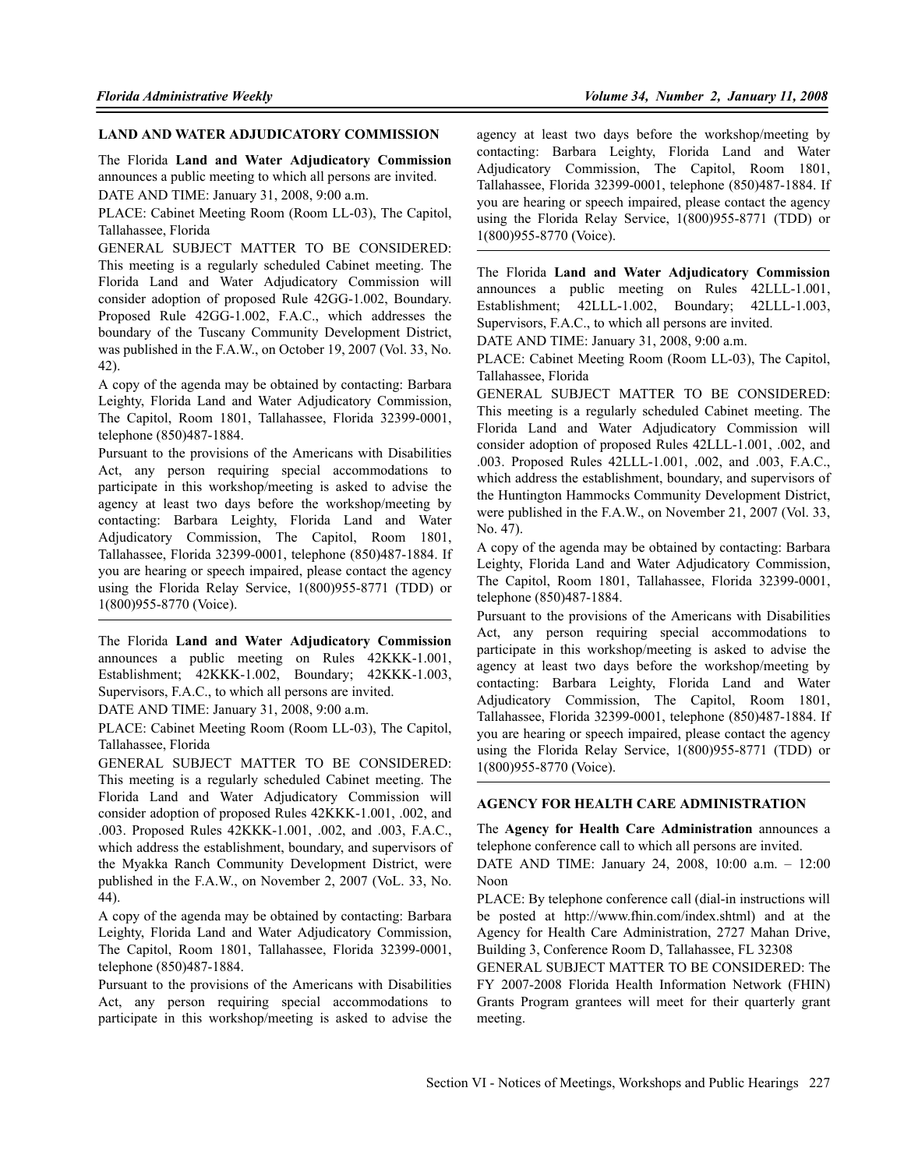#### **LAND AND WATER ADJUDICATORY COMMISSION**

The Florida **Land and Water Adjudicatory Commission** announces a public meeting to which all persons are invited.

DATE AND TIME: January 31, 2008, 9:00 a.m.

PLACE: Cabinet Meeting Room (Room LL-03), The Capitol, Tallahassee, Florida

GENERAL SUBJECT MATTER TO BE CONSIDERED: This meeting is a regularly scheduled Cabinet meeting. The Florida Land and Water Adjudicatory Commission will consider adoption of proposed Rule 42GG-1.002, Boundary. Proposed Rule 42GG-1.002, F.A.C., which addresses the boundary of the Tuscany Community Development District, was published in the F.A.W., on October 19, 2007 (Vol. 33, No. 42).

A copy of the agenda may be obtained by contacting: Barbara Leighty, Florida Land and Water Adjudicatory Commission, The Capitol, Room 1801, Tallahassee, Florida 32399-0001, telephone (850)487-1884.

Pursuant to the provisions of the Americans with Disabilities Act, any person requiring special accommodations to participate in this workshop/meeting is asked to advise the agency at least two days before the workshop/meeting by contacting: Barbara Leighty, Florida Land and Water Adjudicatory Commission, The Capitol, Room 1801, Tallahassee, Florida 32399-0001, telephone (850)487-1884. If you are hearing or speech impaired, please contact the agency using the Florida Relay Service, 1(800)955-8771 (TDD) or 1(800)955-8770 (Voice).

The Florida **Land and Water Adjudicatory Commission** announces a public meeting on Rules 42KKK-1.001, Establishment; 42KKK-1.002, Boundary; 42KKK-1.003, Supervisors, F.A.C., to which all persons are invited.

DATE AND TIME: January 31, 2008, 9:00 a.m.

PLACE: Cabinet Meeting Room (Room LL-03), The Capitol, Tallahassee, Florida

GENERAL SUBJECT MATTER TO BE CONSIDERED: This meeting is a regularly scheduled Cabinet meeting. The Florida Land and Water Adjudicatory Commission will consider adoption of proposed Rules 42KKK-1.001, .002, and .003. Proposed Rules 42KKK-1.001, .002, and .003, F.A.C., which address the establishment, boundary, and supervisors of the Myakka Ranch Community Development District, were published in the F.A.W., on November 2, 2007 (VoL. 33, No. 44).

A copy of the agenda may be obtained by contacting: Barbara Leighty, Florida Land and Water Adjudicatory Commission, The Capitol, Room 1801, Tallahassee, Florida 32399-0001, telephone (850)487-1884.

Pursuant to the provisions of the Americans with Disabilities Act, any person requiring special accommodations to participate in this workshop/meeting is asked to advise the

agency at least two days before the workshop/meeting by contacting: Barbara Leighty, Florida Land and Water Adjudicatory Commission, The Capitol, Room 1801, Tallahassee, Florida 32399-0001, telephone (850)487-1884. If you are hearing or speech impaired, please contact the agency using the Florida Relay Service, 1(800)955-8771 (TDD) or 1(800)955-8770 (Voice).

The Florida **Land and Water Adjudicatory Commission** announces a public meeting on Rules 42LLL-1.001, Establishment; 42LLL-1.002, Boundary; 42LLL-1.003, Supervisors, F.A.C., to which all persons are invited.

DATE AND TIME: January 31, 2008, 9:00 a.m.

PLACE: Cabinet Meeting Room (Room LL-03), The Capitol, Tallahassee, Florida

GENERAL SUBJECT MATTER TO BE CONSIDERED: This meeting is a regularly scheduled Cabinet meeting. The Florida Land and Water Adjudicatory Commission will consider adoption of proposed Rules 42LLL-1.001, .002, and .003. Proposed Rules 42LLL-1.001, .002, and .003, F.A.C., which address the establishment, boundary, and supervisors of the Huntington Hammocks Community Development District, were published in the F.A.W., on November 21, 2007 (Vol. 33, No. 47).

A copy of the agenda may be obtained by contacting: Barbara Leighty, Florida Land and Water Adjudicatory Commission, The Capitol, Room 1801, Tallahassee, Florida 32399-0001, telephone (850)487-1884.

Pursuant to the provisions of the Americans with Disabilities Act, any person requiring special accommodations to participate in this workshop/meeting is asked to advise the agency at least two days before the workshop/meeting by contacting: Barbara Leighty, Florida Land and Water Adjudicatory Commission, The Capitol, Room 1801, Tallahassee, Florida 32399-0001, telephone (850)487-1884. If you are hearing or speech impaired, please contact the agency using the Florida Relay Service, 1(800)955-8771 (TDD) or 1(800)955-8770 (Voice).

### **AGENCY FOR HEALTH CARE ADMINISTRATION**

The **Agency for Health Care Administration** announces a telephone conference call to which all persons are invited.

DATE AND TIME: January 24, 2008, 10:00 a.m. – 12:00 Noon

PLACE: By telephone conference call (dial-in instructions will be posted at http://www.fhin.com/index.shtml) and at the Agency for Health Care Administration, 2727 Mahan Drive, Building 3, Conference Room D, Tallahassee, FL 32308

GENERAL SUBJECT MATTER TO BE CONSIDERED: The FY 2007-2008 Florida Health Information Network (FHIN) Grants Program grantees will meet for their quarterly grant meeting.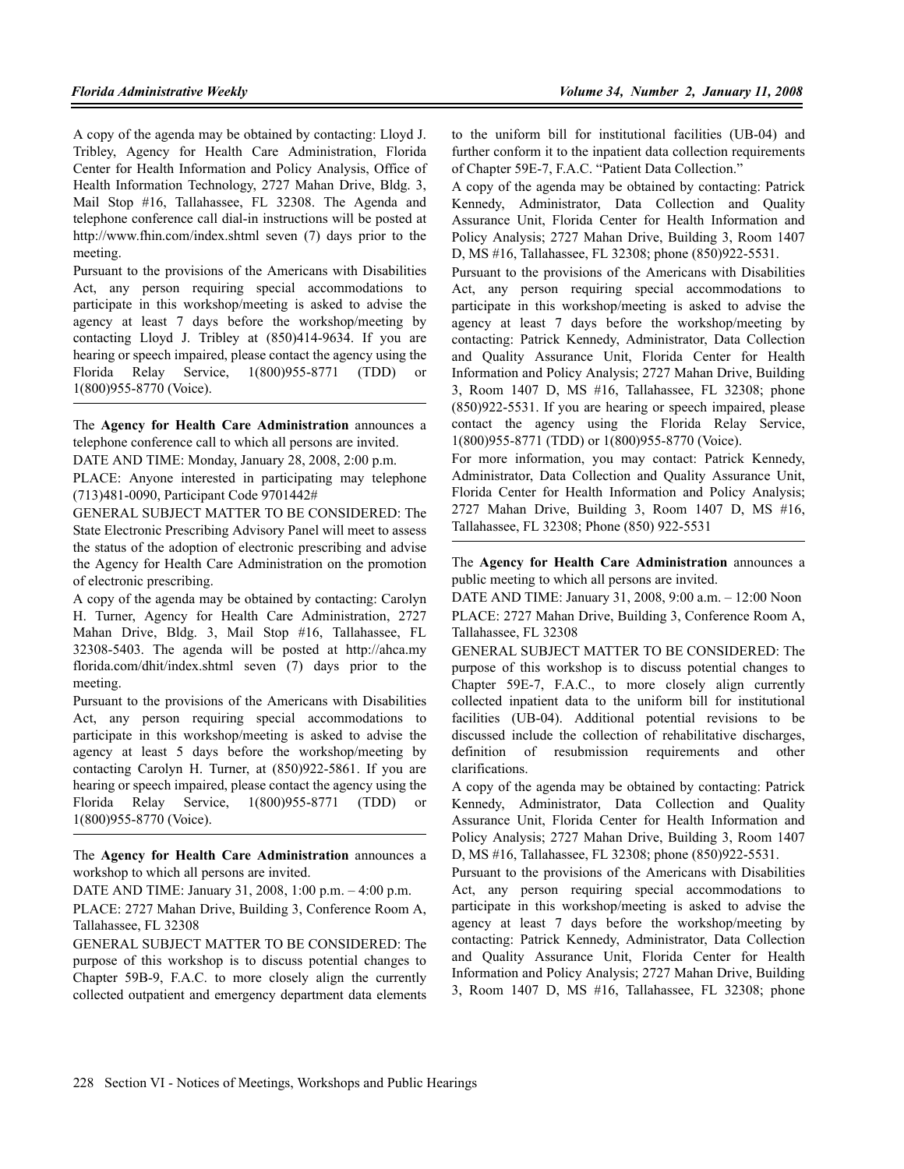A copy of the agenda may be obtained by contacting: Lloyd J. Tribley, Agency for Health Care Administration, Florida Center for Health Information and Policy Analysis, Office of Health Information Technology, 2727 Mahan Drive, Bldg. 3, Mail Stop #16, Tallahassee, FL 32308. The Agenda and telephone conference call dial-in instructions will be posted at http://www.fhin.com/index.shtml seven (7) days prior to the meeting.

Pursuant to the provisions of the Americans with Disabilities Act, any person requiring special accommodations to participate in this workshop/meeting is asked to advise the agency at least 7 days before the workshop/meeting by contacting Lloyd J. Tribley at (850)414-9634. If you are hearing or speech impaired, please contact the agency using the Florida Relay Service, 1(800)955-8771 (TDD) or 1(800)955-8770 (Voice).

The **Agency for Health Care Administration** announces a telephone conference call to which all persons are invited.

DATE AND TIME: Monday, January 28, 2008, 2:00 p.m.

PLACE: Anyone interested in participating may telephone (713)481-0090, Participant Code 9701442#

GENERAL SUBJECT MATTER TO BE CONSIDERED: The State Electronic Prescribing Advisory Panel will meet to assess the status of the adoption of electronic prescribing and advise the Agency for Health Care Administration on the promotion of electronic prescribing.

A copy of the agenda may be obtained by contacting: Carolyn H. Turner, Agency for Health Care Administration, 2727 Mahan Drive, Bldg. 3, Mail Stop #16, Tallahassee, FL 32308-5403. The agenda will be posted at http://ahca.my florida.com/dhit/index.shtml seven (7) days prior to the meeting.

Pursuant to the provisions of the Americans with Disabilities Act, any person requiring special accommodations to participate in this workshop/meeting is asked to advise the agency at least 5 days before the workshop/meeting by contacting Carolyn H. Turner, at (850)922-5861. If you are hearing or speech impaired, please contact the agency using the Florida Relay Service, 1(800)955-8771 (TDD) or 1(800)955-8770 (Voice).

The **Agency for Health Care Administration** announces a workshop to which all persons are invited.

DATE AND TIME: January 31, 2008, 1:00 p.m. – 4:00 p.m.

PLACE: 2727 Mahan Drive, Building 3, Conference Room A, Tallahassee, FL 32308

GENERAL SUBJECT MATTER TO BE CONSIDERED: The purpose of this workshop is to discuss potential changes to Chapter 59B-9, F.A.C. to more closely align the currently collected outpatient and emergency department data elements to the uniform bill for institutional facilities (UB-04) and further conform it to the inpatient data collection requirements of Chapter 59E-7, F.A.C. "Patient Data Collection."

A copy of the agenda may be obtained by contacting: Patrick Kennedy, Administrator, Data Collection and Quality Assurance Unit, Florida Center for Health Information and Policy Analysis; 2727 Mahan Drive, Building 3, Room 1407 D, MS #16, Tallahassee, FL 32308; phone (850)922-5531.

Pursuant to the provisions of the Americans with Disabilities Act, any person requiring special accommodations to participate in this workshop/meeting is asked to advise the agency at least 7 days before the workshop/meeting by contacting: Patrick Kennedy, Administrator, Data Collection and Quality Assurance Unit, Florida Center for Health Information and Policy Analysis; 2727 Mahan Drive, Building 3, Room 1407 D, MS #16, Tallahassee, FL 32308; phone (850)922-5531. If you are hearing or speech impaired, please contact the agency using the Florida Relay Service, 1(800)955-8771 (TDD) or 1(800)955-8770 (Voice).

For more information, you may contact: Patrick Kennedy, Administrator, Data Collection and Quality Assurance Unit, Florida Center for Health Information and Policy Analysis; 2727 Mahan Drive, Building 3, Room 1407 D, MS #16, Tallahassee, FL 32308; Phone (850) 922-5531

The **Agency for Health Care Administration** announces a public meeting to which all persons are invited.

DATE AND TIME: January 31, 2008, 9:00 a.m. – 12:00 Noon PLACE: 2727 Mahan Drive, Building 3, Conference Room A, Tallahassee, FL 32308

GENERAL SUBJECT MATTER TO BE CONSIDERED: The purpose of this workshop is to discuss potential changes to Chapter 59E-7, F.A.C., to more closely align currently collected inpatient data to the uniform bill for institutional facilities (UB-04). Additional potential revisions to be discussed include the collection of rehabilitative discharges, definition of resubmission requirements and other clarifications.

A copy of the agenda may be obtained by contacting: Patrick Kennedy, Administrator, Data Collection and Quality Assurance Unit, Florida Center for Health Information and Policy Analysis; 2727 Mahan Drive, Building 3, Room 1407 D, MS #16, Tallahassee, FL 32308; phone (850)922-5531.

Pursuant to the provisions of the Americans with Disabilities Act, any person requiring special accommodations to participate in this workshop/meeting is asked to advise the agency at least 7 days before the workshop/meeting by contacting: Patrick Kennedy, Administrator, Data Collection and Quality Assurance Unit, Florida Center for Health Information and Policy Analysis; 2727 Mahan Drive, Building 3, Room 1407 D, MS #16, Tallahassee, FL 32308; phone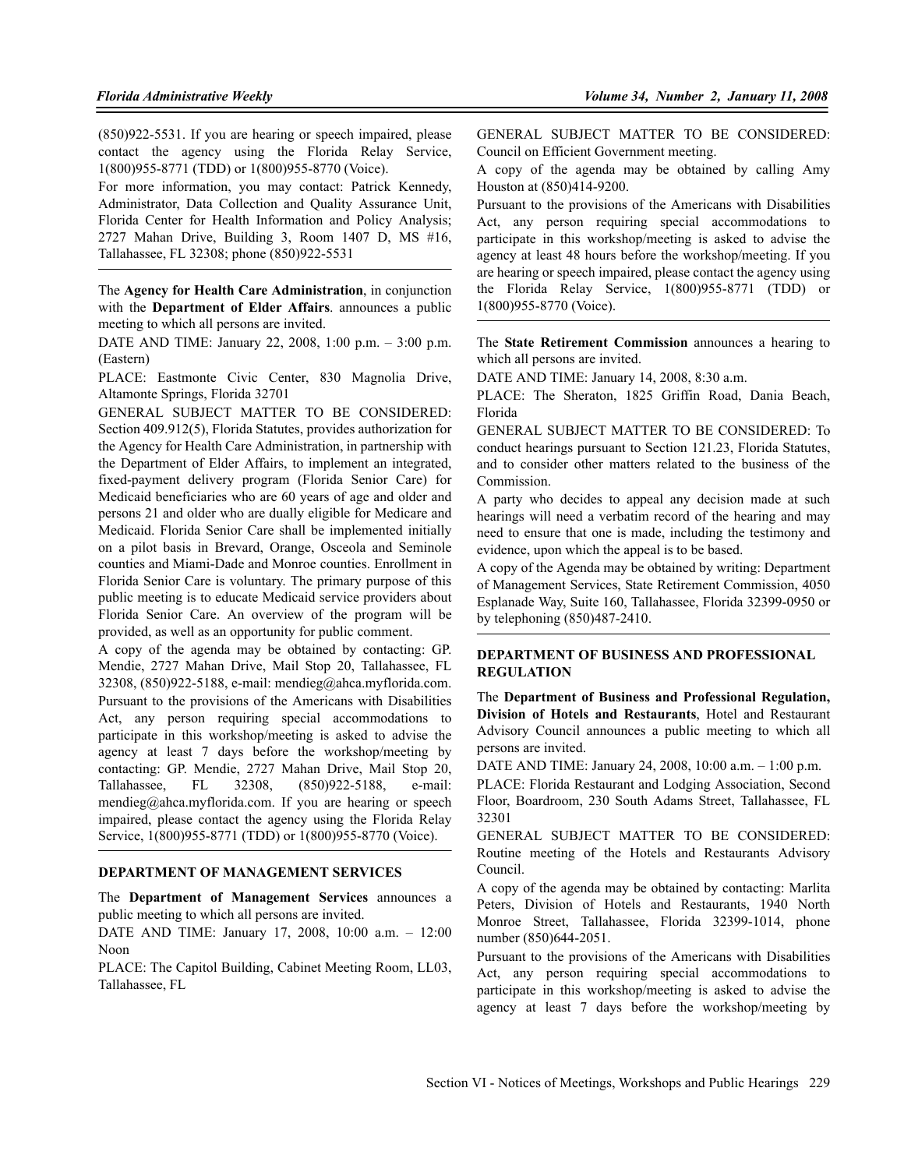(850)922-5531. If you are hearing or speech impaired, please contact the agency using the Florida Relay Service, 1(800)955-8771 (TDD) or 1(800)955-8770 (Voice).

For more information, you may contact: Patrick Kennedy, Administrator, Data Collection and Quality Assurance Unit, Florida Center for Health Information and Policy Analysis; 2727 Mahan Drive, Building 3, Room 1407 D, MS #16, Tallahassee, FL 32308; phone (850)922-5531

The **Agency for Health Care Administration**, in conjunction with the **Department of Elder Affairs**. announces a public meeting to which all persons are invited.

DATE AND TIME: January 22, 2008, 1:00 p.m. – 3:00 p.m. (Eastern)

PLACE: Eastmonte Civic Center, 830 Magnolia Drive, Altamonte Springs, Florida 32701

GENERAL SUBJECT MATTER TO BE CONSIDERED: Section 409.912(5), Florida Statutes, provides authorization for the Agency for Health Care Administration, in partnership with the Department of Elder Affairs, to implement an integrated, fixed-payment delivery program (Florida Senior Care) for Medicaid beneficiaries who are 60 years of age and older and persons 21 and older who are dually eligible for Medicare and Medicaid. Florida Senior Care shall be implemented initially on a pilot basis in Brevard, Orange, Osceola and Seminole counties and Miami-Dade and Monroe counties. Enrollment in Florida Senior Care is voluntary. The primary purpose of this public meeting is to educate Medicaid service providers about Florida Senior Care. An overview of the program will be provided, as well as an opportunity for public comment.

A copy of the agenda may be obtained by contacting: GP. Mendie, 2727 Mahan Drive, Mail Stop 20, Tallahassee, FL 32308, (850)922-5188, e-mail: mendieg@ahca.myflorida.com. Pursuant to the provisions of the Americans with Disabilities Act, any person requiring special accommodations to participate in this workshop/meeting is asked to advise the agency at least 7 days before the workshop/meeting by contacting: GP. Mendie, 2727 Mahan Drive, Mail Stop 20, Tallahassee, FL 32308, (850)922-5188, e-mail: mendieg@ahca.myflorida.com. If you are hearing or speech impaired, please contact the agency using the Florida Relay Service, 1(800)955-8771 (TDD) or 1(800)955-8770 (Voice).

## **DEPARTMENT OF MANAGEMENT SERVICES**

The **Department of Management Services** announces a public meeting to which all persons are invited.

DATE AND TIME: January 17, 2008, 10:00 a.m. – 12:00 Noon

PLACE: The Capitol Building, Cabinet Meeting Room, LL03, Tallahassee, FL

GENERAL SUBJECT MATTER TO BE CONSIDERED: Council on Efficient Government meeting.

A copy of the agenda may be obtained by calling Amy Houston at (850)414-9200.

Pursuant to the provisions of the Americans with Disabilities Act, any person requiring special accommodations to participate in this workshop/meeting is asked to advise the agency at least 48 hours before the workshop/meeting. If you are hearing or speech impaired, please contact the agency using the Florida Relay Service, 1(800)955-8771 (TDD) or 1(800)955-8770 (Voice).

The **State Retirement Commission** announces a hearing to which all persons are invited.

DATE AND TIME: January 14, 2008, 8:30 a.m.

PLACE: The Sheraton, 1825 Griffin Road, Dania Beach, Florida

GENERAL SUBJECT MATTER TO BE CONSIDERED: To conduct hearings pursuant to Section 121.23, Florida Statutes, and to consider other matters related to the business of the Commission.

A party who decides to appeal any decision made at such hearings will need a verbatim record of the hearing and may need to ensure that one is made, including the testimony and evidence, upon which the appeal is to be based.

A copy of the Agenda may be obtained by writing: Department of Management Services, State Retirement Commission, 4050 Esplanade Way, Suite 160, Tallahassee, Florida 32399-0950 or by telephoning (850)487-2410.

#### **DEPARTMENT OF BUSINESS AND PROFESSIONAL REGULATION**

The **Department of Business and Professional Regulation, Division of Hotels and Restaurants**, Hotel and Restaurant Advisory Council announces a public meeting to which all persons are invited.

DATE AND TIME: January 24, 2008, 10:00 a.m. – 1:00 p.m. PLACE: Florida Restaurant and Lodging Association, Second Floor, Boardroom, 230 South Adams Street, Tallahassee, FL 32301

GENERAL SUBJECT MATTER TO BE CONSIDERED: Routine meeting of the Hotels and Restaurants Advisory Council.

A copy of the agenda may be obtained by contacting: Marlita Peters, Division of Hotels and Restaurants, 1940 North Monroe Street, Tallahassee, Florida 32399-1014, phone number (850)644-2051.

Pursuant to the provisions of the Americans with Disabilities Act, any person requiring special accommodations to participate in this workshop/meeting is asked to advise the agency at least 7 days before the workshop/meeting by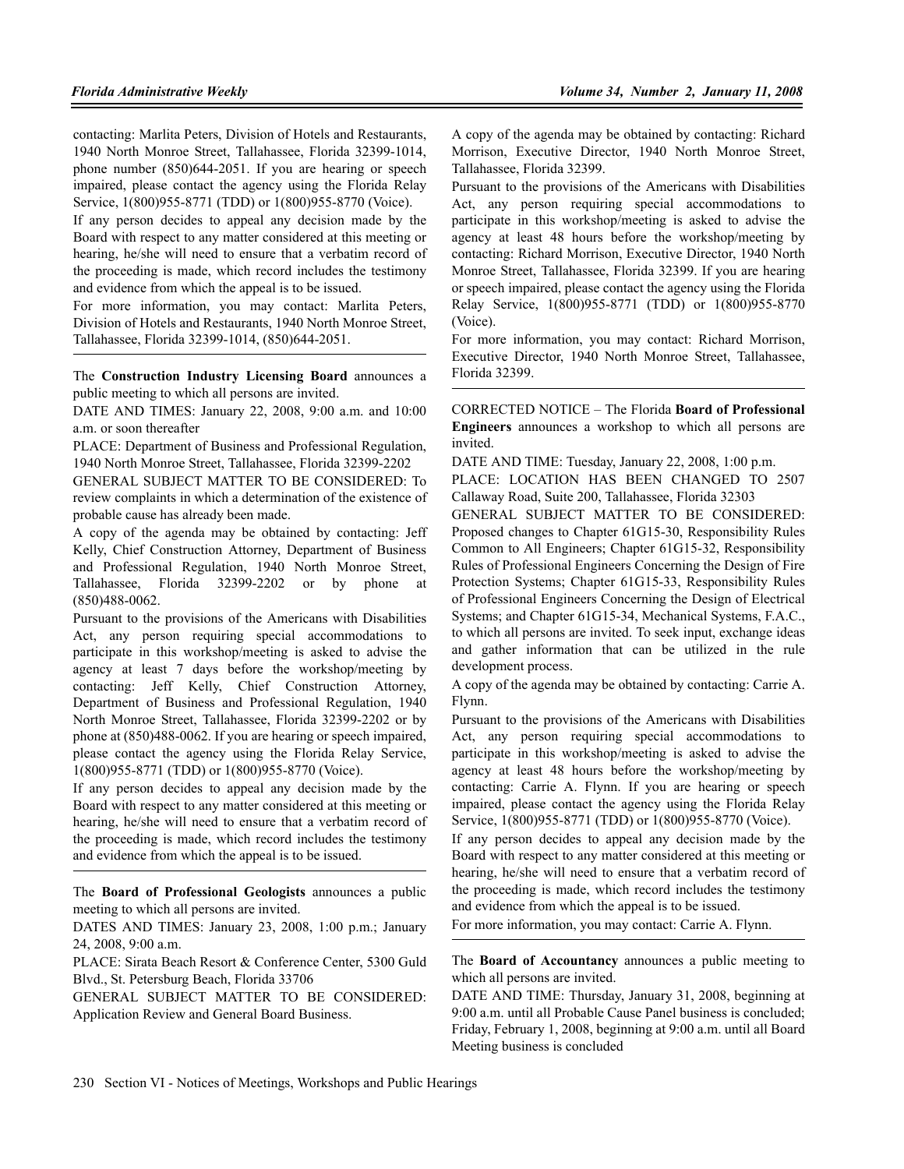contacting: Marlita Peters, Division of Hotels and Restaurants, 1940 North Monroe Street, Tallahassee, Florida 32399-1014, phone number (850)644-2051. If you are hearing or speech impaired, please contact the agency using the Florida Relay Service, 1(800)955-8771 (TDD) or 1(800)955-8770 (Voice).

If any person decides to appeal any decision made by the Board with respect to any matter considered at this meeting or hearing, he/she will need to ensure that a verbatim record of the proceeding is made, which record includes the testimony and evidence from which the appeal is to be issued.

For more information, you may contact: Marlita Peters, Division of Hotels and Restaurants, 1940 North Monroe Street, Tallahassee, Florida 32399-1014, (850)644-2051.

The **Construction Industry Licensing Board** announces a public meeting to which all persons are invited.

DATE AND TIMES: January 22, 2008, 9:00 a.m. and 10:00 a.m. or soon thereafter

PLACE: Department of Business and Professional Regulation, 1940 North Monroe Street, Tallahassee, Florida 32399-2202

GENERAL SUBJECT MATTER TO BE CONSIDERED: To review complaints in which a determination of the existence of probable cause has already been made.

A copy of the agenda may be obtained by contacting: Jeff Kelly, Chief Construction Attorney, Department of Business and Professional Regulation, 1940 North Monroe Street, Tallahassee, Florida 32399-2202 or by phone at (850)488-0062.

Pursuant to the provisions of the Americans with Disabilities Act, any person requiring special accommodations to participate in this workshop/meeting is asked to advise the agency at least 7 days before the workshop/meeting by contacting: Jeff Kelly, Chief Construction Attorney, Department of Business and Professional Regulation, 1940 North Monroe Street, Tallahassee, Florida 32399-2202 or by phone at (850)488-0062. If you are hearing or speech impaired, please contact the agency using the Florida Relay Service, 1(800)955-8771 (TDD) or 1(800)955-8770 (Voice).

If any person decides to appeal any decision made by the Board with respect to any matter considered at this meeting or hearing, he/she will need to ensure that a verbatim record of the proceeding is made, which record includes the testimony and evidence from which the appeal is to be issued.

The **Board of Professional Geologists** announces a public meeting to which all persons are invited.

DATES AND TIMES: January 23, 2008, 1:00 p.m.; January 24, 2008, 9:00 a.m.

PLACE: Sirata Beach Resort & Conference Center, 5300 Guld Blvd., St. Petersburg Beach, Florida 33706

GENERAL SUBJECT MATTER TO BE CONSIDERED: Application Review and General Board Business.

A copy of the agenda may be obtained by contacting: Richard Morrison, Executive Director, 1940 North Monroe Street, Tallahassee, Florida 32399.

Pursuant to the provisions of the Americans with Disabilities Act, any person requiring special accommodations to participate in this workshop/meeting is asked to advise the agency at least 48 hours before the workshop/meeting by contacting: Richard Morrison, Executive Director, 1940 North Monroe Street, Tallahassee, Florida 32399. If you are hearing or speech impaired, please contact the agency using the Florida Relay Service, 1(800)955-8771 (TDD) or 1(800)955-8770 (Voice).

For more information, you may contact: Richard Morrison, Executive Director, 1940 North Monroe Street, Tallahassee, Florida 32399.

CORRECTED NOTICE – The Florida **Board of Professional Engineers** announces a workshop to which all persons are invited.

DATE AND TIME: Tuesday, January 22, 2008, 1:00 p.m.

PLACE: LOCATION HAS BEEN CHANGED TO 2507 Callaway Road, Suite 200, Tallahassee, Florida 32303

GENERAL SUBJECT MATTER TO BE CONSIDERED: Proposed changes to Chapter 61G15-30, Responsibility Rules Common to All Engineers; Chapter 61G15-32, Responsibility Rules of Professional Engineers Concerning the Design of Fire Protection Systems; Chapter 61G15-33, Responsibility Rules of Professional Engineers Concerning the Design of Electrical Systems; and Chapter 61G15-34, Mechanical Systems, F.A.C., to which all persons are invited. To seek input, exchange ideas and gather information that can be utilized in the rule development process.

A copy of the agenda may be obtained by contacting: Carrie A. Flynn.

Pursuant to the provisions of the Americans with Disabilities Act, any person requiring special accommodations to participate in this workshop/meeting is asked to advise the agency at least 48 hours before the workshop/meeting by contacting: Carrie A. Flynn. If you are hearing or speech impaired, please contact the agency using the Florida Relay Service, 1(800)955-8771 (TDD) or 1(800)955-8770 (Voice).

If any person decides to appeal any decision made by the Board with respect to any matter considered at this meeting or hearing, he/she will need to ensure that a verbatim record of the proceeding is made, which record includes the testimony and evidence from which the appeal is to be issued.

For more information, you may contact: Carrie A. Flynn.

The **Board of Accountancy** announces a public meeting to which all persons are invited.

DATE AND TIME: Thursday, January 31, 2008, beginning at 9:00 a.m. until all Probable Cause Panel business is concluded; Friday, February 1, 2008, beginning at 9:00 a.m. until all Board Meeting business is concluded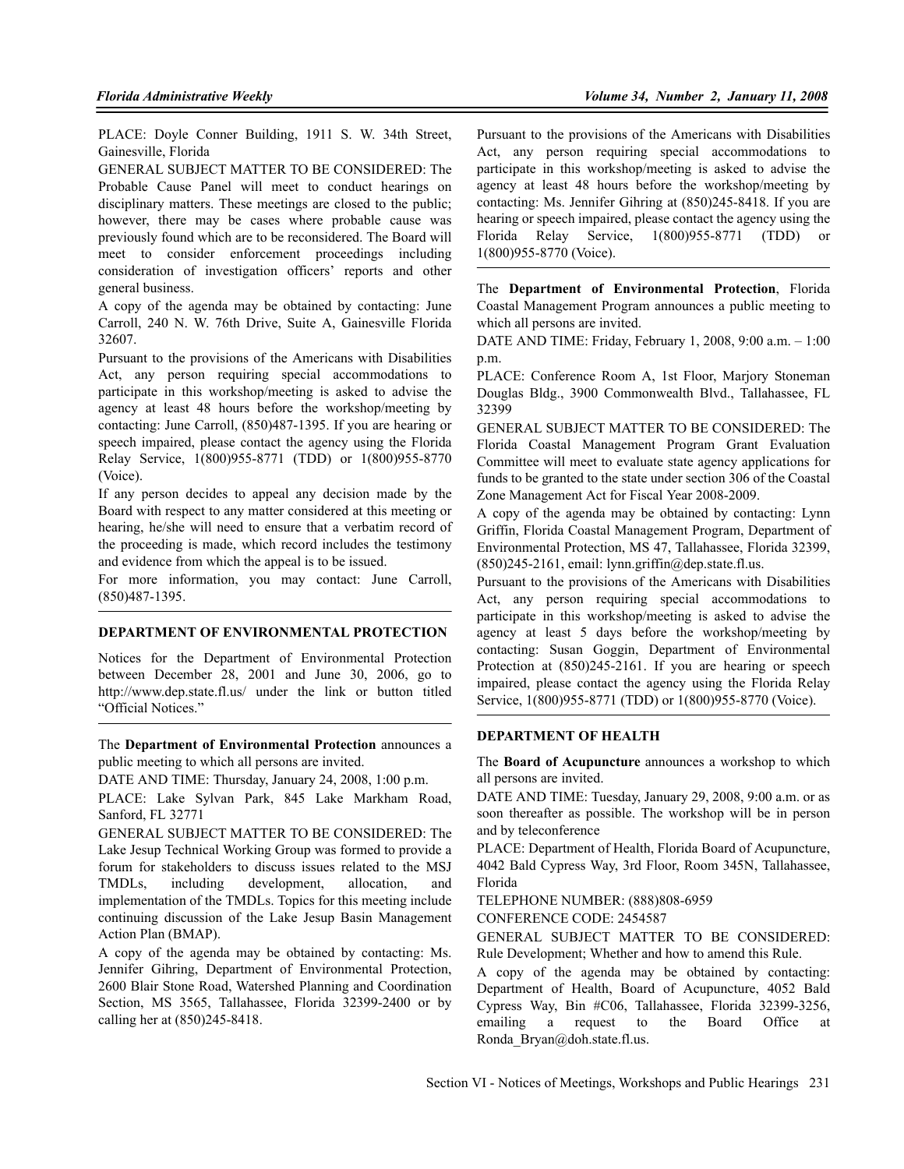PLACE: Doyle Conner Building, 1911 S. W. 34th Street, Gainesville, Florida

GENERAL SUBJECT MATTER TO BE CONSIDERED: The Probable Cause Panel will meet to conduct hearings on disciplinary matters. These meetings are closed to the public; however, there may be cases where probable cause was previously found which are to be reconsidered. The Board will meet to consider enforcement proceedings including consideration of investigation officers' reports and other general business.

A copy of the agenda may be obtained by contacting: June Carroll, 240 N. W. 76th Drive, Suite A, Gainesville Florida 32607.

Pursuant to the provisions of the Americans with Disabilities Act, any person requiring special accommodations to participate in this workshop/meeting is asked to advise the agency at least 48 hours before the workshop/meeting by contacting: June Carroll, (850)487-1395. If you are hearing or speech impaired, please contact the agency using the Florida Relay Service, 1(800)955-8771 (TDD) or 1(800)955-8770 (Voice).

If any person decides to appeal any decision made by the Board with respect to any matter considered at this meeting or hearing, he/she will need to ensure that a verbatim record of the proceeding is made, which record includes the testimony and evidence from which the appeal is to be issued.

For more information, you may contact: June Carroll, (850)487-1395.

#### **DEPARTMENT OF ENVIRONMENTAL PROTECTION**

Notices for the Department of Environmental Protection between December 28, 2001 and June 30, 2006, go to http://www.dep.state.fl.us/ under the link or button titled "Official Notices."

The **Department of Environmental Protection** announces a public meeting to which all persons are invited.

DATE AND TIME: Thursday, January 24, 2008, 1:00 p.m.

PLACE: Lake Sylvan Park, 845 Lake Markham Road, Sanford, FL 32771

GENERAL SUBJECT MATTER TO BE CONSIDERED: The Lake Jesup Technical Working Group was formed to provide a forum for stakeholders to discuss issues related to the MSJ TMDLs, including development, allocation, and implementation of the TMDLs. Topics for this meeting include continuing discussion of the Lake Jesup Basin Management Action Plan (BMAP).

A copy of the agenda may be obtained by contacting: Ms. Jennifer Gihring, Department of Environmental Protection, 2600 Blair Stone Road, Watershed Planning and Coordination Section, MS 3565, Tallahassee, Florida 32399-2400 or by calling her at (850)245-8418.

Pursuant to the provisions of the Americans with Disabilities Act, any person requiring special accommodations to participate in this workshop/meeting is asked to advise the agency at least 48 hours before the workshop/meeting by contacting: Ms. Jennifer Gihring at (850)245-8418. If you are hearing or speech impaired, please contact the agency using the Florida Relay Service, 1(800)955-8771 (TDD) or 1(800)955-8770 (Voice).

The **Department of Environmental Protection**, Florida Coastal Management Program announces a public meeting to which all persons are invited.

DATE AND TIME: Friday, February 1, 2008, 9:00 a.m. – 1:00 p.m.

PLACE: Conference Room A, 1st Floor, Marjory Stoneman Douglas Bldg., 3900 Commonwealth Blvd., Tallahassee, FL 32399

GENERAL SUBJECT MATTER TO BE CONSIDERED: The Florida Coastal Management Program Grant Evaluation Committee will meet to evaluate state agency applications for funds to be granted to the state under section 306 of the Coastal Zone Management Act for Fiscal Year 2008-2009.

A copy of the agenda may be obtained by contacting: Lynn Griffin, Florida Coastal Management Program, Department of Environmental Protection, MS 47, Tallahassee, Florida 32399,  $(850)$ 245-2161, email: lynn.griffin@dep.state.fl.us.

Pursuant to the provisions of the Americans with Disabilities Act, any person requiring special accommodations to participate in this workshop/meeting is asked to advise the agency at least 5 days before the workshop/meeting by contacting: Susan Goggin, Department of Environmental Protection at  $(850)245-2161$ . If you are hearing or speech impaired, please contact the agency using the Florida Relay Service, 1(800)955-8771 (TDD) or 1(800)955-8770 (Voice).

### **DEPARTMENT OF HEALTH**

The **Board of Acupuncture** announces a workshop to which all persons are invited.

DATE AND TIME: Tuesday, January 29, 2008, 9:00 a.m. or as soon thereafter as possible. The workshop will be in person and by teleconference

PLACE: Department of Health, Florida Board of Acupuncture, 4042 Bald Cypress Way, 3rd Floor, Room 345N, Tallahassee, Florida

TELEPHONE NUMBER: (888)808-6959

CONFERENCE CODE: 2454587

GENERAL SUBJECT MATTER TO BE CONSIDERED: Rule Development; Whether and how to amend this Rule.

A copy of the agenda may be obtained by contacting: Department of Health, Board of Acupuncture, 4052 Bald Cypress Way, Bin #C06, Tallahassee, Florida 32399-3256, emailing a request to the Board Office at Ronda\_Bryan@doh.state.fl.us.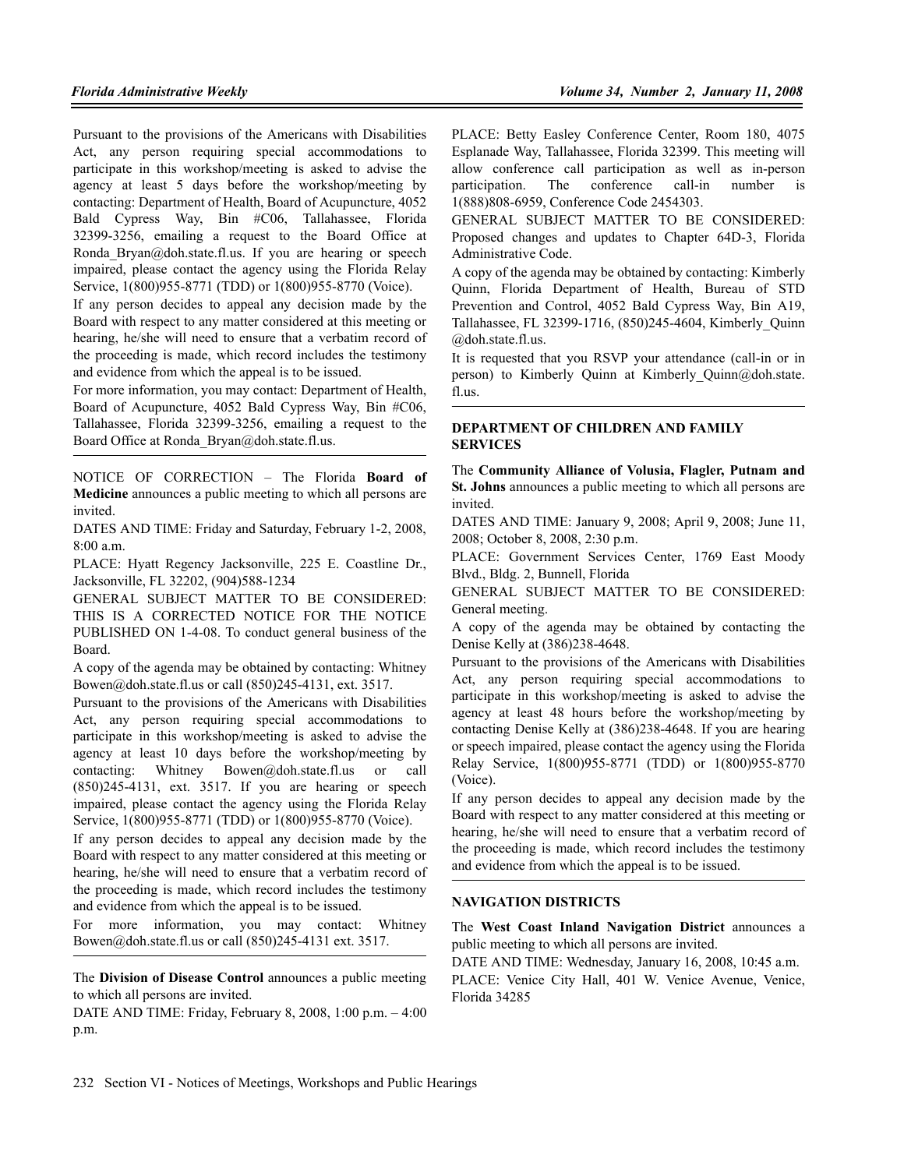Pursuant to the provisions of the Americans with Disabilities Act, any person requiring special accommodations to participate in this workshop/meeting is asked to advise the agency at least 5 days before the workshop/meeting by contacting: Department of Health, Board of Acupuncture, 4052 Bald Cypress Way, Bin #C06, Tallahassee, Florida 32399-3256, emailing a request to the Board Office at Ronda Bryan@doh.state.fl.us. If you are hearing or speech impaired, please contact the agency using the Florida Relay Service, 1(800)955-8771 (TDD) or 1(800)955-8770 (Voice).

If any person decides to appeal any decision made by the Board with respect to any matter considered at this meeting or hearing, he/she will need to ensure that a verbatim record of the proceeding is made, which record includes the testimony and evidence from which the appeal is to be issued.

For more information, you may contact: Department of Health, Board of Acupuncture, 4052 Bald Cypress Way, Bin #C06, Tallahassee, Florida 32399-3256, emailing a request to the Board Office at Ronda Bryan@doh.state.fl.us.

NOTICE OF CORRECTION – The Florida **Board of Medicine** announces a public meeting to which all persons are invited.

DATES AND TIME: Friday and Saturday, February 1-2, 2008, 8:00 a.m.

PLACE: Hyatt Regency Jacksonville, 225 E. Coastline Dr., Jacksonville, FL 32202, (904)588-1234

GENERAL SUBJECT MATTER TO BE CONSIDERED: THIS IS A CORRECTED NOTICE FOR THE NOTICE PUBLISHED ON 1-4-08. To conduct general business of the Board.

A copy of the agenda may be obtained by contacting: Whitney Bowen@doh.state.fl.us or call (850)245-4131, ext. 3517.

Pursuant to the provisions of the Americans with Disabilities Act, any person requiring special accommodations to participate in this workshop/meeting is asked to advise the agency at least 10 days before the workshop/meeting by contacting: Whitney Bowen@doh.state.fl.us or call (850)245-4131, ext. 3517. If you are hearing or speech impaired, please contact the agency using the Florida Relay Service, 1(800)955-8771 (TDD) or 1(800)955-8770 (Voice).

If any person decides to appeal any decision made by the Board with respect to any matter considered at this meeting or hearing, he/she will need to ensure that a verbatim record of the proceeding is made, which record includes the testimony and evidence from which the appeal is to be issued.

For more information, you may contact: Whitney Bowen@doh.state.fl.us or call (850)245-4131 ext. 3517.

The **Division of Disease Control** announces a public meeting to which all persons are invited.

DATE AND TIME: Friday, February 8, 2008, 1:00 p.m. – 4:00 p.m.

PLACE: Betty Easley Conference Center, Room 180, 4075 Esplanade Way, Tallahassee, Florida 32399. This meeting will allow conference call participation as well as in-person participation. The conference call-in number is 1(888)808-6959, Conference Code 2454303.

GENERAL SUBJECT MATTER TO BE CONSIDERED: Proposed changes and updates to Chapter 64D-3, Florida Administrative Code.

A copy of the agenda may be obtained by contacting: Kimberly Quinn, Florida Department of Health, Bureau of STD Prevention and Control, 4052 Bald Cypress Way, Bin A19, Tallahassee, FL 32399-1716, (850)245-4604, Kimberly\_Quinn @doh.state.fl.us.

It is requested that you RSVP your attendance (call-in or in person) to Kimberly Quinn at Kimberly Quinn@doh.state. fl.us.

### **DEPARTMENT OF CHILDREN AND FAMILY SERVICES**

The **Community Alliance of Volusia, Flagler, Putnam and St. Johns** announces a public meeting to which all persons are invited.

DATES AND TIME: January 9, 2008; April 9, 2008; June 11, 2008; October 8, 2008, 2:30 p.m.

PLACE: Government Services Center, 1769 East Moody Blvd., Bldg. 2, Bunnell, Florida

GENERAL SUBJECT MATTER TO BE CONSIDERED: General meeting.

A copy of the agenda may be obtained by contacting the Denise Kelly at (386)238-4648.

Pursuant to the provisions of the Americans with Disabilities Act, any person requiring special accommodations to participate in this workshop/meeting is asked to advise the agency at least 48 hours before the workshop/meeting by contacting Denise Kelly at (386)238-4648. If you are hearing or speech impaired, please contact the agency using the Florida Relay Service, 1(800)955-8771 (TDD) or 1(800)955-8770 (Voice).

If any person decides to appeal any decision made by the Board with respect to any matter considered at this meeting or hearing, he/she will need to ensure that a verbatim record of the proceeding is made, which record includes the testimony and evidence from which the appeal is to be issued.

### **NAVIGATION DISTRICTS**

The **West Coast Inland Navigation District** announces a public meeting to which all persons are invited.

DATE AND TIME: Wednesday, January 16, 2008, 10:45 a.m. PLACE: Venice City Hall, 401 W. Venice Avenue, Venice, Florida 34285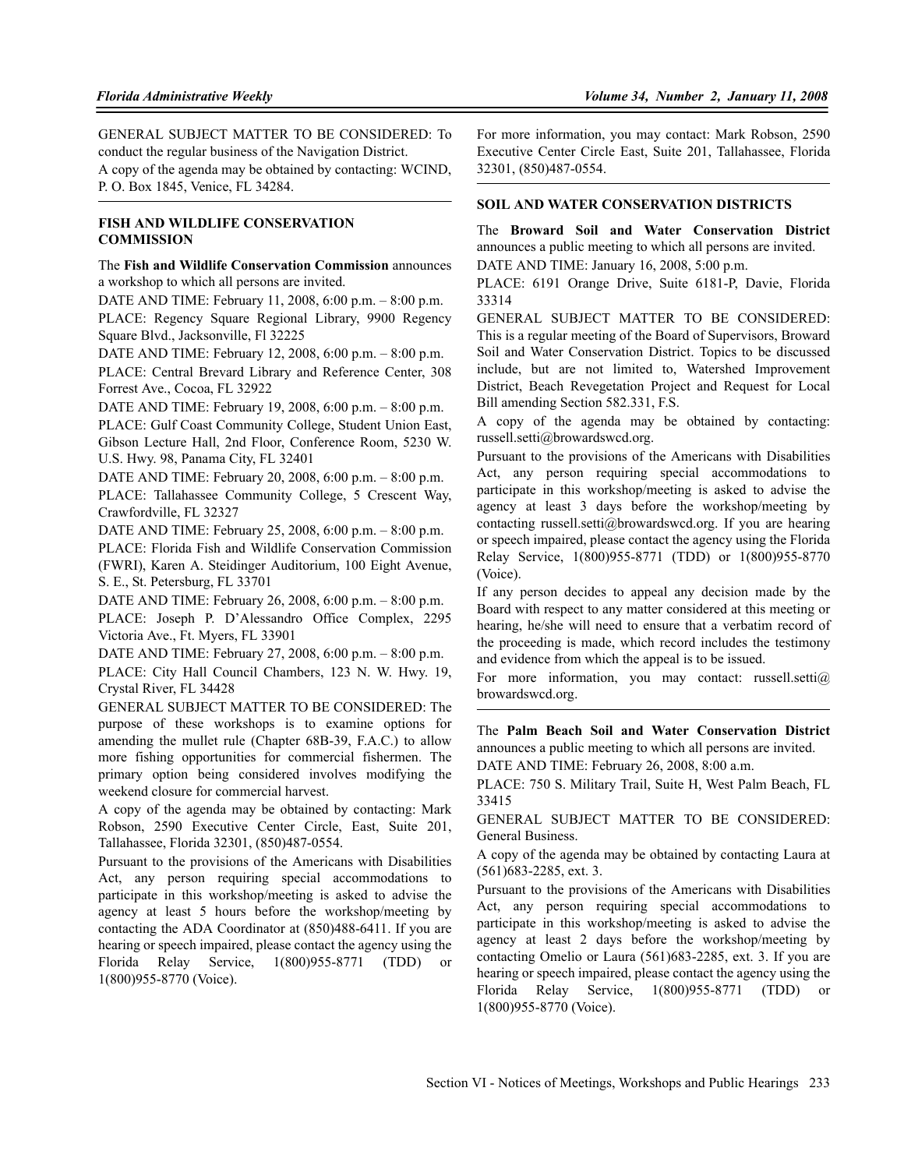GENERAL SUBJECT MATTER TO BE CONSIDERED: To conduct the regular business of the Navigation District. A copy of the agenda may be obtained by contacting: WCIND, P. O. Box 1845, Venice, FL 34284.

## **FISH AND WILDLIFE CONSERVATION COMMISSION**

The **Fish and Wildlife Conservation Commission** announces a workshop to which all persons are invited.

DATE AND TIME: February 11, 2008, 6:00 p.m. – 8:00 p.m.

PLACE: Regency Square Regional Library, 9900 Regency Square Blvd., Jacksonville, Fl 32225

DATE AND TIME: February 12, 2008, 6:00 p.m. – 8:00 p.m.

PLACE: Central Brevard Library and Reference Center, 308 Forrest Ave., Cocoa, FL 32922

DATE AND TIME: February 19, 2008, 6:00 p.m. – 8:00 p.m.

PLACE: Gulf Coast Community College, Student Union East, Gibson Lecture Hall, 2nd Floor, Conference Room, 5230 W. U.S. Hwy. 98, Panama City, FL 32401

DATE AND TIME: February 20, 2008, 6:00 p.m. – 8:00 p.m. PLACE: Tallahassee Community College, 5 Crescent Way, Crawfordville, FL 32327

DATE AND TIME: February 25, 2008, 6:00 p.m. – 8:00 p.m.

PLACE: Florida Fish and Wildlife Conservation Commission (FWRI), Karen A. Steidinger Auditorium, 100 Eight Avenue, S. E., St. Petersburg, FL 33701

DATE AND TIME: February 26, 2008, 6:00 p.m. – 8:00 p.m.

PLACE: Joseph P. D'Alessandro Office Complex, 2295 Victoria Ave., Ft. Myers, FL 33901

DATE AND TIME: February 27, 2008, 6:00 p.m. – 8:00 p.m.

PLACE: City Hall Council Chambers, 123 N. W. Hwy. 19, Crystal River, FL 34428

GENERAL SUBJECT MATTER TO BE CONSIDERED: The purpose of these workshops is to examine options for amending the mullet rule (Chapter 68B-39, F.A.C.) to allow more fishing opportunities for commercial fishermen. The primary option being considered involves modifying the weekend closure for commercial harvest.

A copy of the agenda may be obtained by contacting: Mark Robson, 2590 Executive Center Circle, East, Suite 201, Tallahassee, Florida 32301, (850)487-0554.

Pursuant to the provisions of the Americans with Disabilities Act, any person requiring special accommodations to participate in this workshop/meeting is asked to advise the agency at least 5 hours before the workshop/meeting by contacting the ADA Coordinator at (850)488-6411. If you are hearing or speech impaired, please contact the agency using the Florida Relay Service, 1(800)955-8771 (TDD) or 1(800)955-8770 (Voice).

For more information, you may contact: Mark Robson, 2590 Executive Center Circle East, Suite 201, Tallahassee, Florida 32301, (850)487-0554.

## **SOIL AND WATER CONSERVATION DISTRICTS**

The **Broward Soil and Water Conservation District** announces a public meeting to which all persons are invited. DATE AND TIME: January 16, 2008, 5:00 p.m.

PLACE: 6191 Orange Drive, Suite 6181-P, Davie, Florida 33314

GENERAL SUBJECT MATTER TO BE CONSIDERED: This is a regular meeting of the Board of Supervisors, Broward Soil and Water Conservation District. Topics to be discussed include, but are not limited to, Watershed Improvement District, Beach Revegetation Project and Request for Local Bill amending Section 582.331, F.S.

A copy of the agenda may be obtained by contacting: russell.setti@browardswcd.org.

Pursuant to the provisions of the Americans with Disabilities Act, any person requiring special accommodations to participate in this workshop/meeting is asked to advise the agency at least 3 days before the workshop/meeting by contacting russell.setti@browardswcd.org. If you are hearing or speech impaired, please contact the agency using the Florida Relay Service, 1(800)955-8771 (TDD) or 1(800)955-8770 (Voice).

If any person decides to appeal any decision made by the Board with respect to any matter considered at this meeting or hearing, he/she will need to ensure that a verbatim record of the proceeding is made, which record includes the testimony and evidence from which the appeal is to be issued.

For more information, you may contact: russell.setti $\omega$ browardswcd.org.

The **Palm Beach Soil and Water Conservation District** announces a public meeting to which all persons are invited.

DATE AND TIME: February 26, 2008, 8:00 a.m.

PLACE: 750 S. Military Trail, Suite H, West Palm Beach, FL 33415

GENERAL SUBJECT MATTER TO BE CONSIDERED: General Business.

A copy of the agenda may be obtained by contacting Laura at (561)683-2285, ext. 3.

Pursuant to the provisions of the Americans with Disabilities Act, any person requiring special accommodations to participate in this workshop/meeting is asked to advise the agency at least 2 days before the workshop/meeting by contacting Omelio or Laura (561)683-2285, ext. 3. If you are hearing or speech impaired, please contact the agency using the Florida Relay Service, 1(800)955-8771 (TDD) or 1(800)955-8770 (Voice).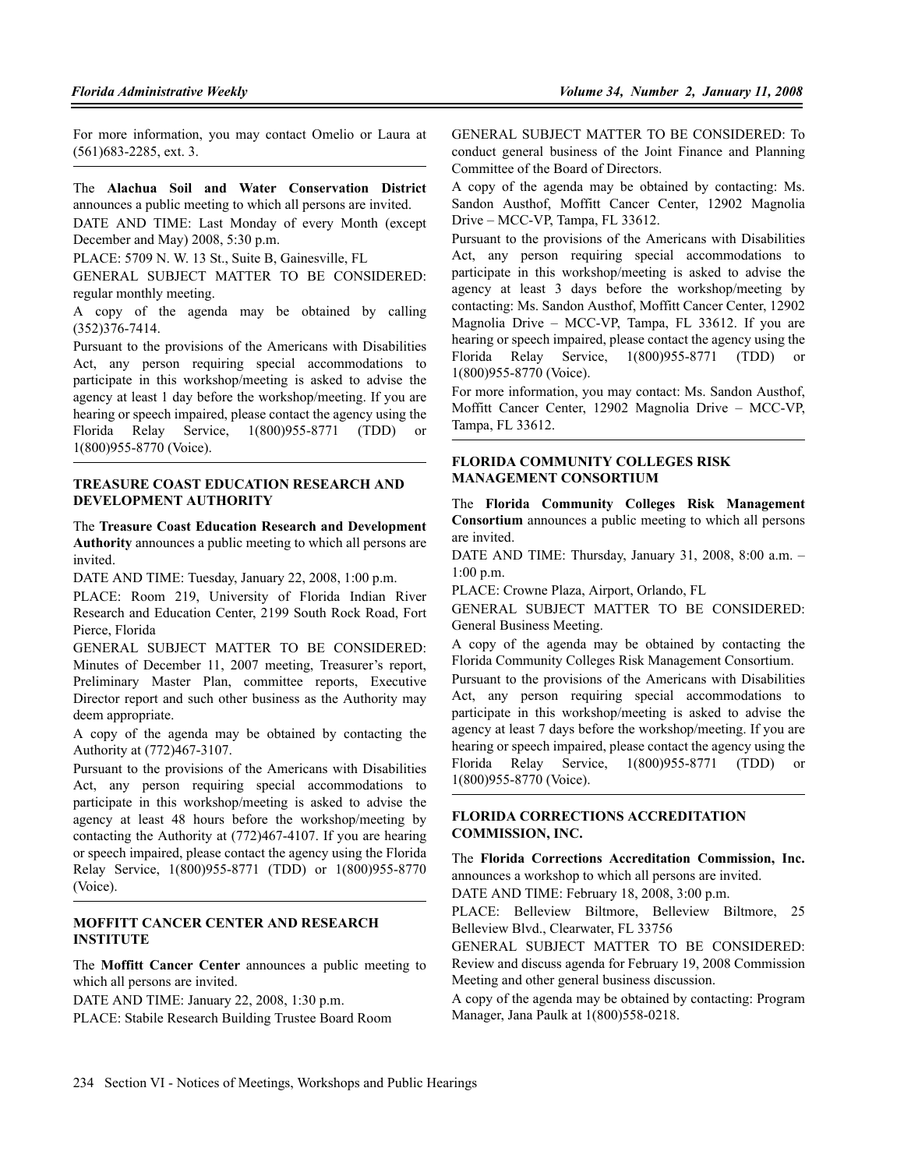For more information, you may contact Omelio or Laura at (561)683-2285, ext. 3.

The **Alachua Soil and Water Conservation District** announces a public meeting to which all persons are invited. DATE AND TIME: Last Monday of every Month (except December and May) 2008, 5:30 p.m.

PLACE: 5709 N. W. 13 St., Suite B, Gainesville, FL

GENERAL SUBJECT MATTER TO BE CONSIDERED: regular monthly meeting.

A copy of the agenda may be obtained by calling (352)376-7414.

Pursuant to the provisions of the Americans with Disabilities Act, any person requiring special accommodations to participate in this workshop/meeting is asked to advise the agency at least 1 day before the workshop/meeting. If you are hearing or speech impaired, please contact the agency using the Florida Relay Service, 1(800)955-8771 (TDD) or 1(800)955-8770 (Voice).

#### **TREASURE COAST EDUCATION RESEARCH AND DEVELOPMENT AUTHORITY**

The **Treasure Coast Education Research and Development Authority** announces a public meeting to which all persons are invited.

DATE AND TIME: Tuesday, January 22, 2008, 1:00 p.m.

PLACE: Room 219, University of Florida Indian River Research and Education Center, 2199 South Rock Road, Fort Pierce, Florida

GENERAL SUBJECT MATTER TO BE CONSIDERED: Minutes of December 11, 2007 meeting, Treasurer's report, Preliminary Master Plan, committee reports, Executive Director report and such other business as the Authority may deem appropriate.

A copy of the agenda may be obtained by contacting the Authority at (772)467-3107.

Pursuant to the provisions of the Americans with Disabilities Act, any person requiring special accommodations to participate in this workshop/meeting is asked to advise the agency at least 48 hours before the workshop/meeting by contacting the Authority at (772)467-4107. If you are hearing or speech impaired, please contact the agency using the Florida Relay Service, 1(800)955-8771 (TDD) or 1(800)955-8770 (Voice).

### **MOFFITT CANCER CENTER AND RESEARCH INSTITUTE**

The **Moffitt Cancer Center** announces a public meeting to which all persons are invited.

DATE AND TIME: January 22, 2008, 1:30 p.m.

PLACE: Stabile Research Building Trustee Board Room

GENERAL SUBJECT MATTER TO BE CONSIDERED: To conduct general business of the Joint Finance and Planning Committee of the Board of Directors.

A copy of the agenda may be obtained by contacting: Ms. Sandon Austhof, Moffitt Cancer Center, 12902 Magnolia Drive – MCC-VP, Tampa, FL 33612.

Pursuant to the provisions of the Americans with Disabilities Act, any person requiring special accommodations to participate in this workshop/meeting is asked to advise the agency at least 3 days before the workshop/meeting by contacting: Ms. Sandon Austhof, Moffitt Cancer Center, 12902 Magnolia Drive – MCC-VP, Tampa, FL 33612. If you are hearing or speech impaired, please contact the agency using the Florida Relay Service, 1(800)955-8771 (TDD) or 1(800)955-8770 (Voice).

For more information, you may contact: Ms. Sandon Austhof, Moffitt Cancer Center, 12902 Magnolia Drive – MCC-VP, Tampa, FL 33612.

## **FLORIDA COMMUNITY COLLEGES RISK MANAGEMENT CONSORTIUM**

The **Florida Community Colleges Risk Management Consortium** announces a public meeting to which all persons are invited.

DATE AND TIME: Thursday, January 31, 2008, 8:00 a.m. – 1:00 p.m.

PLACE: Crowne Plaza, Airport, Orlando, FL

GENERAL SUBJECT MATTER TO BE CONSIDERED: General Business Meeting.

A copy of the agenda may be obtained by contacting the Florida Community Colleges Risk Management Consortium.

Pursuant to the provisions of the Americans with Disabilities Act, any person requiring special accommodations to participate in this workshop/meeting is asked to advise the agency at least 7 days before the workshop/meeting. If you are hearing or speech impaired, please contact the agency using the Florida Relay Service, 1(800)955-8771 (TDD) or 1(800)955-8770 (Voice).

### **FLORIDA CORRECTIONS ACCREDITATION COMMISSION, INC.**

The **Florida Corrections Accreditation Commission, Inc.** announces a workshop to which all persons are invited.

DATE AND TIME: February 18, 2008, 3:00 p.m.

PLACE: Belleview Biltmore, Belleview Biltmore, 25 Belleview Blvd., Clearwater, FL 33756

GENERAL SUBJECT MATTER TO BE CONSIDERED: Review and discuss agenda for February 19, 2008 Commission Meeting and other general business discussion.

A copy of the agenda may be obtained by contacting: Program Manager, Jana Paulk at 1(800)558-0218.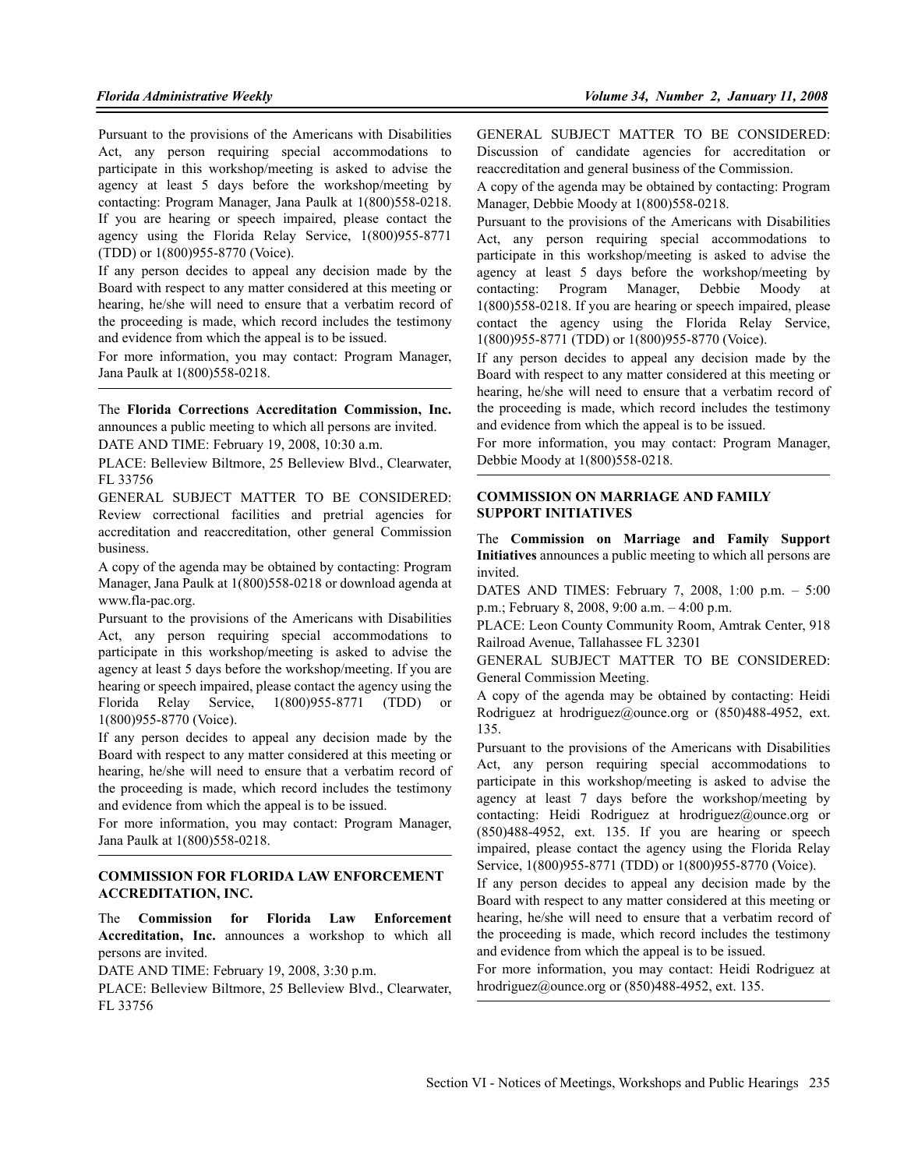Pursuant to the provisions of the Americans with Disabilities Act, any person requiring special accommodations to participate in this workshop/meeting is asked to advise the agency at least 5 days before the workshop/meeting by contacting: Program Manager, Jana Paulk at 1(800)558-0218. If you are hearing or speech impaired, please contact the agency using the Florida Relay Service, 1(800)955-8771 (TDD) or 1(800)955-8770 (Voice).

If any person decides to appeal any decision made by the Board with respect to any matter considered at this meeting or hearing, he/she will need to ensure that a verbatim record of the proceeding is made, which record includes the testimony and evidence from which the appeal is to be issued.

For more information, you may contact: Program Manager, Jana Paulk at 1(800)558-0218.

The **Florida Corrections Accreditation Commission, Inc.** announces a public meeting to which all persons are invited. DATE AND TIME: February 19, 2008, 10:30 a.m.

PLACE: Belleview Biltmore, 25 Belleview Blvd., Clearwater,

FL 33756 GENERAL SUBJECT MATTER TO BE CONSIDERED: Review correctional facilities and pretrial agencies for accreditation and reaccreditation, other general Commission business.

A copy of the agenda may be obtained by contacting: Program Manager, Jana Paulk at 1(800)558-0218 or download agenda at www.fla-pac.org.

Pursuant to the provisions of the Americans with Disabilities Act, any person requiring special accommodations to participate in this workshop/meeting is asked to advise the agency at least 5 days before the workshop/meeting. If you are hearing or speech impaired, please contact the agency using the Florida Relay Service, 1(800)955-8771 (TDD) or 1(800)955-8770 (Voice).

If any person decides to appeal any decision made by the Board with respect to any matter considered at this meeting or hearing, he/she will need to ensure that a verbatim record of the proceeding is made, which record includes the testimony and evidence from which the appeal is to be issued.

For more information, you may contact: Program Manager, Jana Paulk at 1(800)558-0218.

#### **COMMISSION FOR FLORIDA LAW ENFORCEMENT ACCREDITATION, INC.**

The **Commission for Florida Law Enforcement Accreditation, Inc.** announces a workshop to which all persons are invited.

DATE AND TIME: February 19, 2008, 3:30 p.m.

PLACE: Belleview Biltmore, 25 Belleview Blvd., Clearwater, FL 33756

GENERAL SUBJECT MATTER TO BE CONSIDERED: Discussion of candidate agencies for accreditation or reaccreditation and general business of the Commission.

A copy of the agenda may be obtained by contacting: Program Manager, Debbie Moody at 1(800)558-0218.

Pursuant to the provisions of the Americans with Disabilities Act, any person requiring special accommodations to participate in this workshop/meeting is asked to advise the agency at least 5 days before the workshop/meeting by contacting: Program Manager, Debbie Moody at 1(800)558-0218. If you are hearing or speech impaired, please contact the agency using the Florida Relay Service, 1(800)955-8771 (TDD) or 1(800)955-8770 (Voice).

If any person decides to appeal any decision made by the Board with respect to any matter considered at this meeting or hearing, he/she will need to ensure that a verbatim record of the proceeding is made, which record includes the testimony and evidence from which the appeal is to be issued.

For more information, you may contact: Program Manager, Debbie Moody at 1(800)558-0218.

## **COMMISSION ON MARRIAGE AND FAMILY SUPPORT INITIATIVES**

The **Commission on Marriage and Family Support Initiatives** announces a public meeting to which all persons are invited.

DATES AND TIMES: February 7, 2008, 1:00 p.m. – 5:00 p.m.; February 8, 2008, 9:00 a.m. – 4:00 p.m.

PLACE: Leon County Community Room, Amtrak Center, 918 Railroad Avenue, Tallahassee FL 32301

GENERAL SUBJECT MATTER TO BE CONSIDERED: General Commission Meeting.

A copy of the agenda may be obtained by contacting: Heidi Rodriguez at hrodriguez@ounce.org or (850)488-4952, ext. 135.

Pursuant to the provisions of the Americans with Disabilities Act, any person requiring special accommodations to participate in this workshop/meeting is asked to advise the agency at least 7 days before the workshop/meeting by contacting: Heidi Rodriguez at hrodriguez@ounce.org or (850)488-4952, ext. 135. If you are hearing or speech impaired, please contact the agency using the Florida Relay Service, 1(800)955-8771 (TDD) or 1(800)955-8770 (Voice).

If any person decides to appeal any decision made by the Board with respect to any matter considered at this meeting or hearing, he/she will need to ensure that a verbatim record of the proceeding is made, which record includes the testimony and evidence from which the appeal is to be issued.

For more information, you may contact: Heidi Rodriguez at hrodriguez@ounce.org or (850)488-4952, ext. 135.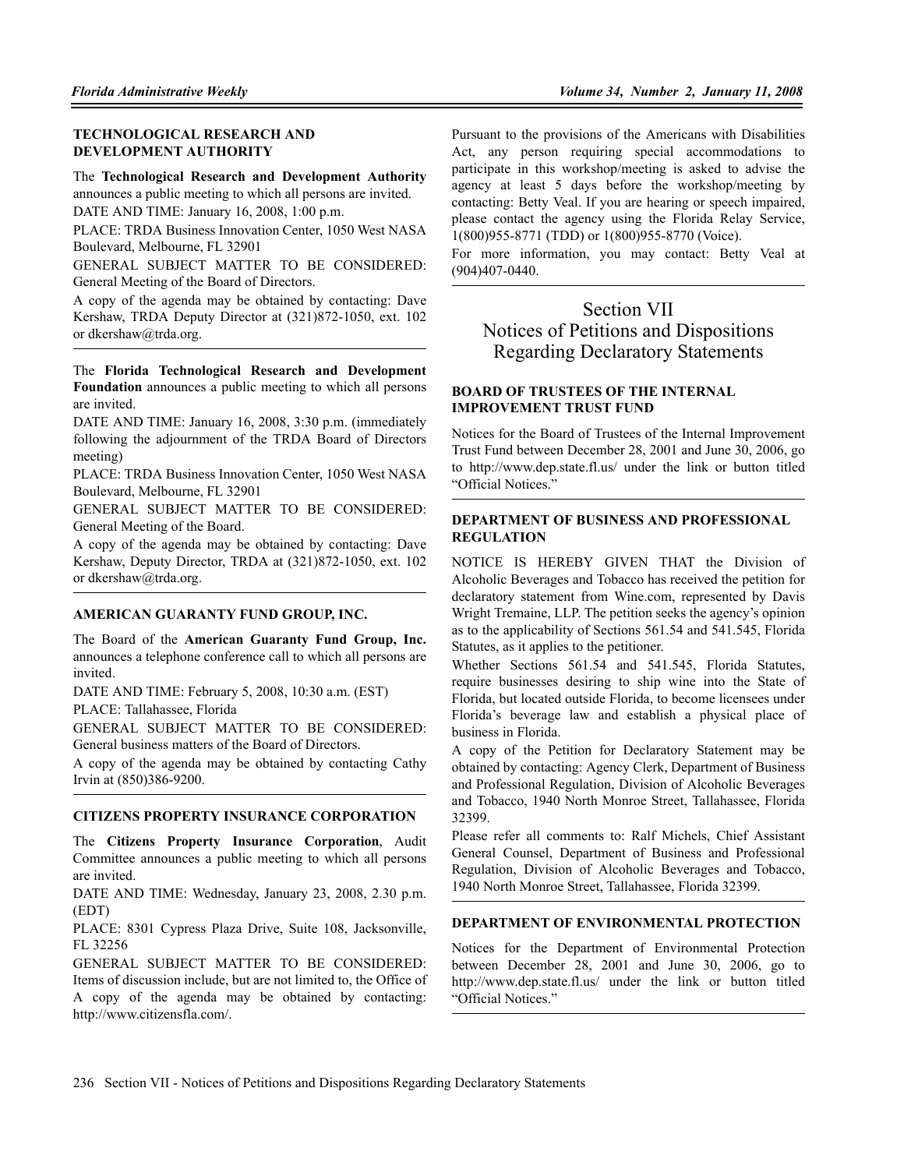## **TECHNOLOGICAL RESEARCH AND DEVELOPMENT AUTHORITY**

The **Technological Research and Development Authority** announces a public meeting to which all persons are invited. DATE AND TIME: January 16, 2008, 1:00 p.m.

PLACE: TRDA Business Innovation Center, 1050 West NASA Boulevard, Melbourne, FL 32901

GENERAL SUBJECT MATTER TO BE CONSIDERED: General Meeting of the Board of Directors.

A copy of the agenda may be obtained by contacting: Dave Kershaw, TRDA Deputy Director at (321)872-1050, ext. 102 or dkershaw@trda.org.

The **Florida Technological Research and Development Foundation** announces a public meeting to which all persons are invited.

DATE AND TIME: January 16, 2008, 3:30 p.m. (immediately following the adjournment of the TRDA Board of Directors meeting)

PLACE: TRDA Business Innovation Center, 1050 West NASA Boulevard, Melbourne, FL 32901

GENERAL SUBJECT MATTER TO BE CONSIDERED: General Meeting of the Board.

A copy of the agenda may be obtained by contacting: Dave Kershaw, Deputy Director, TRDA at (321)872-1050, ext. 102 or dkershaw@trda.org.

## **AMERICAN GUARANTY FUND GROUP, INC.**

The Board of the **American Guaranty Fund Group, Inc.** announces a telephone conference call to which all persons are invited.

DATE AND TIME: February 5, 2008, 10:30 a.m. (EST)

PLACE: Tallahassee, Florida

GENERAL SUBJECT MATTER TO BE CONSIDERED: General business matters of the Board of Directors.

A copy of the agenda may be obtained by contacting Cathy Irvin at (850)386-9200.

## **CITIZENS PROPERTY INSURANCE CORPORATION**

The **Citizens Property Insurance Corporation**, Audit Committee announces a public meeting to which all persons are invited.

DATE AND TIME: Wednesday, January 23, 2008, 2.30 p.m. (EDT)

PLACE: 8301 Cypress Plaza Drive, Suite 108, Jacksonville, FL 32256

GENERAL SUBJECT MATTER TO BE CONSIDERED: Items of discussion include, but are not limited to, the Office of A copy of the agenda may be obtained by contacting: http://www.citizensfla.com/.

Pursuant to the provisions of the Americans with Disabilities Act, any person requiring special accommodations to participate in this workshop/meeting is asked to advise the agency at least 5 days before the workshop/meeting by contacting: Betty Veal. If you are hearing or speech impaired, please contact the agency using the Florida Relay Service, 1(800)955-8771 (TDD) or 1(800)955-8770 (Voice).

For more information, you may contact: Betty Veal at (904)407-0440.

## Section VII Notices of Petitions and Dispositions Regarding Declaratory Statements

## **BOARD OF TRUSTEES OF THE INTERNAL IMPROVEMENT TRUST FUND**

Notices for the Board of Trustees of the Internal Improvement Trust Fund between December 28, 2001 and June 30, 2006, go to http://www.dep.state.fl.us/ under the link or button titled "Official Notices."

## **DEPARTMENT OF BUSINESS AND PROFESSIONAL REGULATION**

NOTICE IS HEREBY GIVEN THAT the Division of Alcoholic Beverages and Tobacco has received the petition for declaratory statement from Wine.com, represented by Davis Wright Tremaine, LLP. The petition seeks the agency's opinion as to the applicability of Sections 561.54 and 541.545, Florida Statutes, as it applies to the petitioner.

Whether Sections 561.54 and 541.545, Florida Statutes, require businesses desiring to ship wine into the State of Florida, but located outside Florida, to become licensees under Florida's beverage law and establish a physical place of business in Florida.

A copy of the Petition for Declaratory Statement may be obtained by contacting: Agency Clerk, Department of Business and Professional Regulation, Division of Alcoholic Beverages and Tobacco, 1940 North Monroe Street, Tallahassee, Florida 32399.

Please refer all comments to: Ralf Michels, Chief Assistant General Counsel, Department of Business and Professional Regulation, Division of Alcoholic Beverages and Tobacco, 1940 North Monroe Street, Tallahassee, Florida 32399.

## **DEPARTMENT OF ENVIRONMENTAL PROTECTION**

Notices for the Department of Environmental Protection between December 28, 2001 and June 30, 2006, go to http://www.dep.state.fl.us/ under the link or button titled "Official Notices."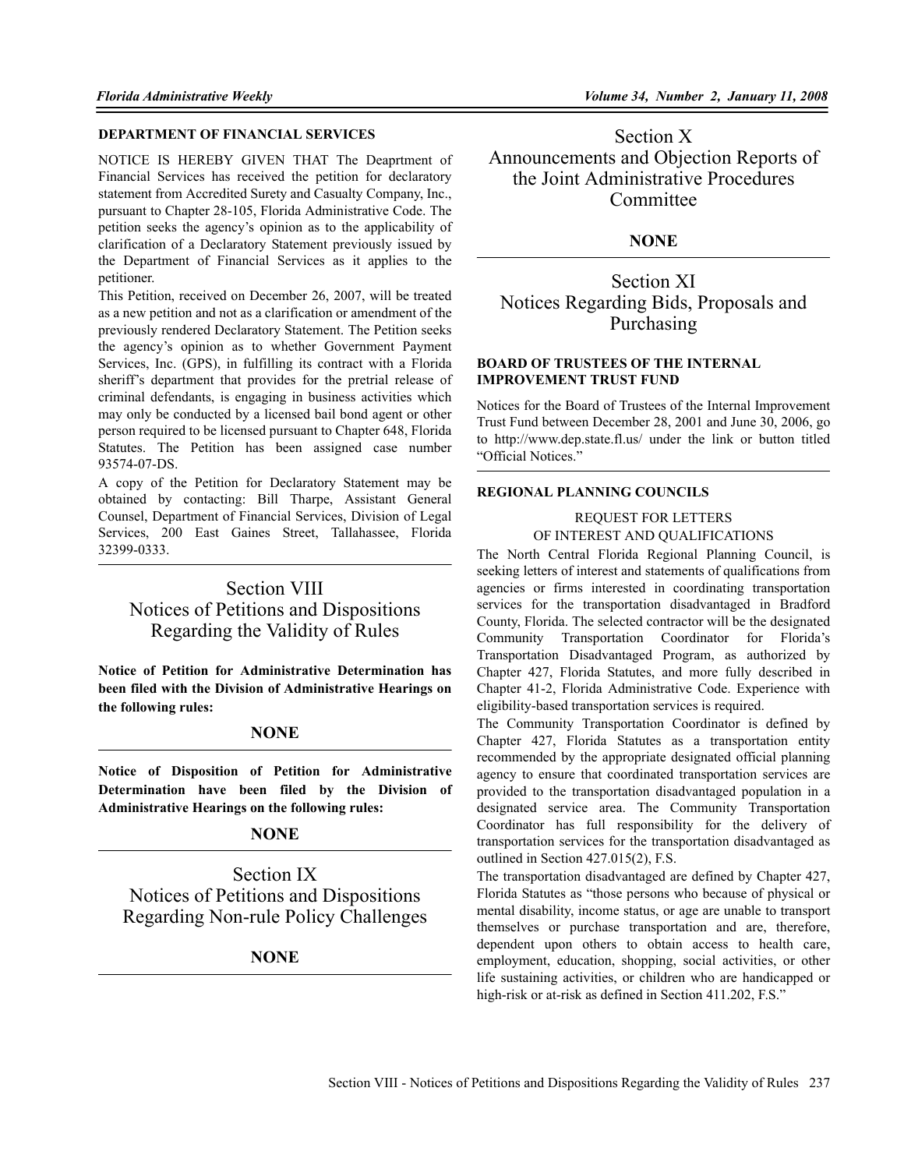## **DEPARTMENT OF FINANCIAL SERVICES**

NOTICE IS HEREBY GIVEN THAT The Deaprtment of Financial Services has received the petition for declaratory statement from Accredited Surety and Casualty Company, Inc., pursuant to Chapter 28-105, Florida Administrative Code. The petition seeks the agency's opinion as to the applicability of clarification of a Declaratory Statement previously issued by the Department of Financial Services as it applies to the petitioner.

This Petition, received on December 26, 2007, will be treated as a new petition and not as a clarification or amendment of the previously rendered Declaratory Statement. The Petition seeks the agency's opinion as to whether Government Payment Services, Inc. (GPS), in fulfilling its contract with a Florida sheriff's department that provides for the pretrial release of criminal defendants, is engaging in business activities which may only be conducted by a licensed bail bond agent or other person required to be licensed pursuant to Chapter 648, Florida Statutes. The Petition has been assigned case number 93574-07-DS.

A copy of the Petition for Declaratory Statement may be obtained by contacting: Bill Tharpe, Assistant General Counsel, Department of Financial Services, Division of Legal Services, 200 East Gaines Street, Tallahassee, Florida 32399-0333.

# Section VIII Notices of Petitions and Dispositions Regarding the Validity of Rules

**Notice of Petition for Administrative Determination has been filed with the Division of Administrative Hearings on the following rules:**

## **NONE**

**Notice of Disposition of Petition for Administrative Determination have been filed by the Division of Administrative Hearings on the following rules:**

## **NONE**

Section IX Notices of Petitions and Dispositions Regarding Non-rule Policy Challenges

## **NONE**

Section X Announcements and Objection Reports of the Joint Administrative Procedures **Committee** 

## **NONE**

Section XI Notices Regarding Bids, Proposals and Purchasing

### **BOARD OF TRUSTEES OF THE INTERNAL IMPROVEMENT TRUST FUND**

Notices for the Board of Trustees of the Internal Improvement Trust Fund between December 28, 2001 and June 30, 2006, go to http://www.dep.state.fl.us/ under the link or button titled "Official Notices."

## **REGIONAL PLANNING COUNCILS**

## REQUEST FOR LETTERS

OF INTEREST AND QUALIFICATIONS

The North Central Florida Regional Planning Council, is seeking letters of interest and statements of qualifications from agencies or firms interested in coordinating transportation services for the transportation disadvantaged in Bradford County, Florida. The selected contractor will be the designated Community Transportation Coordinator for Florida's Transportation Disadvantaged Program, as authorized by Chapter 427, Florida Statutes, and more fully described in Chapter 41-2, Florida Administrative Code. Experience with eligibility-based transportation services is required.

The Community Transportation Coordinator is defined by Chapter 427, Florida Statutes as a transportation entity recommended by the appropriate designated official planning agency to ensure that coordinated transportation services are provided to the transportation disadvantaged population in a designated service area. The Community Transportation Coordinator has full responsibility for the delivery of transportation services for the transportation disadvantaged as outlined in Section 427.015(2), F.S.

The transportation disadvantaged are defined by Chapter 427, Florida Statutes as "those persons who because of physical or mental disability, income status, or age are unable to transport themselves or purchase transportation and are, therefore, dependent upon others to obtain access to health care, employment, education, shopping, social activities, or other life sustaining activities, or children who are handicapped or high-risk or at-risk as defined in Section 411.202, F.S."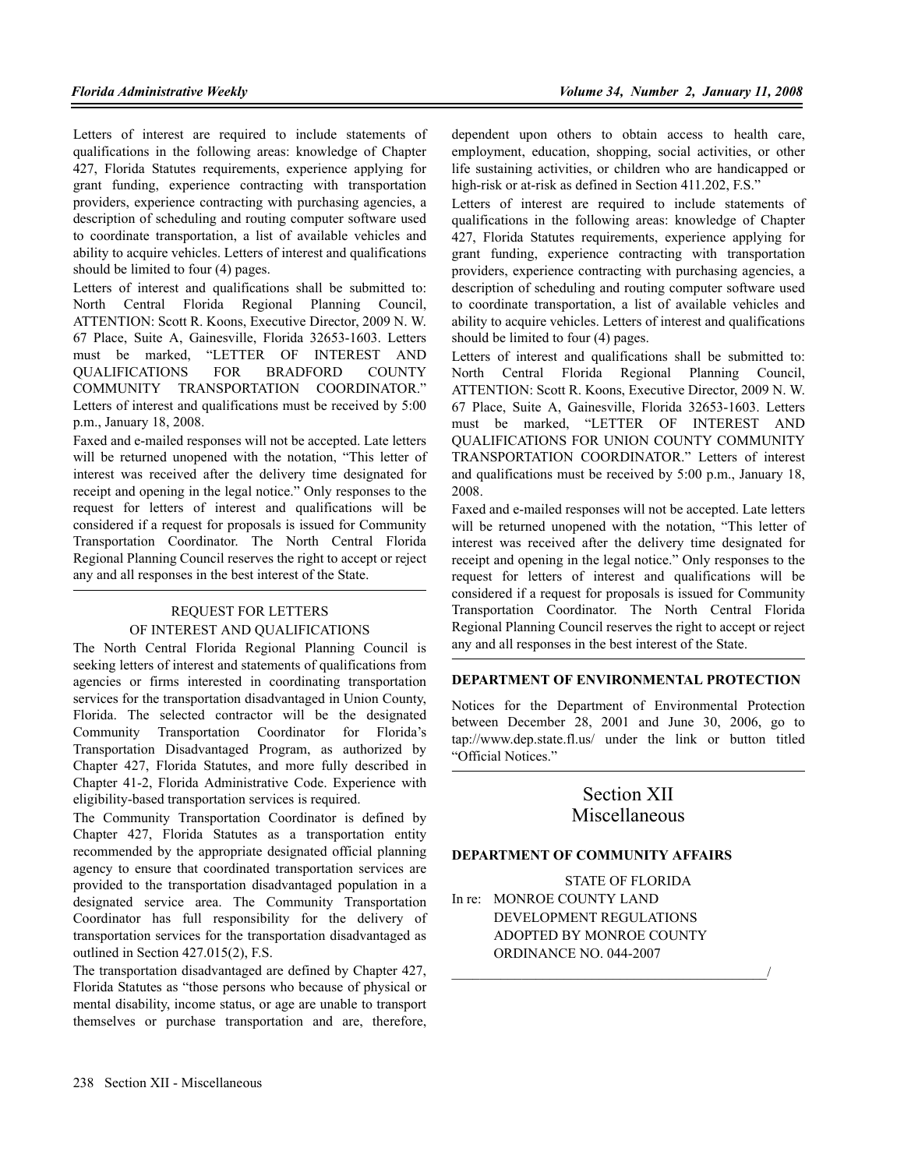Letters of interest are required to include statements of qualifications in the following areas: knowledge of Chapter 427, Florida Statutes requirements, experience applying for grant funding, experience contracting with transportation providers, experience contracting with purchasing agencies, a description of scheduling and routing computer software used to coordinate transportation, a list of available vehicles and ability to acquire vehicles. Letters of interest and qualifications should be limited to four (4) pages.

Letters of interest and qualifications shall be submitted to: North Central Florida Regional Planning Council, ATTENTION: Scott R. Koons, Executive Director, 2009 N. W. 67 Place, Suite A, Gainesville, Florida 32653-1603. Letters must be marked, "LETTER OF INTEREST AND QUALIFICATIONS FOR BRADFORD COUNTY COMMUNITY TRANSPORTATION COORDINATOR." Letters of interest and qualifications must be received by 5:00 p.m., January 18, 2008.

Faxed and e-mailed responses will not be accepted. Late letters will be returned unopened with the notation, "This letter of interest was received after the delivery time designated for receipt and opening in the legal notice." Only responses to the request for letters of interest and qualifications will be considered if a request for proposals is issued for Community Transportation Coordinator. The North Central Florida Regional Planning Council reserves the right to accept or reject any and all responses in the best interest of the State.

## REQUEST FOR LETTERS OF INTEREST AND QUALIFICATIONS

The North Central Florida Regional Planning Council is seeking letters of interest and statements of qualifications from agencies or firms interested in coordinating transportation services for the transportation disadvantaged in Union County, Florida. The selected contractor will be the designated Community Transportation Coordinator for Florida's Transportation Disadvantaged Program, as authorized by Chapter 427, Florida Statutes, and more fully described in Chapter 41-2, Florida Administrative Code. Experience with eligibility-based transportation services is required.

The Community Transportation Coordinator is defined by Chapter 427, Florida Statutes as a transportation entity recommended by the appropriate designated official planning agency to ensure that coordinated transportation services are provided to the transportation disadvantaged population in a designated service area. The Community Transportation Coordinator has full responsibility for the delivery of transportation services for the transportation disadvantaged as outlined in Section 427.015(2), F.S.

The transportation disadvantaged are defined by Chapter 427, Florida Statutes as "those persons who because of physical or mental disability, income status, or age are unable to transport themselves or purchase transportation and are, therefore,

dependent upon others to obtain access to health care, employment, education, shopping, social activities, or other life sustaining activities, or children who are handicapped or high-risk or at-risk as defined in Section 411.202, F.S."

Letters of interest are required to include statements of qualifications in the following areas: knowledge of Chapter 427, Florida Statutes requirements, experience applying for grant funding, experience contracting with transportation providers, experience contracting with purchasing agencies, a description of scheduling and routing computer software used to coordinate transportation, a list of available vehicles and ability to acquire vehicles. Letters of interest and qualifications should be limited to four (4) pages.

Letters of interest and qualifications shall be submitted to: North Central Florida Regional Planning Council, ATTENTION: Scott R. Koons, Executive Director, 2009 N. W. 67 Place, Suite A, Gainesville, Florida 32653-1603. Letters must be marked, "LETTER OF INTEREST AND QUALIFICATIONS FOR UNION COUNTY COMMUNITY TRANSPORTATION COORDINATOR." Letters of interest and qualifications must be received by 5:00 p.m., January 18, 2008.

Faxed and e-mailed responses will not be accepted. Late letters will be returned unopened with the notation, "This letter of interest was received after the delivery time designated for receipt and opening in the legal notice." Only responses to the request for letters of interest and qualifications will be considered if a request for proposals is issued for Community Transportation Coordinator. The North Central Florida Regional Planning Council reserves the right to accept or reject any and all responses in the best interest of the State.

## **DEPARTMENT OF ENVIRONMENTAL PROTECTION**

Notices for the Department of Environmental Protection between December 28, 2001 and June 30, 2006, go to tap://www.dep.state.fl.us/ under the link or button titled "Official Notices."

## Section XII Miscellaneous

### **DEPARTMENT OF COMMUNITY AFFAIRS**

STATE OF FLORIDA In re: MONROE COUNTY LAND DEVELOPMENT REGULATIONS ADOPTED BY MONROE COUNTY ORDINANCE NO. 044-2007

 $\overline{\phantom{a}}$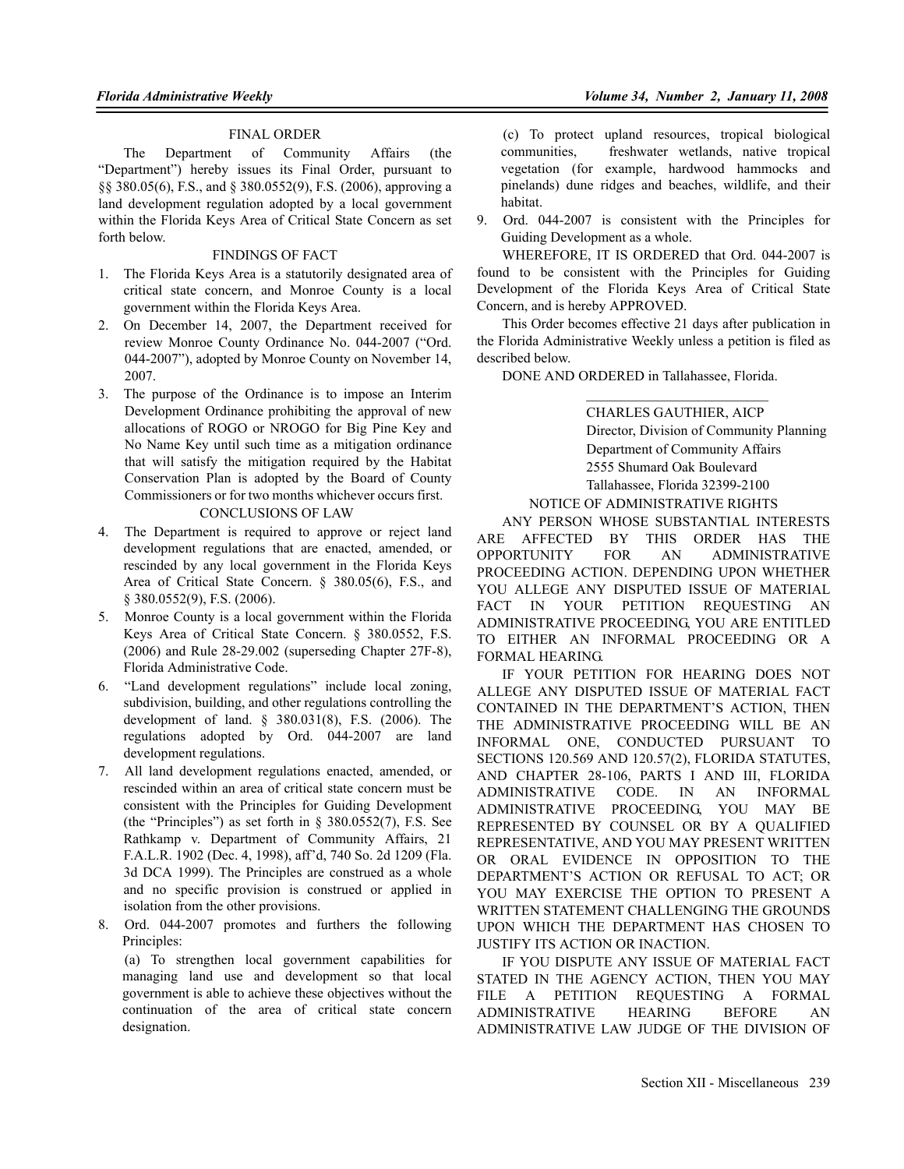## FINAL ORDER

The Department of Community Affairs (the "Department") hereby issues its Final Order, pursuant to §§ 380.05(6), F.S., and § 380.0552(9), F.S. (2006), approving a land development regulation adopted by a local government within the Florida Keys Area of Critical State Concern as set forth below.

## FINDINGS OF FACT

- 1. The Florida Keys Area is a statutorily designated area of critical state concern, and Monroe County is a local government within the Florida Keys Area.
- 2. On December 14, 2007, the Department received for review Monroe County Ordinance No. 044-2007 ("Ord. 044-2007"), adopted by Monroe County on November 14, 2007.
- 3. The purpose of the Ordinance is to impose an Interim Development Ordinance prohibiting the approval of new allocations of ROGO or NROGO for Big Pine Key and No Name Key until such time as a mitigation ordinance that will satisfy the mitigation required by the Habitat Conservation Plan is adopted by the Board of County Commissioners or for two months whichever occurs first.

## CONCLUSIONS OF LAW

- 4. The Department is required to approve or reject land development regulations that are enacted, amended, or rescinded by any local government in the Florida Keys Area of Critical State Concern. § 380.05(6), F.S., and § 380.0552(9), F.S. (2006).
- 5. Monroe County is a local government within the Florida Keys Area of Critical State Concern. § 380.0552, F.S. (2006) and Rule 28-29.002 (superseding Chapter 27F-8), Florida Administrative Code.
- 6. "Land development regulations" include local zoning, subdivision, building, and other regulations controlling the development of land. § 380.031(8), F.S. (2006). The regulations adopted by Ord. 044-2007 are land development regulations.
- 7. All land development regulations enacted, amended, or rescinded within an area of critical state concern must be consistent with the Principles for Guiding Development (the "Principles") as set forth in § 380.0552(7), F.S. See Rathkamp v. Department of Community Affairs, 21 F.A.L.R. 1902 (Dec. 4, 1998), aff'd, 740 So. 2d 1209 (Fla. 3d DCA 1999). The Principles are construed as a whole and no specific provision is construed or applied in isolation from the other provisions.
- 8. Ord. 044-2007 promotes and furthers the following Principles:

(a) To strengthen local government capabilities for managing land use and development so that local government is able to achieve these objectives without the continuation of the area of critical state concern designation.

(c) To protect upland resources, tropical biological communities, freshwater wetlands, native tropical vegetation (for example, hardwood hammocks and pinelands) dune ridges and beaches, wildlife, and their habitat.

9. Ord. 044-2007 is consistent with the Principles for Guiding Development as a whole.

WHEREFORE, IT IS ORDERED that Ord. 044-2007 is found to be consistent with the Principles for Guiding Development of the Florida Keys Area of Critical State Concern, and is hereby APPROVED.

This Order becomes effective 21 days after publication in the Florida Administrative Weekly unless a petition is filed as described below.

DONE AND ORDERED in Tallahassee, Florida.

## CHARLES GAUTHIER, AICP Director, Division of Community Planning Department of Community Affairs 2555 Shumard Oak Boulevard Tallahassee, Florida 32399-2100

## NOTICE OF ADMINISTRATIVE RIGHTS

ANY PERSON WHOSE SUBSTANTIAL INTERESTS ARE AFFECTED BY THIS ORDER HAS THE OPPORTUNITY FOR AN ADMINISTRATIVE PROCEEDING ACTION. DEPENDING UPON WHETHER YOU ALLEGE ANY DISPUTED ISSUE OF MATERIAL FACT IN YOUR PETITION REQUESTING AN ADMINISTRATIVE PROCEEDING, YOU ARE ENTITLED TO EITHER AN INFORMAL PROCEEDING OR A FORMAL HEARING.

IF YOUR PETITION FOR HEARING DOES NOT ALLEGE ANY DISPUTED ISSUE OF MATERIAL FACT CONTAINED IN THE DEPARTMENT'S ACTION, THEN THE ADMINISTRATIVE PROCEEDING WILL BE AN INFORMAL ONE, CONDUCTED PURSUANT TO SECTIONS 120.569 AND 120.57(2), FLORIDA STATUTES, AND CHAPTER 28-106, PARTS I AND III, FLORIDA ADMINISTRATIVE CODE. IN AN INFORMAL ADMINISTRATIVE PROCEEDING, YOU MAY BE REPRESENTED BY COUNSEL OR BY A QUALIFIED REPRESENTATIVE, AND YOU MAY PRESENT WRITTEN OR ORAL EVIDENCE IN OPPOSITION TO THE DEPARTMENT'S ACTION OR REFUSAL TO ACT; OR YOU MAY EXERCISE THE OPTION TO PRESENT A WRITTEN STATEMENT CHALLENGING THE GROUNDS UPON WHICH THE DEPARTMENT HAS CHOSEN TO JUSTIFY ITS ACTION OR INACTION.

IF YOU DISPUTE ANY ISSUE OF MATERIAL FACT STATED IN THE AGENCY ACTION, THEN YOU MAY FILE A PETITION REQUESTING A FORMAL ADMINISTRATIVE HEARING BEFORE AN ADMINISTRATIVE LAW JUDGE OF THE DIVISION OF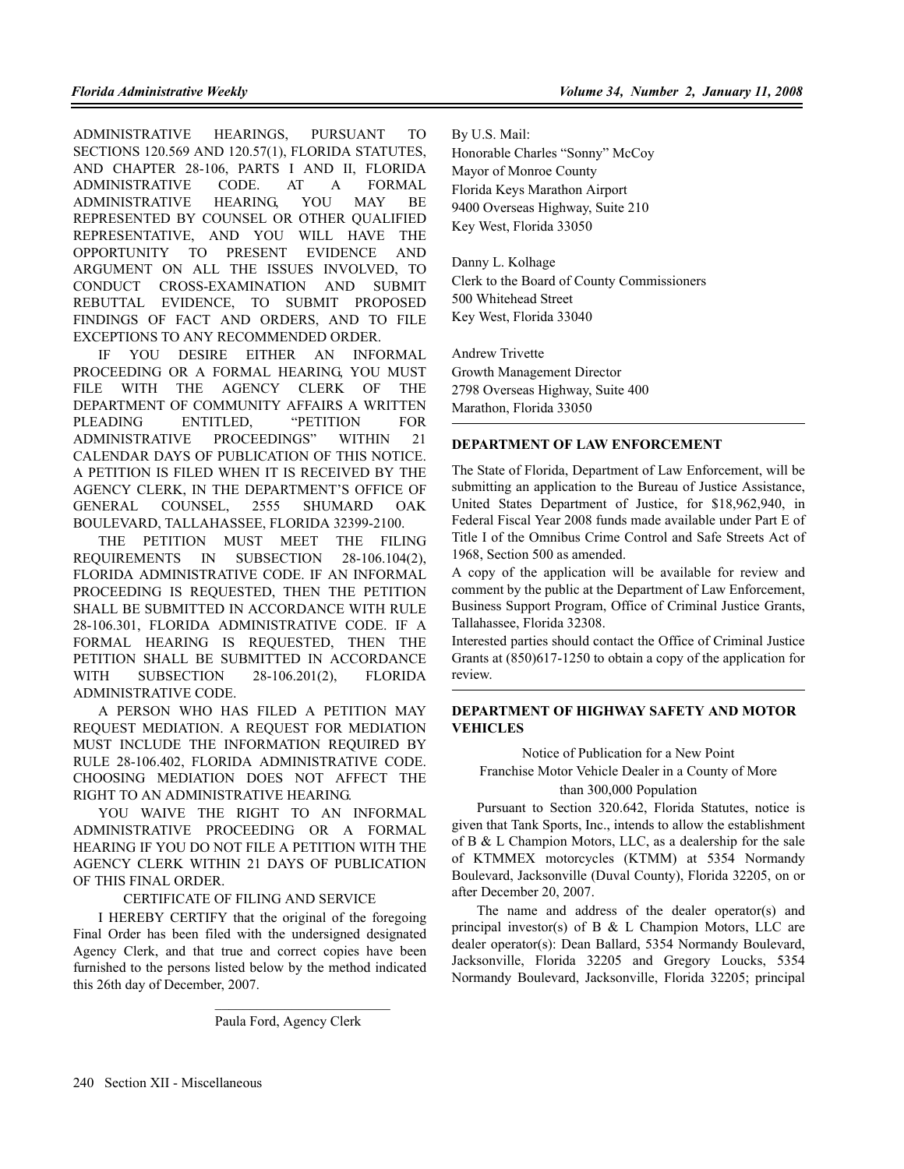ADMINISTRATIVE HEARINGS, PURSUANT TO SECTIONS 120.569 AND 120.57(1), FLORIDA STATUTES, AND CHAPTER 28-106, PARTS I AND II, FLORIDA ADMINISTRATIVE CODE. AT A FORMAL ADMINISTRATIVE HEARING, YOU MAY BE REPRESENTED BY COUNSEL OR OTHER QUALIFIED REPRESENTATIVE, AND YOU WILL HAVE THE OPPORTUNITY TO PRESENT EVIDENCE AND ARGUMENT ON ALL THE ISSUES INVOLVED, TO CONDUCT CROSS-EXAMINATION AND SUBMIT REBUTTAL EVIDENCE, TO SUBMIT PROPOSED FINDINGS OF FACT AND ORDERS, AND TO FILE EXCEPTIONS TO ANY RECOMMENDED ORDER.

IF YOU DESIRE EITHER AN INFORMAL PROCEEDING OR A FORMAL HEARING, YOU MUST FILE WITH THE AGENCY CLERK OF THE DEPARTMENT OF COMMUNITY AFFAIRS A WRITTEN PLEADING ENTITLED, "PETITION FOR ADMINISTRATIVE PROCEEDINGS" WITHIN 21 CALENDAR DAYS OF PUBLICATION OF THIS NOTICE. A PETITION IS FILED WHEN IT IS RECEIVED BY THE AGENCY CLERK, IN THE DEPARTMENT'S OFFICE OF GENERAL COUNSEL, 2555 SHUMARD OAK BOULEVARD, TALLAHASSEE, FLORIDA 32399-2100.

THE PETITION MUST MEET THE FILING REQUIREMENTS IN SUBSECTION 28-106.104(2), FLORIDA ADMINISTRATIVE CODE. IF AN INFORMAL PROCEEDING IS REQUESTED, THEN THE PETITION SHALL BE SUBMITTED IN ACCORDANCE WITH RULE 28-106.301, FLORIDA ADMINISTRATIVE CODE. IF A FORMAL HEARING IS REQUESTED, THEN THE PETITION SHALL BE SUBMITTED IN ACCORDANCE WITH SUBSECTION 28-106.201(2), FLORIDA ADMINISTRATIVE CODE.

A PERSON WHO HAS FILED A PETITION MAY REQUEST MEDIATION. A REQUEST FOR MEDIATION MUST INCLUDE THE INFORMATION REQUIRED BY RULE 28-106.402, FLORIDA ADMINISTRATIVE CODE. CHOOSING MEDIATION DOES NOT AFFECT THE RIGHT TO AN ADMINISTRATIVE HEARING.

YOU WAIVE THE RIGHT TO AN INFORMAL ADMINISTRATIVE PROCEEDING OR A FORMAL HEARING IF YOU DO NOT FILE A PETITION WITH THE AGENCY CLERK WITHIN 21 DAYS OF PUBLICATION OF THIS FINAL ORDER.

### CERTIFICATE OF FILING AND SERVICE

I HEREBY CERTIFY that the original of the foregoing Final Order has been filed with the undersigned designated Agency Clerk, and that true and correct copies have been furnished to the persons listed below by the method indicated this 26th day of December, 2007.

By U.S. Mail:

Honorable Charles "Sonny" McCoy Mayor of Monroe County Florida Keys Marathon Airport 9400 Overseas Highway, Suite 210 Key West, Florida 33050

Danny L. Kolhage Clerk to the Board of County Commissioners 500 Whitehead Street Key West, Florida 33040

Andrew Trivette Growth Management Director 2798 Overseas Highway, Suite 400 Marathon, Florida 33050

#### **DEPARTMENT OF LAW ENFORCEMENT**

The State of Florida, Department of Law Enforcement, will be submitting an application to the Bureau of Justice Assistance, United States Department of Justice, for \$18,962,940, in Federal Fiscal Year 2008 funds made available under Part E of Title I of the Omnibus Crime Control and Safe Streets Act of 1968, Section 500 as amended.

A copy of the application will be available for review and comment by the public at the Department of Law Enforcement, Business Support Program, Office of Criminal Justice Grants, Tallahassee, Florida 32308.

Interested parties should contact the Office of Criminal Justice Grants at (850)617-1250 to obtain a copy of the application for review.

#### **DEPARTMENT OF HIGHWAY SAFETY AND MOTOR VEHICLES**

Notice of Publication for a New Point

Franchise Motor Vehicle Dealer in a County of More than 300,000 Population

Pursuant to Section 320.642, Florida Statutes, notice is given that Tank Sports, Inc., intends to allow the establishment of B & L Champion Motors, LLC, as a dealership for the sale of KTMMEX motorcycles (KTMM) at 5354 Normandy Boulevard, Jacksonville (Duval County), Florida 32205, on or after December 20, 2007.

The name and address of the dealer operator(s) and principal investor(s) of B  $&$  L Champion Motors, LLC are dealer operator(s): Dean Ballard, 5354 Normandy Boulevard, Jacksonville, Florida 32205 and Gregory Loucks, 5354 Normandy Boulevard, Jacksonville, Florida 32205; principal

Paula Ford, Agency Clerk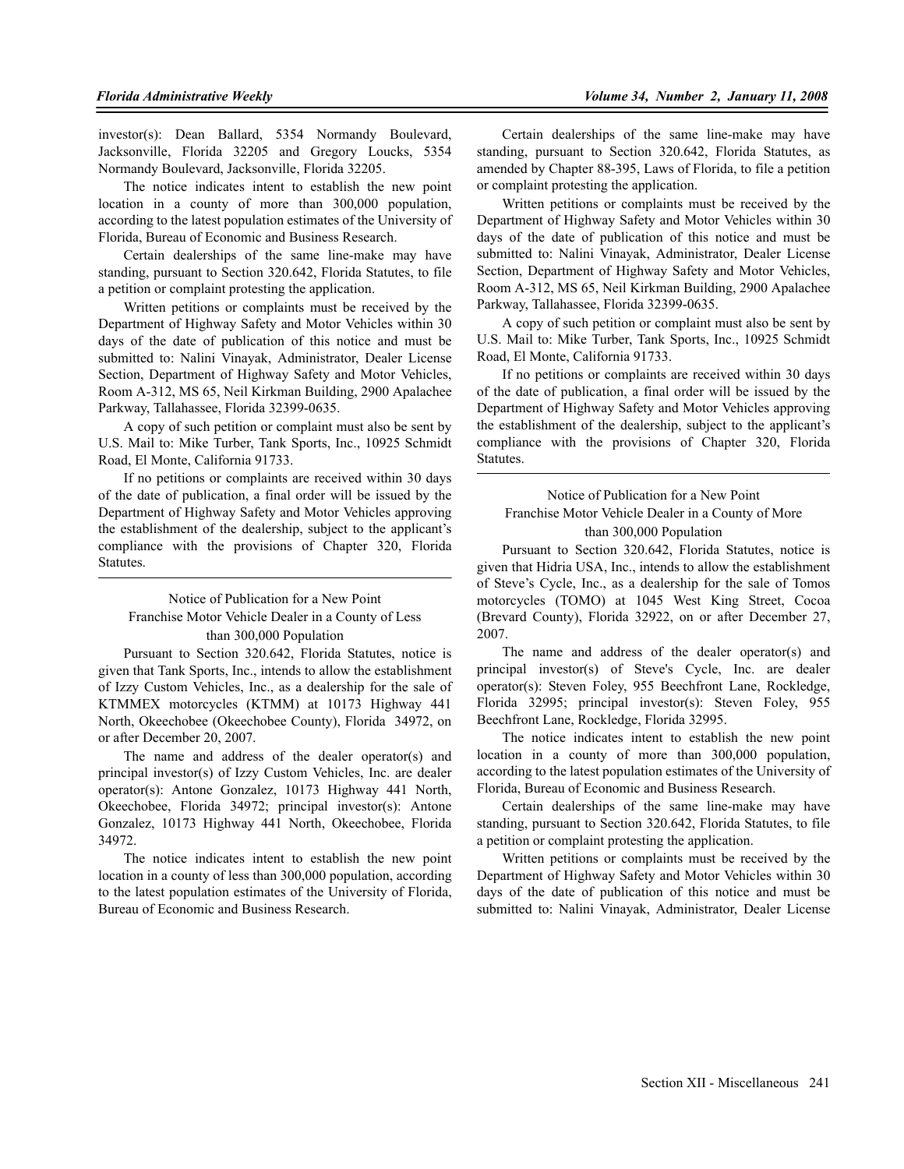investor(s): Dean Ballard, 5354 Normandy Boulevard, Jacksonville, Florida 32205 and Gregory Loucks, 5354 Normandy Boulevard, Jacksonville, Florida 32205.

The notice indicates intent to establish the new point location in a county of more than 300,000 population, according to the latest population estimates of the University of Florida, Bureau of Economic and Business Research.

Certain dealerships of the same line-make may have standing, pursuant to Section 320.642, Florida Statutes, to file a petition or complaint protesting the application.

Written petitions or complaints must be received by the Department of Highway Safety and Motor Vehicles within 30 days of the date of publication of this notice and must be submitted to: Nalini Vinayak, Administrator, Dealer License Section, Department of Highway Safety and Motor Vehicles, Room A-312, MS 65, Neil Kirkman Building, 2900 Apalachee Parkway, Tallahassee, Florida 32399-0635.

A copy of such petition or complaint must also be sent by U.S. Mail to: Mike Turber, Tank Sports, Inc., 10925 Schmidt Road, El Monte, California 91733.

If no petitions or complaints are received within 30 days of the date of publication, a final order will be issued by the Department of Highway Safety and Motor Vehicles approving the establishment of the dealership, subject to the applicant's compliance with the provisions of Chapter 320, Florida Statutes.

Notice of Publication for a New Point Franchise Motor Vehicle Dealer in a County of Less than 300,000 Population

Pursuant to Section 320.642, Florida Statutes, notice is given that Tank Sports, Inc., intends to allow the establishment of Izzy Custom Vehicles, Inc., as a dealership for the sale of KTMMEX motorcycles (KTMM) at 10173 Highway 441 North, Okeechobee (Okeechobee County), Florida 34972, on or after December 20, 2007.

The name and address of the dealer operator(s) and principal investor(s) of Izzy Custom Vehicles, Inc. are dealer operator(s): Antone Gonzalez, 10173 Highway 441 North, Okeechobee, Florida 34972; principal investor(s): Antone Gonzalez, 10173 Highway 441 North, Okeechobee, Florida 34972.

The notice indicates intent to establish the new point location in a county of less than 300,000 population, according to the latest population estimates of the University of Florida, Bureau of Economic and Business Research.

Certain dealerships of the same line-make may have standing, pursuant to Section 320.642, Florida Statutes, as amended by Chapter 88-395, Laws of Florida, to file a petition or complaint protesting the application.

Written petitions or complaints must be received by the Department of Highway Safety and Motor Vehicles within 30 days of the date of publication of this notice and must be submitted to: Nalini Vinayak, Administrator, Dealer License Section, Department of Highway Safety and Motor Vehicles, Room A-312, MS 65, Neil Kirkman Building, 2900 Apalachee Parkway, Tallahassee, Florida 32399-0635.

A copy of such petition or complaint must also be sent by U.S. Mail to: Mike Turber, Tank Sports, Inc., 10925 Schmidt Road, El Monte, California 91733.

If no petitions or complaints are received within 30 days of the date of publication, a final order will be issued by the Department of Highway Safety and Motor Vehicles approving the establishment of the dealership, subject to the applicant's compliance with the provisions of Chapter 320, Florida Statutes.

Notice of Publication for a New Point Franchise Motor Vehicle Dealer in a County of More than 300,000 Population

Pursuant to Section 320.642, Florida Statutes, notice is given that Hidria USA, Inc., intends to allow the establishment of Steve's Cycle, Inc., as a dealership for the sale of Tomos motorcycles (TOMO) at 1045 West King Street, Cocoa (Brevard County), Florida 32922, on or after December 27, 2007.

The name and address of the dealer operator(s) and principal investor(s) of Steve's Cycle, Inc. are dealer operator(s): Steven Foley, 955 Beechfront Lane, Rockledge, Florida 32995; principal investor(s): Steven Foley, 955 Beechfront Lane, Rockledge, Florida 32995.

The notice indicates intent to establish the new point location in a county of more than 300,000 population, according to the latest population estimates of the University of Florida, Bureau of Economic and Business Research.

Certain dealerships of the same line-make may have standing, pursuant to Section 320.642, Florida Statutes, to file a petition or complaint protesting the application.

Written petitions or complaints must be received by the Department of Highway Safety and Motor Vehicles within 30 days of the date of publication of this notice and must be submitted to: Nalini Vinayak, Administrator, Dealer License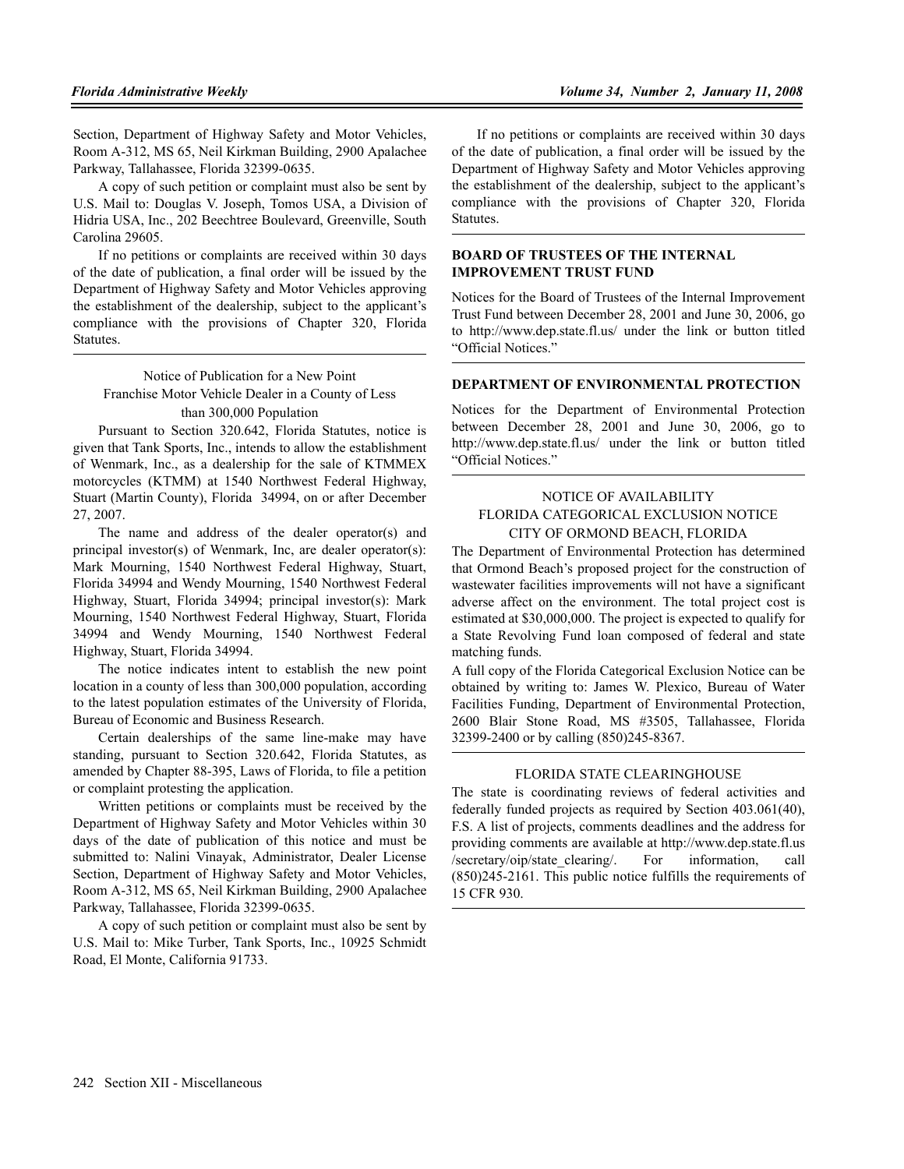Section, Department of Highway Safety and Motor Vehicles, Room A-312, MS 65, Neil Kirkman Building, 2900 Apalachee Parkway, Tallahassee, Florida 32399-0635.

A copy of such petition or complaint must also be sent by U.S. Mail to: Douglas V. Joseph, Tomos USA, a Division of Hidria USA, Inc., 202 Beechtree Boulevard, Greenville, South Carolina 29605.

If no petitions or complaints are received within 30 days of the date of publication, a final order will be issued by the Department of Highway Safety and Motor Vehicles approving the establishment of the dealership, subject to the applicant's compliance with the provisions of Chapter 320, Florida Statutes.

Notice of Publication for a New Point Franchise Motor Vehicle Dealer in a County of Less than 300,000 Population

Pursuant to Section 320.642, Florida Statutes, notice is given that Tank Sports, Inc., intends to allow the establishment of Wenmark, Inc., as a dealership for the sale of KTMMEX motorcycles (KTMM) at 1540 Northwest Federal Highway, Stuart (Martin County), Florida 34994, on or after December 27, 2007.

The name and address of the dealer operator(s) and principal investor(s) of Wenmark, Inc, are dealer operator(s): Mark Mourning, 1540 Northwest Federal Highway, Stuart, Florida 34994 and Wendy Mourning, 1540 Northwest Federal Highway, Stuart, Florida 34994; principal investor(s): Mark Mourning, 1540 Northwest Federal Highway, Stuart, Florida 34994 and Wendy Mourning, 1540 Northwest Federal Highway, Stuart, Florida 34994.

The notice indicates intent to establish the new point location in a county of less than 300,000 population, according to the latest population estimates of the University of Florida, Bureau of Economic and Business Research.

Certain dealerships of the same line-make may have standing, pursuant to Section 320.642, Florida Statutes, as amended by Chapter 88-395, Laws of Florida, to file a petition or complaint protesting the application.

Written petitions or complaints must be received by the Department of Highway Safety and Motor Vehicles within 30 days of the date of publication of this notice and must be submitted to: Nalini Vinayak, Administrator, Dealer License Section, Department of Highway Safety and Motor Vehicles, Room A-312, MS 65, Neil Kirkman Building, 2900 Apalachee Parkway, Tallahassee, Florida 32399-0635.

A copy of such petition or complaint must also be sent by U.S. Mail to: Mike Turber, Tank Sports, Inc., 10925 Schmidt Road, El Monte, California 91733.

If no petitions or complaints are received within 30 days of the date of publication, a final order will be issued by the Department of Highway Safety and Motor Vehicles approving the establishment of the dealership, subject to the applicant's compliance with the provisions of Chapter 320, Florida Statutes.

## **BOARD OF TRUSTEES OF THE INTERNAL IMPROVEMENT TRUST FUND**

Notices for the Board of Trustees of the Internal Improvement Trust Fund between December 28, 2001 and June 30, 2006, go to http://www.dep.state.fl.us/ under the link or button titled "Official Notices."

#### **DEPARTMENT OF ENVIRONMENTAL PROTECTION**

Notices for the Department of Environmental Protection between December 28, 2001 and June 30, 2006, go to http://www.dep.state.fl.us/ under the link or button titled "Official Notices."

## NOTICE OF AVAILABILITY FLORIDA CATEGORICAL EXCLUSION NOTICE CITY OF ORMOND BEACH, FLORIDA

The Department of Environmental Protection has determined that Ormond Beach's proposed project for the construction of wastewater facilities improvements will not have a significant adverse affect on the environment. The total project cost is estimated at \$30,000,000. The project is expected to qualify for a State Revolving Fund loan composed of federal and state matching funds.

A full copy of the Florida Categorical Exclusion Notice can be obtained by writing to: James W. Plexico, Bureau of Water Facilities Funding, Department of Environmental Protection, 2600 Blair Stone Road, MS #3505, Tallahassee, Florida 32399-2400 or by calling (850)245-8367.

### FLORIDA STATE CLEARINGHOUSE

The state is coordinating reviews of federal activities and federally funded projects as required by Section 403.061(40), F.S. A list of projects, comments deadlines and the address for providing comments are available at http://www.dep.state.fl.us /secretary/oip/state\_clearing/. For information, call (850)245-2161. This public notice fulfills the requirements of 15 CFR 930.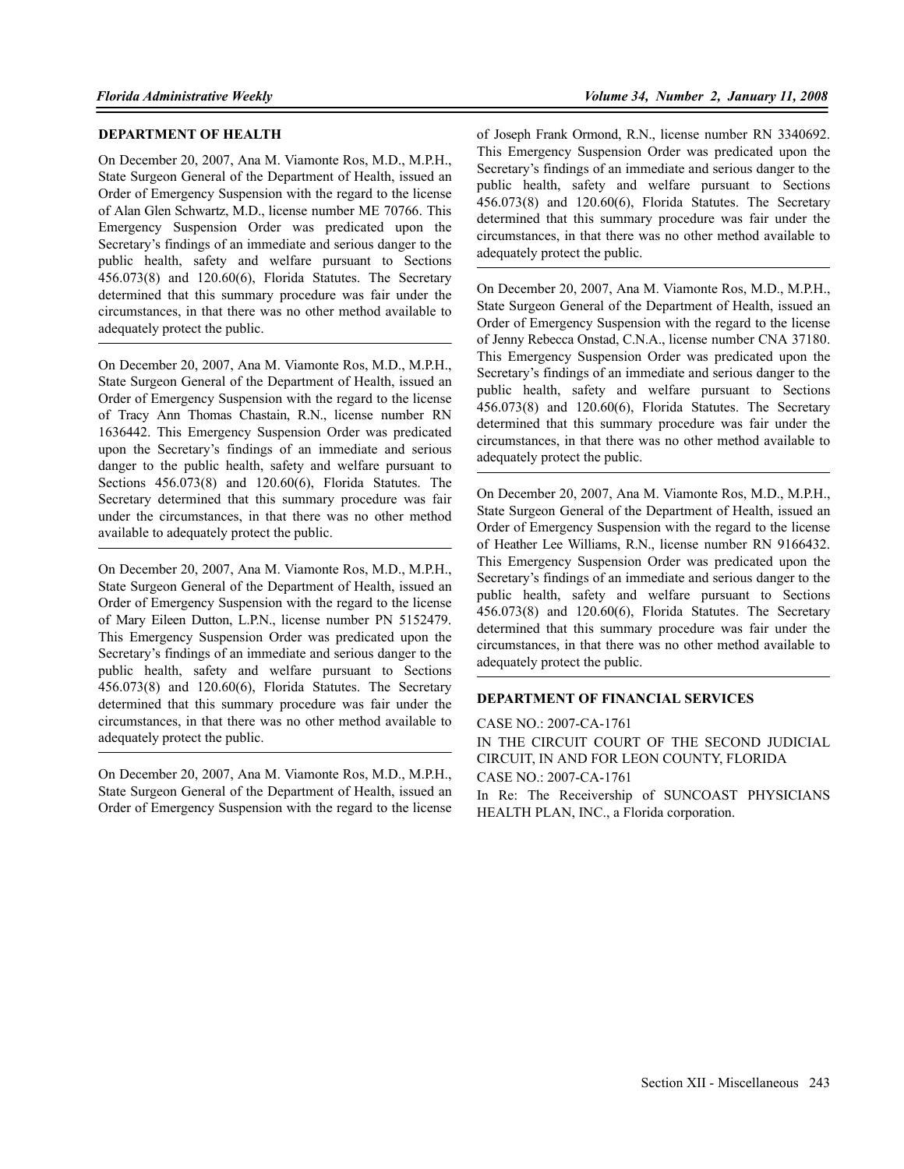### **DEPARTMENT OF HEALTH**

On December 20, 2007, Ana M. Viamonte Ros, M.D., M.P.H., State Surgeon General of the Department of Health, issued an Order of Emergency Suspension with the regard to the license of Alan Glen Schwartz, M.D., license number ME 70766. This Emergency Suspension Order was predicated upon the Secretary's findings of an immediate and serious danger to the public health, safety and welfare pursuant to Sections 456.073(8) and 120.60(6), Florida Statutes. The Secretary determined that this summary procedure was fair under the circumstances, in that there was no other method available to adequately protect the public.

On December 20, 2007, Ana M. Viamonte Ros, M.D., M.P.H., State Surgeon General of the Department of Health, issued an Order of Emergency Suspension with the regard to the license of Tracy Ann Thomas Chastain, R.N., license number RN 1636442. This Emergency Suspension Order was predicated upon the Secretary's findings of an immediate and serious danger to the public health, safety and welfare pursuant to Sections 456.073(8) and 120.60(6), Florida Statutes. The Secretary determined that this summary procedure was fair under the circumstances, in that there was no other method available to adequately protect the public.

On December 20, 2007, Ana M. Viamonte Ros, M.D., M.P.H., State Surgeon General of the Department of Health, issued an Order of Emergency Suspension with the regard to the license of Mary Eileen Dutton, L.P.N., license number PN 5152479. This Emergency Suspension Order was predicated upon the Secretary's findings of an immediate and serious danger to the public health, safety and welfare pursuant to Sections 456.073(8) and 120.60(6), Florida Statutes. The Secretary determined that this summary procedure was fair under the circumstances, in that there was no other method available to adequately protect the public.

On December 20, 2007, Ana M. Viamonte Ros, M.D., M.P.H., State Surgeon General of the Department of Health, issued an Order of Emergency Suspension with the regard to the license adequately protect the public.

On December 20, 2007, Ana M. Viamonte Ros, M.D., M.P.H., State Surgeon General of the Department of Health, issued an Order of Emergency Suspension with the regard to the license of Jenny Rebecca Onstad, C.N.A., license number CNA 37180. This Emergency Suspension Order was predicated upon the Secretary's findings of an immediate and serious danger to the public health, safety and welfare pursuant to Sections 456.073(8) and 120.60(6), Florida Statutes. The Secretary determined that this summary procedure was fair under the circumstances, in that there was no other method available to adequately protect the public.

On December 20, 2007, Ana M. Viamonte Ros, M.D., M.P.H., State Surgeon General of the Department of Health, issued an Order of Emergency Suspension with the regard to the license of Heather Lee Williams, R.N., license number RN 9166432. This Emergency Suspension Order was predicated upon the Secretary's findings of an immediate and serious danger to the public health, safety and welfare pursuant to Sections 456.073(8) and 120.60(6), Florida Statutes. The Secretary determined that this summary procedure was fair under the circumstances, in that there was no other method available to adequately protect the public.

#### **DEPARTMENT OF FINANCIAL SERVICES**

CASE NO.: 2007-CA-1761 IN THE CIRCUIT COURT OF THE SECOND JUDICIAL CIRCUIT, IN AND FOR LEON COUNTY, FLORIDA CASE NO.: 2007-CA-1761 In Re: The Receivership of SUNCOAST PHYSICIANS HEALTH PLAN, INC., a Florida corporation.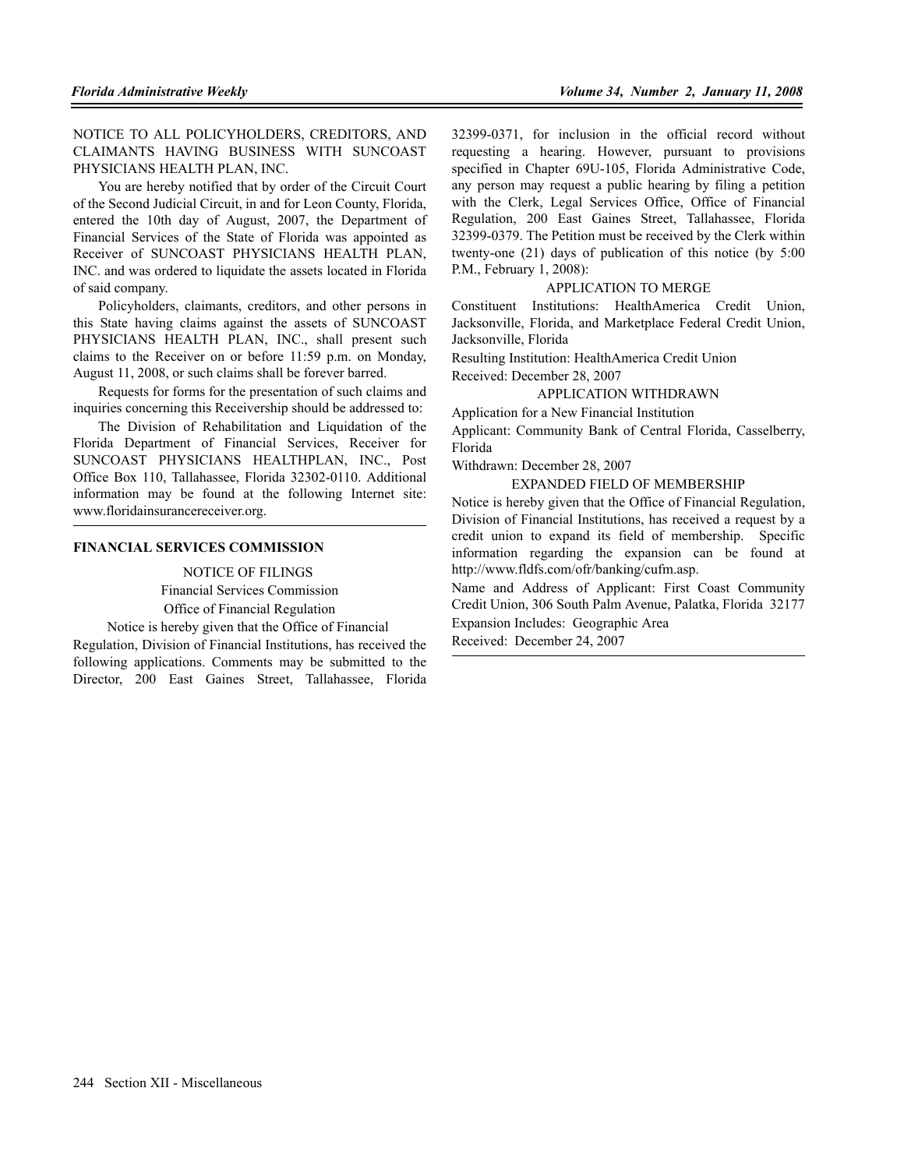NOTICE TO ALL POLICYHOLDERS, CREDITORS, AND CLAIMANTS HAVING BUSINESS WITH SUNCOAST PHYSICIANS HEALTH PLAN, INC.

You are hereby notified that by order of the Circuit Court of the Second Judicial Circuit, in and for Leon County, Florida, entered the 10th day of August, 2007, the Department of Financial Services of the State of Florida was appointed as Receiver of SUNCOAST PHYSICIANS HEALTH PLAN, INC. and was ordered to liquidate the assets located in Florida of said company.

Policyholders, claimants, creditors, and other persons in this State having claims against the assets of SUNCOAST PHYSICIANS HEALTH PLAN, INC., shall present such claims to the Receiver on or before 11:59 p.m. on Monday, August 11, 2008, or such claims shall be forever barred.

Requests for forms for the presentation of such claims and inquiries concerning this Receivership should be addressed to:

The Division of Rehabilitation and Liquidation of the Florida Department of Financial Services, Receiver for SUNCOAST PHYSICIANS HEALTHPLAN, INC., Post Office Box 110, Tallahassee, Florida 32302-0110. Additional information may be found at the following Internet site: www.floridainsurancereceiver.org.

#### **FINANCIAL SERVICES COMMISSION**

NOTICE OF FILINGS Financial Services Commission Office of Financial Regulation

Notice is hereby given that the Office of Financial

Regulation, Division of Financial Institutions, has received the following applications. Comments may be submitted to the Director, 200 East Gaines Street, Tallahassee, Florida 32399-0371, for inclusion in the official record without requesting a hearing. However, pursuant to provisions specified in Chapter 69U-105, Florida Administrative Code, any person may request a public hearing by filing a petition with the Clerk, Legal Services Office, Office of Financial Regulation, 200 East Gaines Street, Tallahassee, Florida 32399-0379. The Petition must be received by the Clerk within twenty-one (21) days of publication of this notice (by 5:00 P.M., February 1, 2008):

### APPLICATION TO MERGE

Constituent Institutions: HealthAmerica Credit Union, Jacksonville, Florida, and Marketplace Federal Credit Union, Jacksonville, Florida

Resulting Institution: HealthAmerica Credit Union Received: December 28, 2007

## APPLICATION WITHDRAWN

Application for a New Financial Institution

Applicant: Community Bank of Central Florida, Casselberry, Florida

Withdrawn: December 28, 2007

#### EXPANDED FIELD OF MEMBERSHIP

Notice is hereby given that the Office of Financial Regulation, Division of Financial Institutions, has received a request by a credit union to expand its field of membership. Specific information regarding the expansion can be found at http://www.fldfs.com/ofr/banking/cufm.asp.

Name and Address of Applicant: First Coast Community Credit Union, 306 South Palm Avenue, Palatka, Florida 32177 Expansion Includes: Geographic Area

Received: December 24, 2007